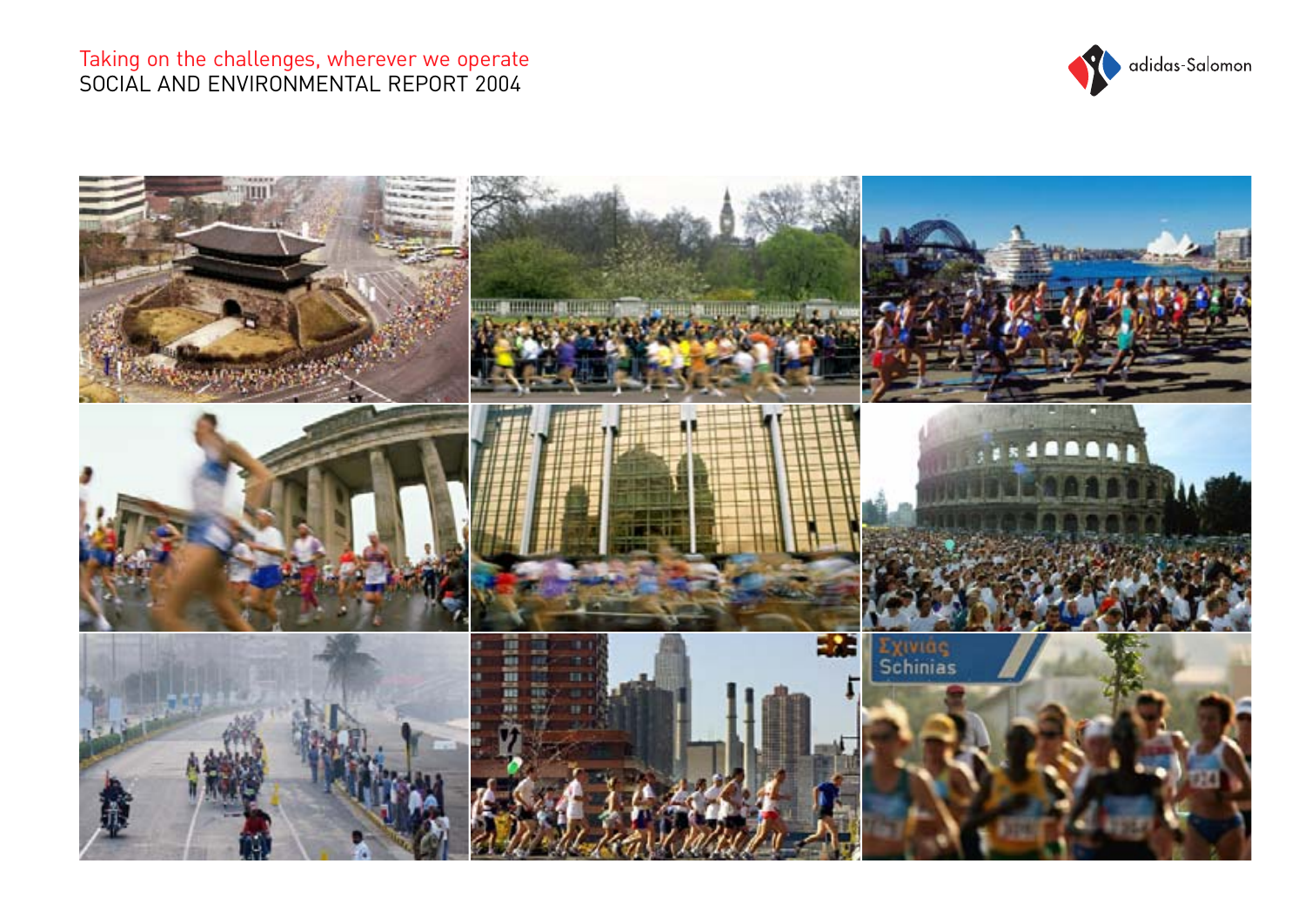

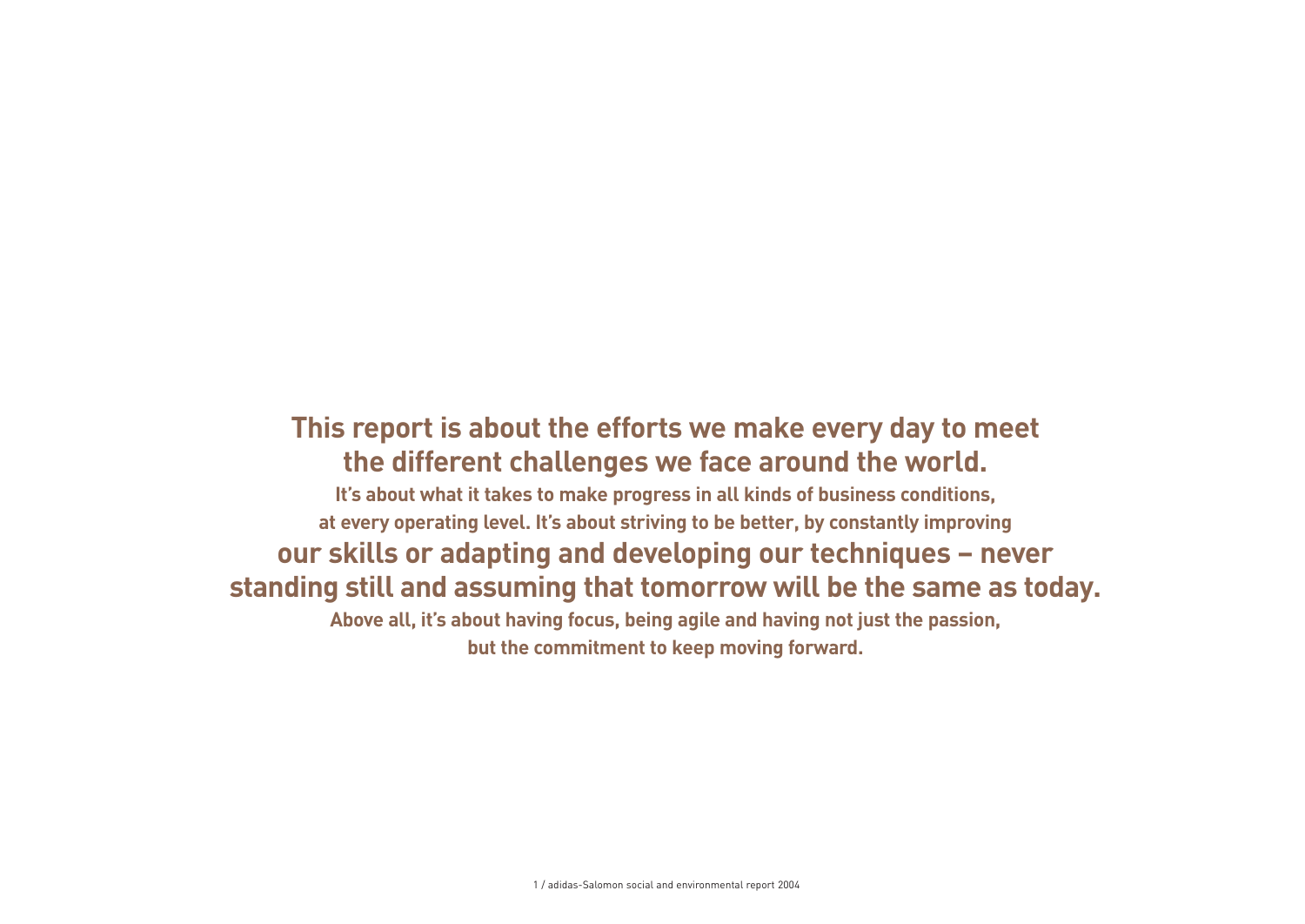# **This report is about the efforts we make every day to meet the different challenges we face around the world.**

**It's about what it takes to make progress in all kinds of business conditions, at every operating level. It's about striving to be better, by constantly improving our skills or adapting and developing our techniques – never standing still and assuming that tomorrow will be the same as today.**

**Above all, it's about having focus, being agile and having not just the passion, but the commitment to keep moving forward.**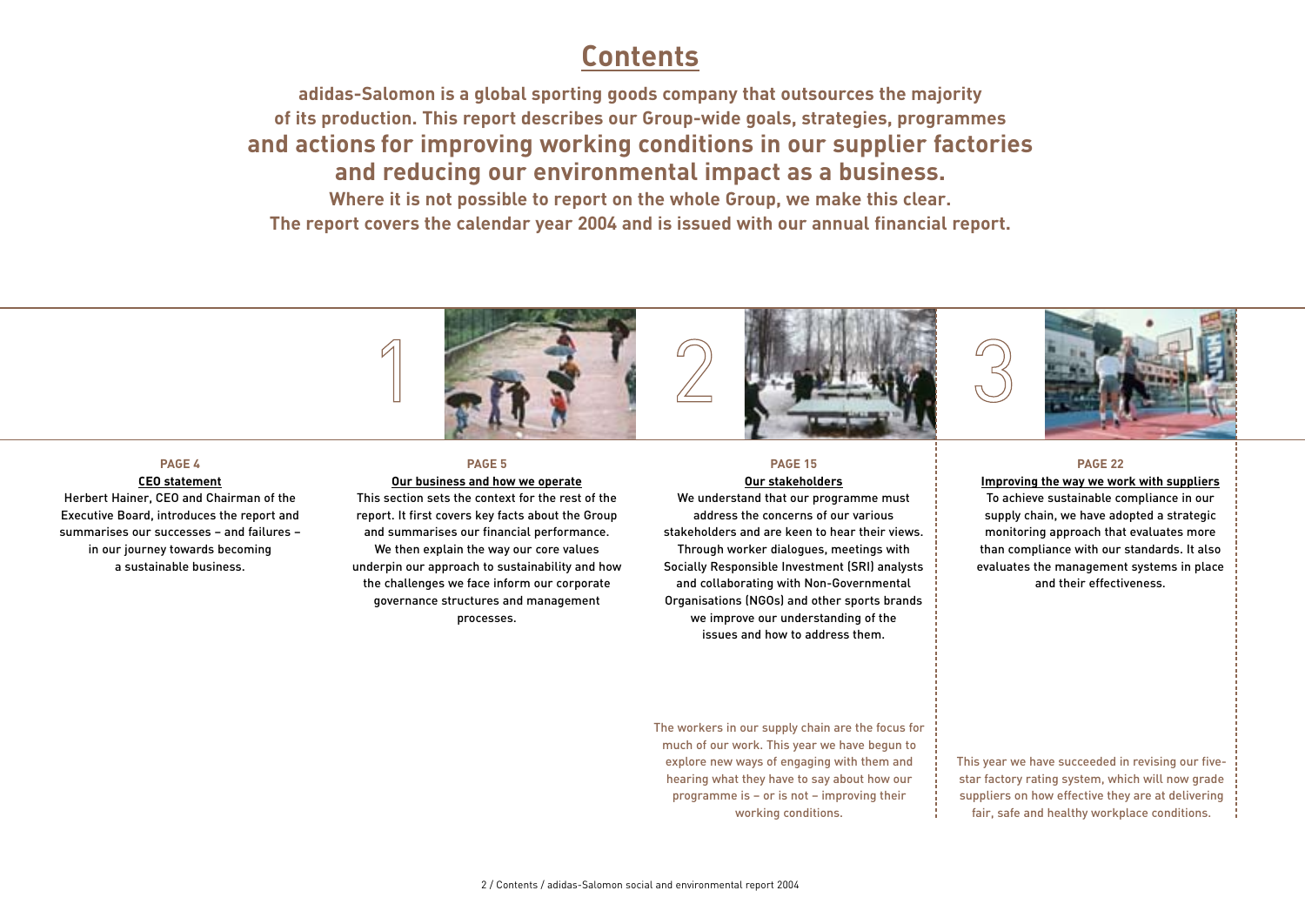# **Contents**

**adidas-Salomon is a global sporting goods company that outsources the majority of its production. This report describes our Group-wide goals, strategies, programmes and actions for improving working conditions in our supplier factories and reducing our environmental impact as a business.** 

**Where it is not possible to report on the whole Group, we make this clear. The report covers the calendar year 2004 and is issued with our annual financial report.**



### **PAGE 4**

### **CEO statement**

Herbert Hainer, CEO and Chairman of the Executive Board, introduces the report and summarises our successes – and failures – in our journey towards becoming a sustainable business.

# **PAGE 5**

**Our business and how we operate**

This section sets the context for the rest of the report. It first covers key facts about the Group and summarises our financial performance. We then explain the way our core values underpin our approach to sustainability and how the challenges we face inform our corporate governance structures and management processes.

### **PAGE 15 Our stakeholders**

We understand that our programme must address the concerns of our various stakeholders and are keen to hear their views. Through worker dialogues, meetings with Socially Responsible Investment (SRI) analysts and collaborating with Non-Governmental Organisations (NGOs) and other sports brands we improve our understanding of the issues and how to address them.

### **PAGE 22**

**Improving the way we work with suppliers** To achieve sustainable compliance in our supply chain, we have adopted a strategic monitoring approach that evaluates more than compliance with our standards. It also evaluates the management systems in place and their effectiveness.

The workers in our supply chain are the focus for much of our work. This year we have begun to explore new ways of engaging with them and hearing what they have to say about how our programme is – or is not – improving their working conditions.

This year we have succeeded in revising our fivestar factory rating system, which will now grade suppliers on how effective they are at delivering fair, safe and healthy workplace conditions.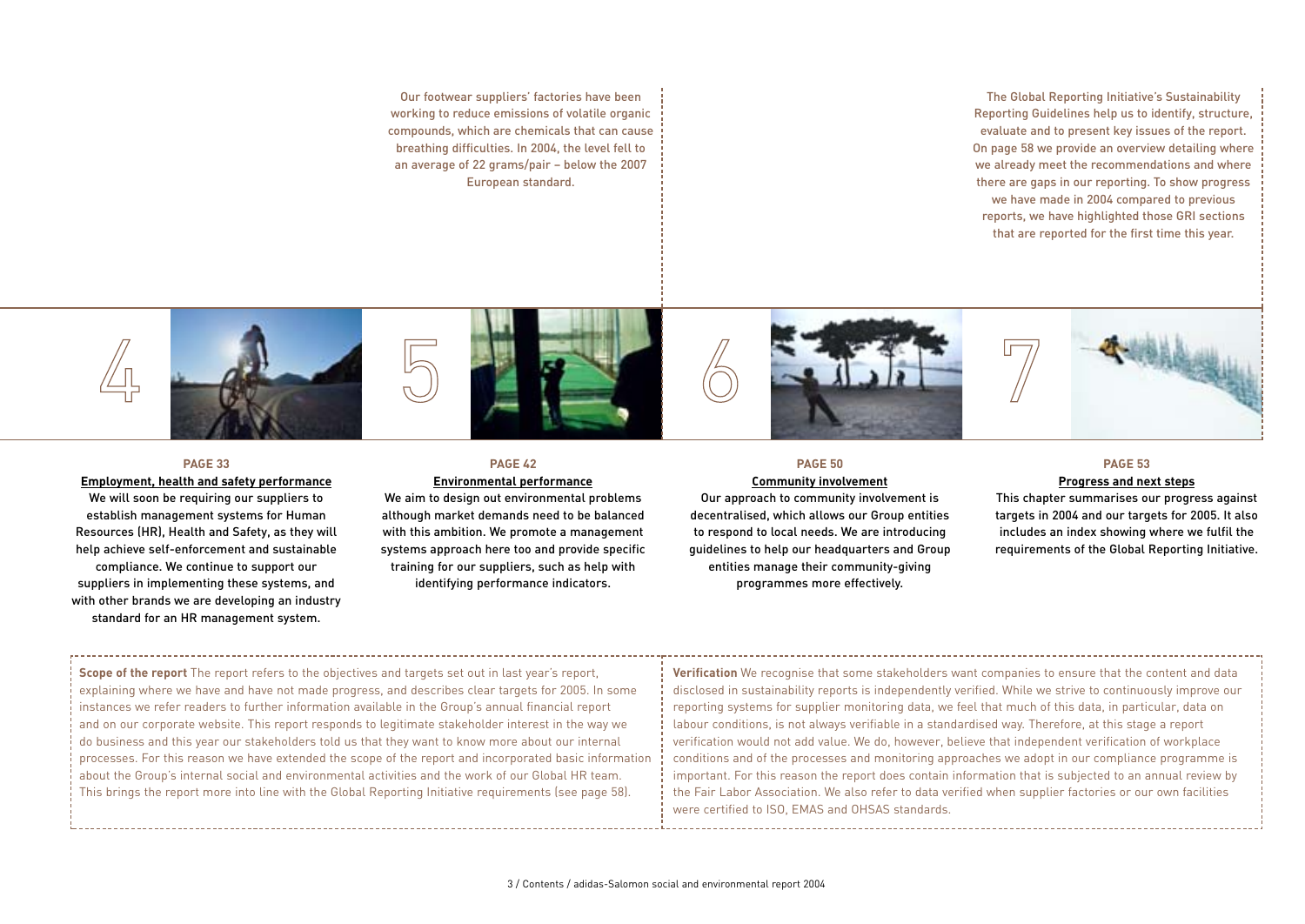Our footwear suppliers' factories have been working to reduce emissions of volatile organic compounds, which are chemicals that can cause breathing difficulties. In 2004, the level fell to an average of 22 grams/pair – below the 2007 European standard.

The Global Reporting Initiative's Sustainability Reporting Guidelines help us to identify, structure, evaluate and to present key issues of the report. On page 58 we provide an overview detailing where we already meet the recommendations and where there are gaps in our reporting. To show progress we have made in 2004 compared to previous reports, we have highlighted those GRI sections that are reported for the first time this year.



### **PAGE 33**

### **Employment, health and safety performance**

We will soon be requiring our suppliers to establish management systems for Human Resources (HR), Health and Safety, as they will help achieve self-enforcement and sustainable compliance. We continue to support our suppliers in implementing these systems, and with other brands we are developing an industry standard for an HR management system.

# **PAGE 42**

### **Environmental performance**

We aim to design out environmental problems although market demands need to be balanced with this ambition. We promote a management systems approach here too and provide specific training for our suppliers, such as help with identifying performance indicators.

# **PAGE 50**

### **Community involvement**

Our approach to community involvement is decentralised, which allows our Group entities to respond to local needs. We are introducing guidelines to help our headquarters and Group entities manage their community-giving programmes more effectively.

### **PAGE 53**

### **Progress and next steps**

This chapter summarises our progress against targets in 2004 and our targets for 2005. It also includes an index showing where we fulfil the requirements of the Global Reporting Initiative.

**Scope of the report** The report refers to the objectives and targets set out in last year's report, explaining where we have and have not made progress, and describes clear targets for 2005. In some instances we refer readers to further information available in the Group's annual financial report and on our corporate website. This report responds to legitimate stakeholder interest in the way we do business and this year our stakeholders told us that they want to know more about our internal processes. For this reason we have extended the scope of the report and incorporated basic information about the Group's internal social and environmental activities and the work of our Global HR team. This brings the report more into line with the Global Reporting Initiative requirements (see page 58).

**Verification** We recognise that some stakeholders want companies to ensure that the content and data disclosed in sustainability reports is independently verified. While we strive to continuously improve our reporting systems for supplier monitoring data, we feel that much of this data, in particular, data on labour conditions, is not always verifiable in a standardised way. Therefore, at this stage a report verification would not add value. We do, however, believe that independent verification of workplace conditions and of the processes and monitoring approaches we adopt in our compliance programme is important. For this reason the report does contain information that is subjected to an annual review by the Fair Labor Association. We also refer to data verified when supplier factories or our own facilities were certified to ISO, EMAS and OHSAS standards.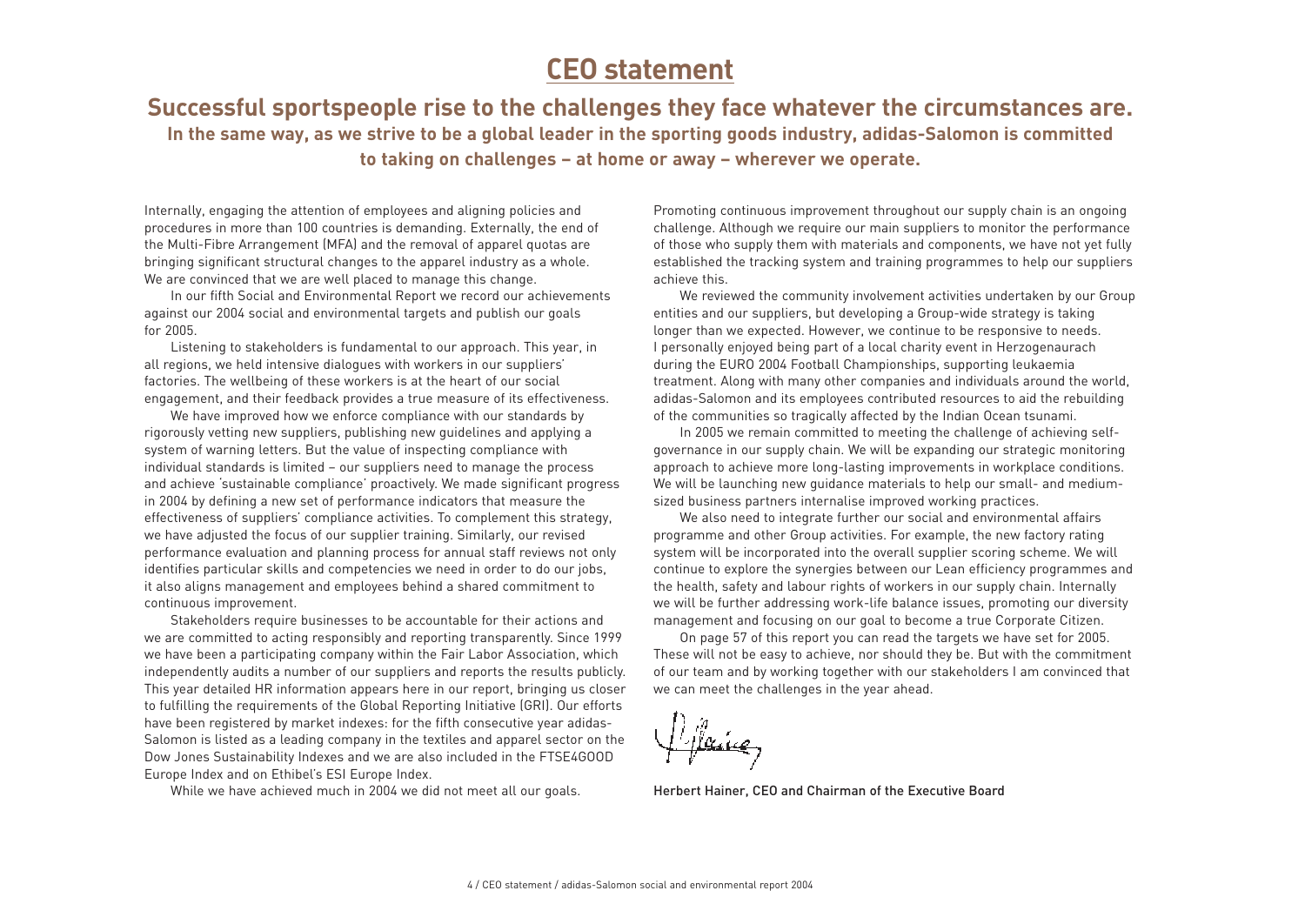# **CEO statement**

**Successful sportspeople rise to the challenges they face whatever the circumstances are. In the same way, as we strive to be a global leader in the sporting goods industry, adidas-Salomon is committed to taking on challenges – at home or away – wherever we operate.**

Internally, engaging the attention of employees and aligning policies and procedures in more than 100 countries is demanding. Externally, the end of the Multi-Fibre Arrangement (MFA) and the removal of apparel quotas are bringing significant structural changes to the apparel industry as a whole. We are convinced that we are well placed to manage this change.

In our fifth Social and Environmental Report we record our achievements against our 2004 social and environmental targets and publish our goals for 2005.

Listening to stakeholders is fundamental to our approach. This year, in all regions, we held intensive dialogues with workers in our suppliers' factories. The wellbeing of these workers is at the heart of our social engagement, and their feedback provides a true measure of its effectiveness.

We have improved how we enforce compliance with our standards by rigorously vetting new suppliers, publishing new guidelines and applying a system of warning letters. But the value of inspecting compliance with individual standards is limited – our suppliers need to manage the process and achieve 'sustainable compliance' proactively. We made significant progress in 2004 by defining a new set of performance indicators that measure the effectiveness of suppliers' compliance activities. To complement this strategy, we have adjusted the focus of our supplier training. Similarly, our revised performance evaluation and planning process for annual staff reviews not only identifies particular skills and competencies we need in order to do our jobs, it also aligns management and employees behind a shared commitment to continuous improvement.

Stakeholders require businesses to be accountable for their actions and we are committed to acting responsibly and reporting transparently. Since 1999 we have been a participating company within the Fair Labor Association, which independently audits a number of our suppliers and reports the results publicly. This year detailed HR information appears here in our report, bringing us closer to fulfilling the requirements of the Global Reporting Initiative (GRI). Our efforts have been registered by market indexes: for the fifth consecutive year adidas-Salomon is listed as a leading company in the textiles and apparel sector on the Dow Jones Sustainability Indexes and we are also included in the FTSE4GOOD Europe Index and on Ethibel's ESI Europe Index.

While we have achieved much in 2004 we did not meet all our goals.

Promoting continuous improvement throughout our supply chain is an ongoing challenge. Although we require our main suppliers to monitor the performance of those who supply them with materials and components, we have not yet fully established the tracking system and training programmes to help our suppliers achieve this.

We reviewed the community involvement activities undertaken by our Group entities and our suppliers, but developing a Group-wide strategy is taking longer than we expected. However, we continue to be responsive to needs. I personally enjoyed being part of a local charity event in Herzogenaurach during the EURO 2004 Football Championships, supporting leukaemia treatment. Along with many other companies and individuals around the world, adidas-Salomon and its employees contributed resources to aid the rebuilding of the communities so tragically affected by the Indian Ocean tsunami.

In 2005 we remain committed to meeting the challenge of achieving selfgovernance in our supply chain. We will be expanding our strategic monitoring approach to achieve more long-lasting improvements in workplace conditions. We will be launching new guidance materials to help our small- and mediumsized business partners internalise improved working practices.

We also need to integrate further our social and environmental affairs programme and other Group activities. For example, the new factory rating system will be incorporated into the overall supplier scoring scheme. We will continue to explore the synergies between our Lean efficiency programmes and the health, safety and labour rights of workers in our supply chain. Internally we will be further addressing work-life balance issues, promoting our diversity management and focusing on our goal to become a true Corporate Citizen.

On page 57 of this report you can read the targets we have set for 2005. These will not be easy to achieve, nor should they be. But with the commitment of our team and by working together with our stakeholders I am convinced that we can meet the challenges in the year ahead.

Herbert Hainer, CEO and Chairman of the Executive Board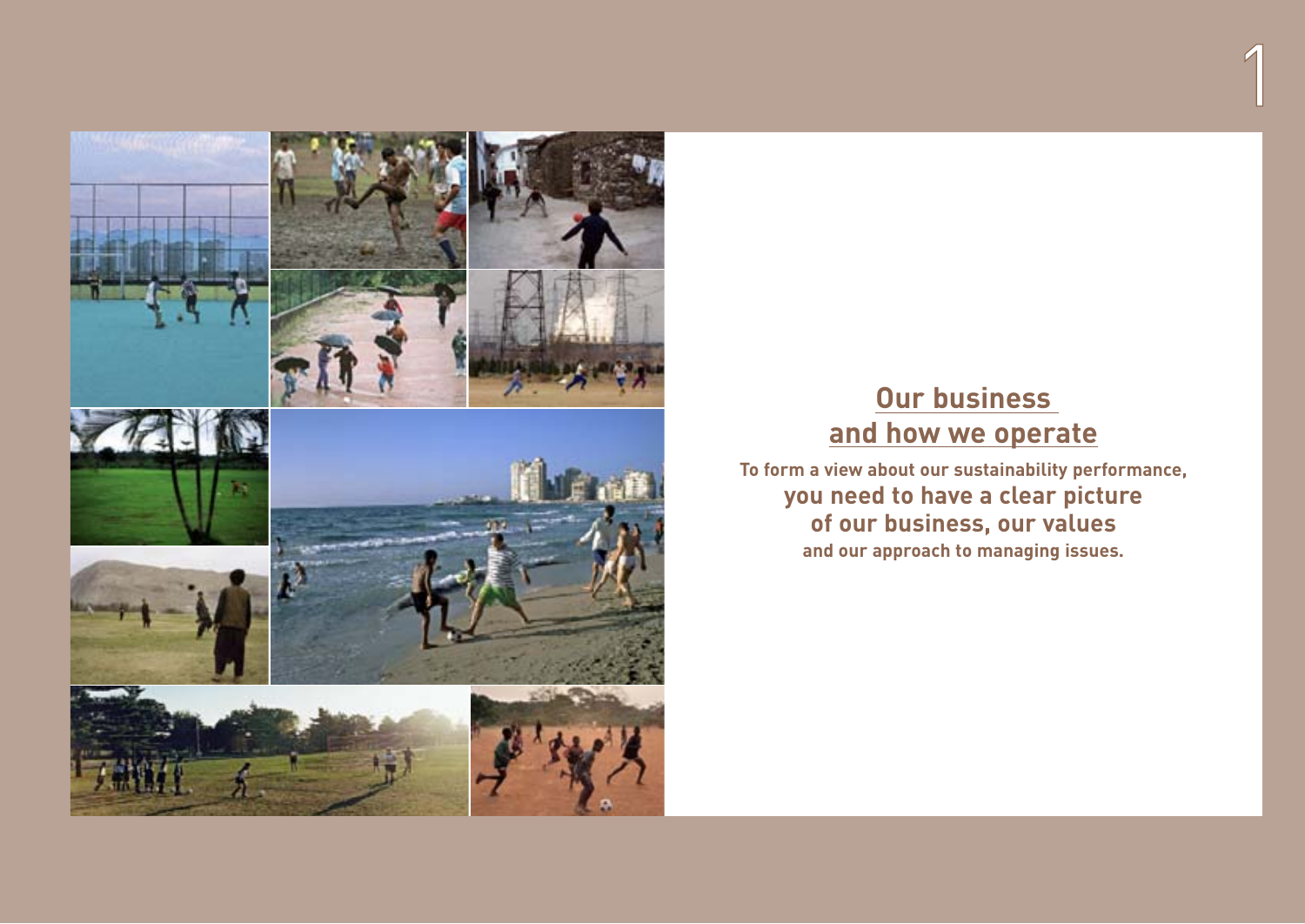

# **Our business and how we operate**

1

**To form a view about our sustainability performance, you need to have a clear picture of our business, our values and our approach to managing issues.**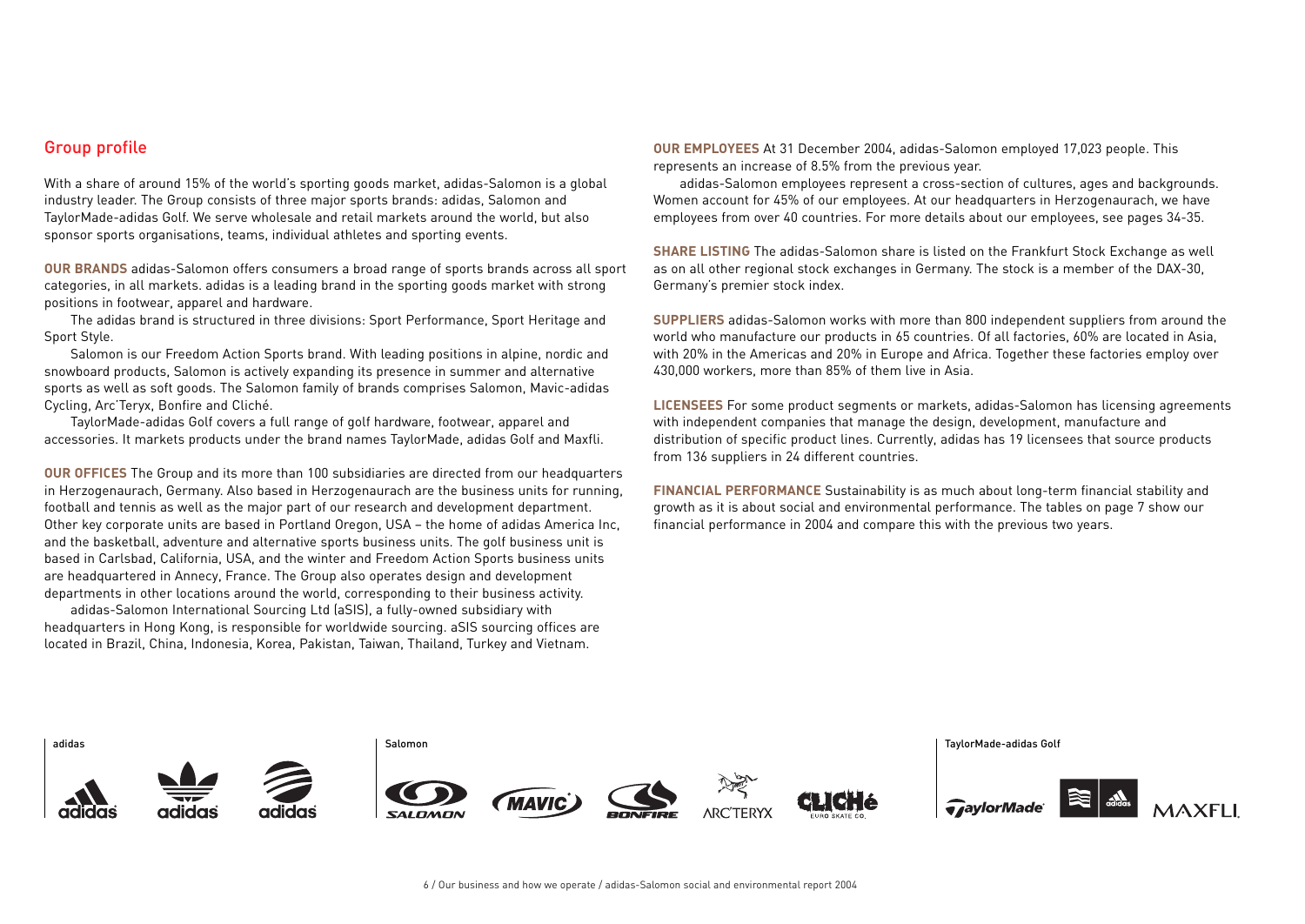## Group profile

With a share of around 15% of the world's sporting goods market, adidas-Salomon is a global industry leader. The Group consists of three major sports brands: adidas, Salomon and TaylorMade-adidas Golf. We serve wholesale and retail markets around the world, but also sponsor sports organisations, teams, individual athletes and sporting events.

**OUR BRANDS** adidas-Salomon offers consumers a broad range of sports brands across all sport categories, in all markets. adidas is a leading brand in the sporting goods market with strong positions in footwear, apparel and hardware.

The adidas brand is structured in three divisions: Sport Performance, Sport Heritage and Sport Style.

Salomon is our Freedom Action Sports brand. With leading positions in alpine, nordic and snowboard products, Salomon is actively expanding its presence in summer and alternative sports as well as soft goods. The Salomon family of brands comprises Salomon, Mavic-adidas Cycling, Arc'Teryx, Bonfire and Cliché.

TaylorMade-adidas Golf covers a full range of golf hardware, footwear, apparel and accessories. It markets products under the brand names TaylorMade, adidas Golf and Maxfli.

**OUR OFFICES** The Group and its more than 100 subsidiaries are directed from our headquarters in Herzogenaurach, Germany. Also based in Herzogenaurach are the business units for running, football and tennis as well as the major part of our research and development department. Other key corporate units are based in Portland Oregon, USA – the home of adidas America Inc, and the basketball, adventure and alternative sports business units. The golf business unit is based in Carlsbad, California, USA, and the winter and Freedom Action Sports business units are headquartered in Annecy, France. The Group also operates design and development departments in other locations around the world, corresponding to their business activity.

adidas-Salomon International Sourcing Ltd (aSIS), a fully-owned subsidiary with headquarters in Hong Kong, is responsible for worldwide sourcing. aSIS sourcing offices are located in Brazil, China, Indonesia, Korea, Pakistan, Taiwan, Thailand, Turkey and Vietnam.

**OUR EMPLOYEES** At 31 December 2004, adidas-Salomon employed 17,023 people. This represents an increase of 8.5% from the previous year.

adidas-Salomon employees represent a cross-section of cultures, ages and backgrounds. Women account for 45% of our employees. At our headquarters in Herzogenaurach, we have employees from over 40 countries. For more details about our employees, see pages 34-35.

**SHARE LISTING** The adidas-Salomon share is listed on the Frankfurt Stock Exchange as well as on all other regional stock exchanges in Germany. The stock is a member of the DAX-30, Germany's premier stock index.

**SUPPLIERS** adidas-Salomon works with more than 800 independent suppliers from around the world who manufacture our products in 65 countries. Of all factories, 60% are located in Asia, with 20% in the Americas and 20% in Europe and Africa. Together these factories employ over 430,000 workers, more than 85% of them live in Asia.

**LICENSEES** For some product segments or markets, adidas-Salomon has licensing agreements with independent companies that manage the design, development, manufacture and distribution of specific product lines. Currently, adidas has 19 licensees that source products from 136 suppliers in 24 different countries.

**FINANCIAL PERFORMANCE** Sustainability is as much about long-term financial stability and growth as it is about social and environmental performance. The tables on page 7 show our financial performance in 2004 and compare this with the previous two years.

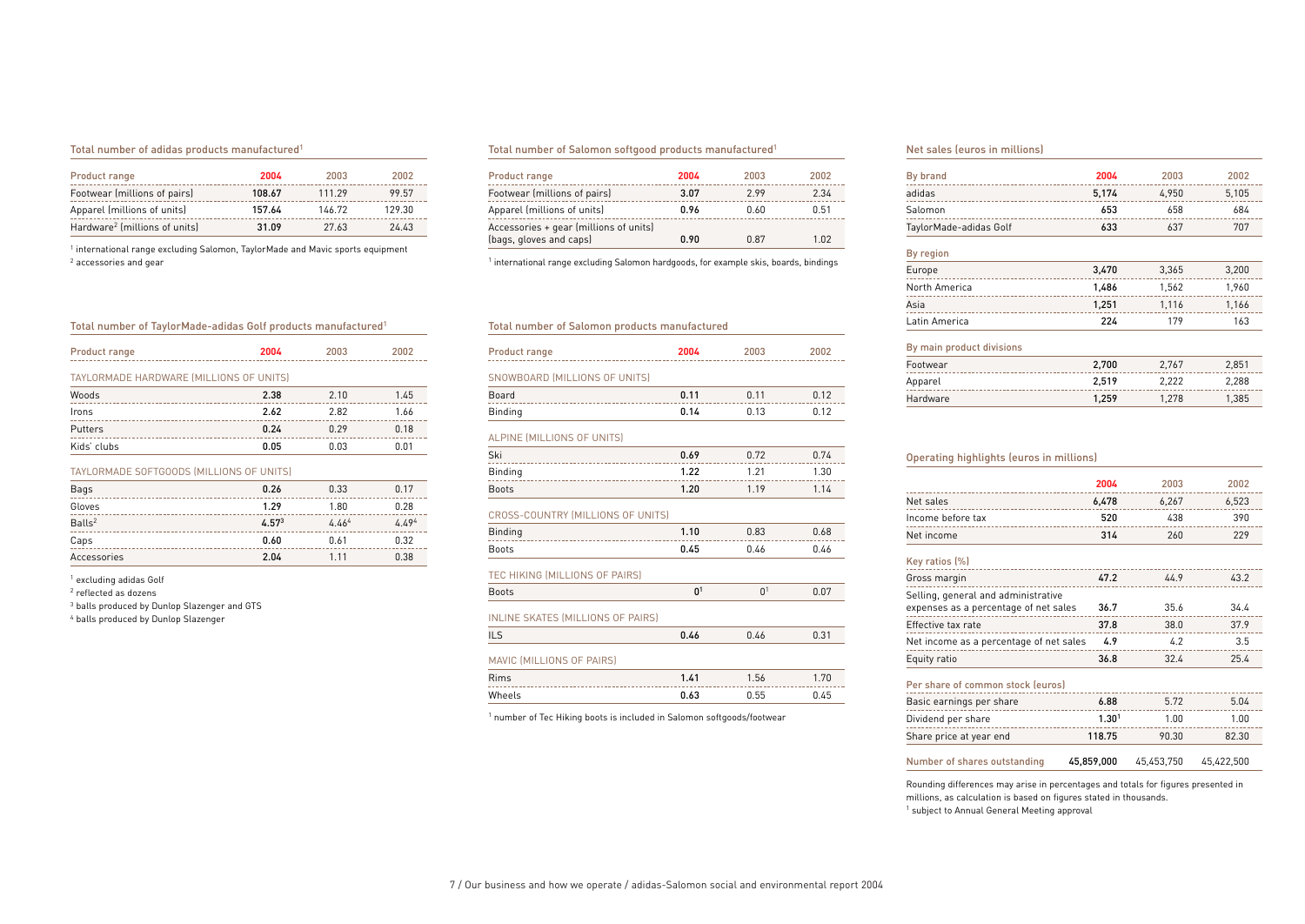### Total number of adidas products manufactured1

| Product range                             | 2004   | 2003   | 2002   |
|-------------------------------------------|--------|--------|--------|
| Footwear (millions of pairs)              | 108.67 | 111.29 | 99.57  |
| Apparel (millions of units)               | 157.64 | 146.72 | 129.30 |
| Hardware <sup>2</sup> (millions of units) | 31.09  | 27.63  | 24.43  |

<sup>1</sup> international range excluding Salomon, TaylorMade and Mavic sports equipment <sup>2</sup> accessories and gear

### Total number of Salomon softgood products manufactured1

| Product range                          | 2004 | 2003 | 2002 |
|----------------------------------------|------|------|------|
| Footwear (millions of pairs)           | 3.07 | 299  | 2.34 |
| Apparel (millions of units)            | 0.96 | 0.60 | 0.51 |
| Accessories + gear (millions of units) |      |      |      |
| (bags, gloves and caps)                | 0.90 | 0.87 | 1.02 |

<sup>1</sup> international range excluding Salomon hardgoods, for example skis, boards, bindings

### Total number of TaylorMade-adidas Golf products manufactured1

| Product range                            | 2004 | 2003 | 2002 |  |
|------------------------------------------|------|------|------|--|
| TAYLORMADE HARDWARE (MILLIONS OF UNITS)  |      |      |      |  |
| Woods                                    | 2.38 | 2.10 | 1.45 |  |
| Irons                                    | 2.62 | 2.82 | 1.66 |  |
| Putters                                  | 0.24 | 0.29 | 0.18 |  |
| Kids' clubs                              | 0.05 | 0.03 | 0.01 |  |
| TAYLORMADE SOFTGOODS (MILLIONS OF UNITS) |      |      |      |  |

| Bags               | 0.26              | 0.33  | 0.17  |
|--------------------|-------------------|-------|-------|
| Gloves             | 1.29              | 1.80  | 0.28  |
| Balls <sup>2</sup> | 4.57 <sup>3</sup> | 4.464 | 4.494 |
| Caps               | 0.60              | 0.61  | 0.32  |
| Accessories        | 2.04              | 1 1 1 | 0.38  |

<sup>1</sup> excluding adidas Golf

<sup>2</sup> reflected as dozens

<sup>3</sup> balls produced by Dunlop Slazenger and GTS

<sup>4</sup> balls produced by Dunlop Slazenger

### Total number of Salomon products manufactured

| <b>Product range</b>          | 2004 | 2003  | 2002 |
|-------------------------------|------|-------|------|
| SNOWBOARD (MILLIONS OF UNITS) |      |       |      |
| Board                         | 0.11 | 0 1 1 | 0.12 |
| Binding                       | 0.14 | በ 13  | 0.12 |

### ALPINE (MILLIONS OF UNITS)

| Ski          | 0.69 | 0.72 | 0.74 |
|--------------|------|------|------|
| Binding      | 1.22 | 1.21 | 1.30 |
| <b>Boots</b> | 1.20 | 1.19 | 1.14 |

### CROSS-COUNTRY (MILLIONS OF UNITS)

| Binding      | 1.10 | 0.83 | 0.68 |
|--------------|------|------|------|
| <b>Boots</b> | 0.45 | 0.46 | 0.46 |
|              |      |      |      |

TEC HIKING (MILLIONS OF PAIRS) Boots  $0^1$  0<sup>1</sup> 0.07

# INLINE SKATES (MILLIONS OF PAIRS)

| ILS                       | 0.46 | 0.46 | 0.31 |
|---------------------------|------|------|------|
| MAVIC (MILLIONS OF PAIRS) |      |      |      |
| Rims                      | 1.41 | 1.56 | 1.70 |
| Wheels                    | 0.63 | 0.55 | 0.45 |

<sup>1</sup> number of Tec Hiking boots is included in Salomon softgoods/footwear

#### Net sales (euros in millions)

| By brand                  | 2004  | 2003  | 2002  |
|---------------------------|-------|-------|-------|
| adidas                    | 5,174 | 4,950 | 5,105 |
| Salomon                   | 653   | 658   | 684   |
| TaylorMade-adidas Golf    | 633   | 637   | 707   |
| By region                 |       |       |       |
| Europe                    | 3,470 | 3,365 | 3,200 |
| North America             | 1,486 | 1,562 | 1,960 |
| Asia                      | 1,251 | 1,116 | 1,166 |
| Latin America             | 224   | 179   | 163   |
| By main product divisions |       |       |       |
| Footwear                  | 2,700 | 2,767 | 2,851 |
| Apparel                   | 2,519 | 2,222 | 2,288 |
| Hardware                  | 1.259 | 1.278 | 1.385 |

#### Operating highlights (euros in millions)

|                                         | 2004  | 2003  | 2002  |
|-----------------------------------------|-------|-------|-------|
| Net sales                               | 6.478 | 6,267 | 6,523 |
| Income before tax                       | 520   | 438   | 390   |
| Net income                              | 314   | 260   | 229   |
| Key ratios (%)                          |       |       |       |
| Gross margin                            | 47.2  | 44.9  | 43.2  |
| Selling, general and administrative     |       |       |       |
| expenses as a percentage of net sales   | 36.7  | 35.6  | 34.4  |
| Effective tax rate                      | 37.8  | 38.0  | 37.9  |
| Net income as a percentage of net sales | 4.9   | 4.2   | 3.5   |
| Equity ratio                            | 36.8  | 32.4  | 25.4  |

## Per share of common stock (euros)

| Basic earnings per share     | 6.88              | 572        | 5.04       |
|------------------------------|-------------------|------------|------------|
| Dividend per share           | 1.30 <sup>1</sup> | 1.00       | 1.00       |
| Share price at year end      | 118.75            | 90.30      | 82.30      |
| Number of shares outstanding | 45,859,000        | 45.453.750 | 45.422.500 |

Rounding differences may arise in percentages and totals for figures presented in millions, as calculation is based on figures stated in thousands. <sup>1</sup> subject to Annual General Meeting approval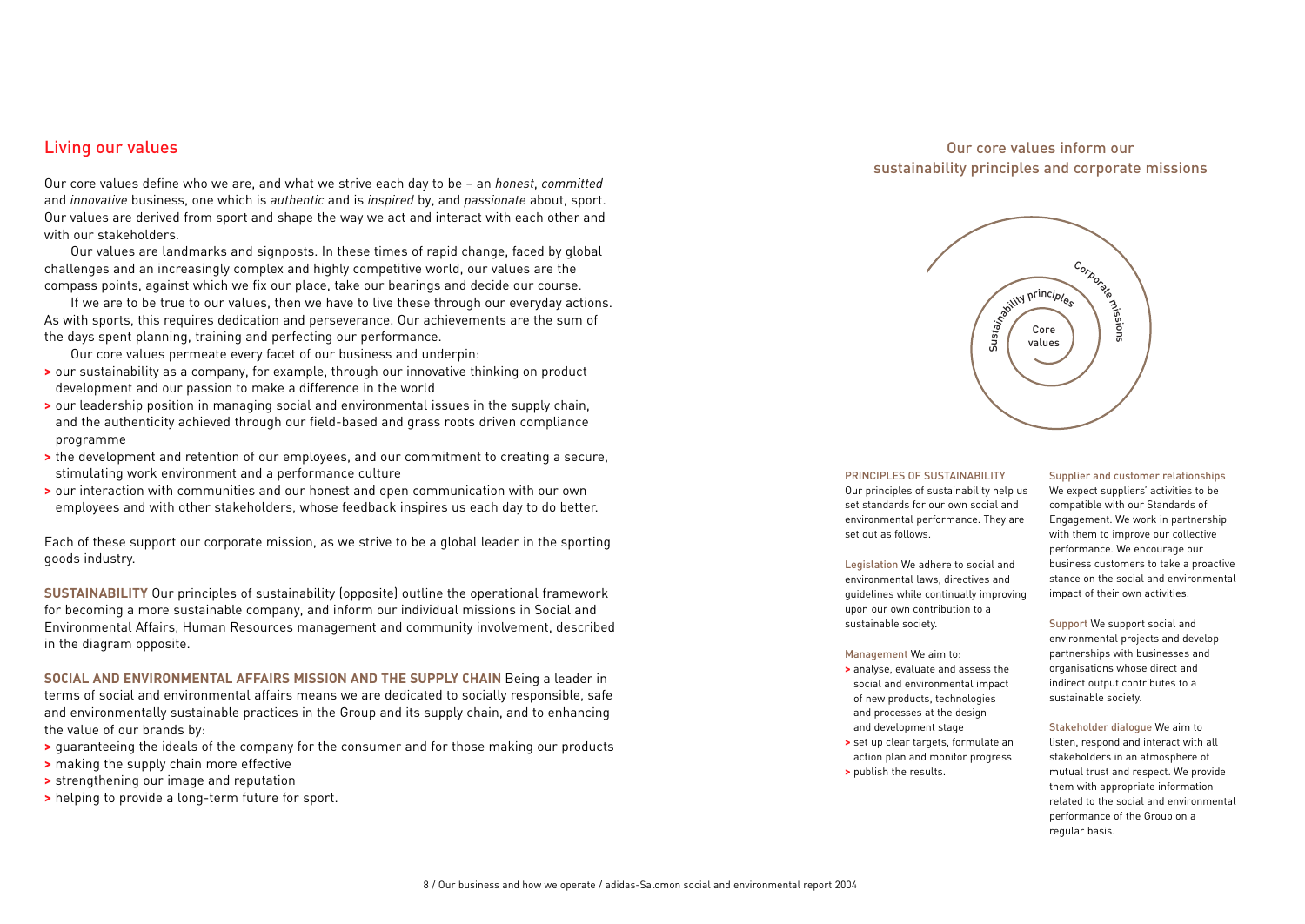## Living our values

Our core values define who we are, and what we strive each day to be – an *honest*, *committed* and *innovative* business, one which is *authentic* and is *inspired* by, and *passionate* about, sport. Our values are derived from sport and shape the way we act and interact with each other and with our stakeholders.

Our values are landmarks and signposts. In these times of rapid change, faced by global challenges and an increasingly complex and highly competitive world, our values are the compass points, against which we fix our place, take our bearings and decide our course.

If we are to be true to our values, then we have to live these through our everyday actions. As with sports, this requires dedication and perseverance. Our achievements are the sum of the days spent planning, training and perfecting our performance.

Our core values permeate every facet of our business and underpin:

- **>** our sustainability as a company, for example, through our innovative thinking on product development and our passion to make a difference in the world
- **>** our leadership position in managing social and environmental issues in the supply chain, and the authenticity achieved through our field-based and grass roots driven compliance programme
- **>** the development and retention of our employees, and our commitment to creating a secure, stimulating work environment and a performance culture
- **>** our interaction with communities and our honest and open communication with our own employees and with other stakeholders, whose feedback inspires us each day to do better.

Each of these support our corporate mission, as we strive to be a global leader in the sporting goods industry.

**SUSTAINABILITY** Our principles of sustainability (opposite) outline the operational framework for becoming a more sustainable company, and inform our individual missions in Social and Environmental Affairs, Human Resources management and community involvement, described in the diagram opposite.

**SOCIAL AND ENVIRONMENTAL AFFAIRS MISSION AND THE SUPPLY CHAIN** Being a leader in terms of social and environmental affairs means we are dedicated to socially responsible, safe and environmentally sustainable practices in the Group and its supply chain, and to enhancing the value of our brands by:

- **>** guaranteeing the ideals of the company for the consumer and for those making our products
- **>** making the supply chain more effective
- **>** strengthening our image and reputation
- **>** helping to provide a long-term future for sport.

## Our core values inform our sustainability principles and corporate missions



### PRINCIPLES OF SUSTAINABILITY

Our principles of sustainability help us set standards for our own social and environmental performance. They are set out as follows.

Legislation We adhere to social and environmental laws, directives and guidelines while continually improving upon our own contribution to a sustainable society.

#### Management We aim to:

- **>** analyse, evaluate and assess the social and environmental impact of new products, technologies and processes at the design and development stage
- **>** set up clear targets, formulate an action plan and monitor progress **>** publish the results.

## Supplier and customer relationships

We expect suppliers' activities to be compatible with our Standards of Engagement. We work in partnership with them to improve our collective performance. We encourage our business customers to take a proactive stance on the social and environmental impact of their own activities.

Support We support social and environmental projects and develop partnerships with businesses and organisations whose direct and indirect output contributes to a sustainable society.

## Stakeholder dialogue We aim to

listen, respond and interact with all stakeholders in an atmosphere of mutual trust and respect. We provide them with appropriate information related to the social and environmental performance of the Group on a regular basis.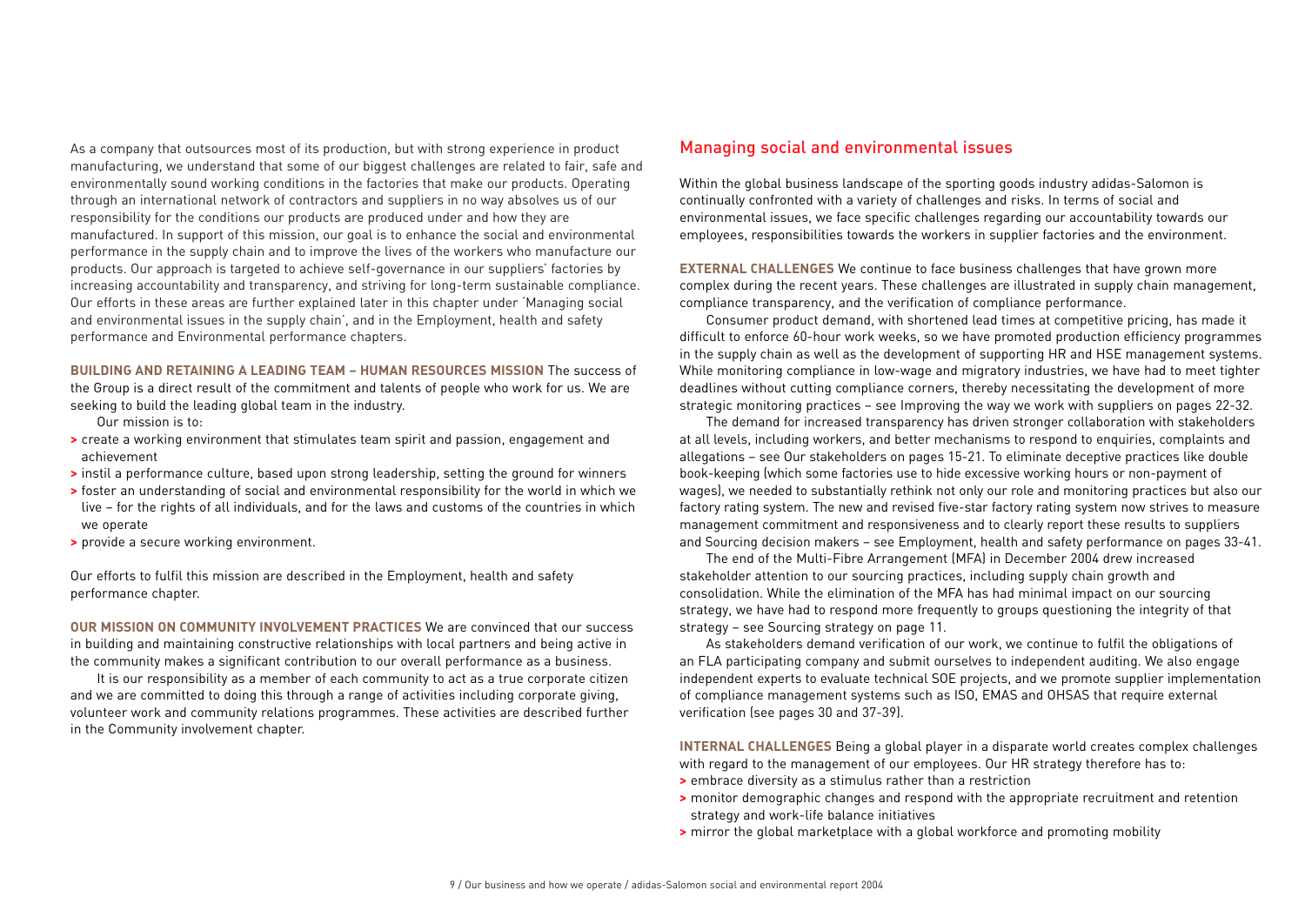As a company that outsources most of its production, but with strong experience in product manufacturing, we understand that some of our biggest challenges are related to fair, safe and environmentally sound working conditions in the factories that make our products. Operating through an international network of contractors and suppliers in no way absolves us of our responsibility for the conditions our products are produced under and how they are manufactured. In support of this mission, our goal is to enhance the social and environmental performance in the supply chain and to improve the lives of the workers who manufacture our products. Our approach is targeted to achieve self-governance in our suppliers' factories by increasing accountability and transparency, and striving for long-term sustainable compliance. Our efforts in these areas are further explained later in this chapter under 'Managing social and environmental issues in the supply chain', and in the Employment, health and safety performance and Environmental performance chapters.

**BUILDING AND RETAINING A LEADING TEAM – HUMAN RESOURCES MISSION** The success of the Group is a direct result of the commitment and talents of people who work for us. We are seeking to build the leading global team in the industry.

Our mission is to:

- **>** create a working environment that stimulates team spirit and passion, engagement and achievement
- **>** instil a performance culture, based upon strong leadership, setting the ground for winners
- **>** foster an understanding of social and environmental responsibility for the world in which we live – for the rights of all individuals, and for the laws and customs of the countries in which we operate
- **>** provide a secure working environment.

Our efforts to fulfil this mission are described in the Employment, health and safety performance chapter.

**OUR MISSION ON COMMUNITY INVOLVEMENT PRACTICES** We are convinced that our success in building and maintaining constructive relationships with local partners and being active in the community makes a significant contribution to our overall performance as a business.

It is our responsibility as a member of each community to act as a true corporate citizen and we are committed to doing this through a range of activities including corporate giving, volunteer work and community relations programmes. These activities are described further in the Community involvement chapter.

## Managing social and environmental issues

Within the global business landscape of the sporting goods industry adidas-Salomon is continually confronted with a variety of challenges and risks. In terms of social and environmental issues, we face specific challenges regarding our accountability towards our employees, responsibilities towards the workers in supplier factories and the environment.

**EXTERNAL CHALLENGES** We continue to face business challenges that have grown more complex during the recent years. These challenges are illustrated in supply chain management, compliance transparency, and the verification of compliance performance.

Consumer product demand, with shortened lead times at competitive pricing, has made it difficult to enforce 60-hour work weeks, so we have promoted production efficiency programmes in the supply chain as well as the development of supporting HR and HSE management systems. While monitoring compliance in low-wage and migratory industries, we have had to meet tighter deadlines without cutting compliance corners, thereby necessitating the development of more strategic monitoring practices – see Improving the way we work with suppliers on pages 22-32.

The demand for increased transparency has driven stronger collaboration with stakeholders at all levels, including workers, and better mechanisms to respond to enquiries, complaints and allegations – see Our stakeholders on pages 15-21. To eliminate deceptive practices like double book-keeping (which some factories use to hide excessive working hours or non-payment of wages), we needed to substantially rethink not only our role and monitoring practices but also our factory rating system. The new and revised five-star factory rating system now strives to measure management commitment and responsiveness and to clearly report these results to suppliers and Sourcing decision makers – see Employment, health and safety performance on pages 33-41.

The end of the Multi-Fibre Arrangement (MFA) in December 2004 drew increased stakeholder attention to our sourcing practices, including supply chain growth and consolidation. While the elimination of the MFA has had minimal impact on our sourcing strategy, we have had to respond more frequently to groups questioning the integrity of that strategy – see Sourcing strategy on page 11.

As stakeholders demand verification of our work, we continue to fulfil the obligations of an FLA participating company and submit ourselves to independent auditing. We also engage independent experts to evaluate technical SOE projects, and we promote supplier implementation of compliance management systems such as ISO, EMAS and OHSAS that require external verification (see pages 30 and 37-39).

**INTERNAL CHALLENGES** Being a global player in a disparate world creates complex challenges with regard to the management of our employees. Our HR strategy therefore has to:

- **>** embrace diversity as a stimulus rather than a restriction
- **>** monitor demographic changes and respond with the appropriate recruitment and retention strategy and work-life balance initiatives
- **>** mirror the global marketplace with a global workforce and promoting mobility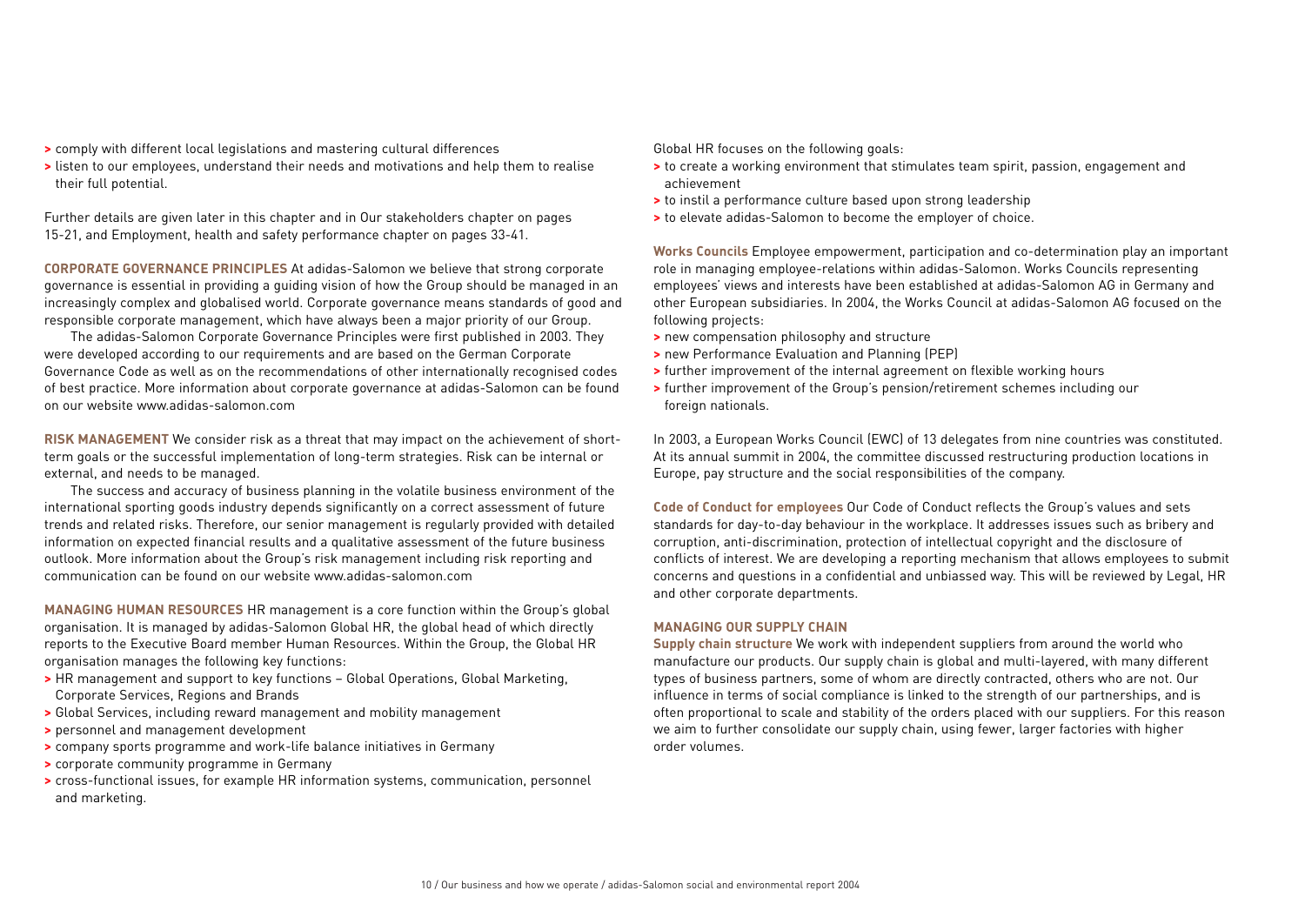- **>** comply with different local legislations and mastering cultural differences
- **>** listen to our employees, understand their needs and motivations and help them to realise their full potential.

Further details are given later in this chapter and in Our stakeholders chapter on pages 15-21, and Employment, health and safety performance chapter on pages 33-41.

**CORPORATE GOVERNANCE PRINCIPLES** At adidas-Salomon we believe that strong corporate governance is essential in providing a guiding vision of how the Group should be managed in an increasingly complex and globalised world. Corporate governance means standards of good and responsible corporate management, which have always been a major priority of our Group.

The adidas-Salomon Corporate Governance Principles were first published in 2003. They were developed according to our requirements and are based on the German Corporate Governance Code as well as on the recommendations of other internationally recognised codes of best practice. More information about corporate governance at adidas-Salomon can be found on our website www.adidas-salomon.com

**RISK MANAGEMENT** We consider risk as a threat that may impact on the achievement of shortterm goals or the successful implementation of long-term strategies. Risk can be internal or external, and needs to be managed.

The success and accuracy of business planning in the volatile business environment of the international sporting goods industry depends significantly on a correct assessment of future trends and related risks. Therefore, our senior management is regularly provided with detailed information on expected financial results and a qualitative assessment of the future business outlook. More information about the Group's risk management including risk reporting and communication can be found on our website www.adidas-salomon.com

**MANAGING HUMAN RESOURCES** HR management is a core function within the Group's global organisation. It is managed by adidas-Salomon Global HR, the global head of which directly reports to the Executive Board member Human Resources. Within the Group, the Global HR organisation manages the following key functions:

- **>** HR management and support to key functions Global Operations, Global Marketing, Corporate Services, Regions and Brands
- **>** Global Services, including reward management and mobility management
- **>** personnel and management development
- **>** company sports programme and work-life balance initiatives in Germany
- **>** corporate community programme in Germany
- **>** cross-functional issues, for example HR information systems, communication, personnel and marketing.

Global HR focuses on the following goals:

- **>** to create a working environment that stimulates team spirit, passion, engagement and achievement
- **>** to instil a performance culture based upon strong leadership
- **>** to elevate adidas-Salomon to become the employer of choice.

**Works Councils** Employee empowerment, participation and co-determination play an important role in managing employee-relations within adidas-Salomon. Works Councils representing employees' views and interests have been established at adidas-Salomon AG in Germany and other European subsidiaries. In 2004, the Works Council at adidas-Salomon AG focused on the following projects:

- **>** new compensation philosophy and structure
- **>** new Performance Evaluation and Planning (PEP)
- **>** further improvement of the internal agreement on flexible working hours
- **>** further improvement of the Group's pension/retirement schemes including our foreign nationals.

In 2003, a European Works Council (EWC) of 13 delegates from nine countries was constituted. At its annual summit in 2004, the committee discussed restructuring production locations in Europe, pay structure and the social responsibilities of the company.

**Code of Conduct for employees** Our Code of Conduct reflects the Group's values and sets standards for day-to-day behaviour in the workplace. It addresses issues such as bribery and corruption, anti-discrimination, protection of intellectual copyright and the disclosure of conflicts of interest. We are developing a reporting mechanism that allows employees to submit concerns and questions in a confidential and unbiassed way. This will be reviewed by Legal, HR and other corporate departments.

### **MANAGING OUR SUPPLY CHAIN**

**Supply chain structure** We work with independent suppliers from around the world who manufacture our products. Our supply chain is global and multi-layered, with many different types of business partners, some of whom are directly contracted, others who are not. Our influence in terms of social compliance is linked to the strength of our partnerships, and is often proportional to scale and stability of the orders placed with our suppliers. For this reason we aim to further consolidate our supply chain, using fewer, larger factories with higher order volumes.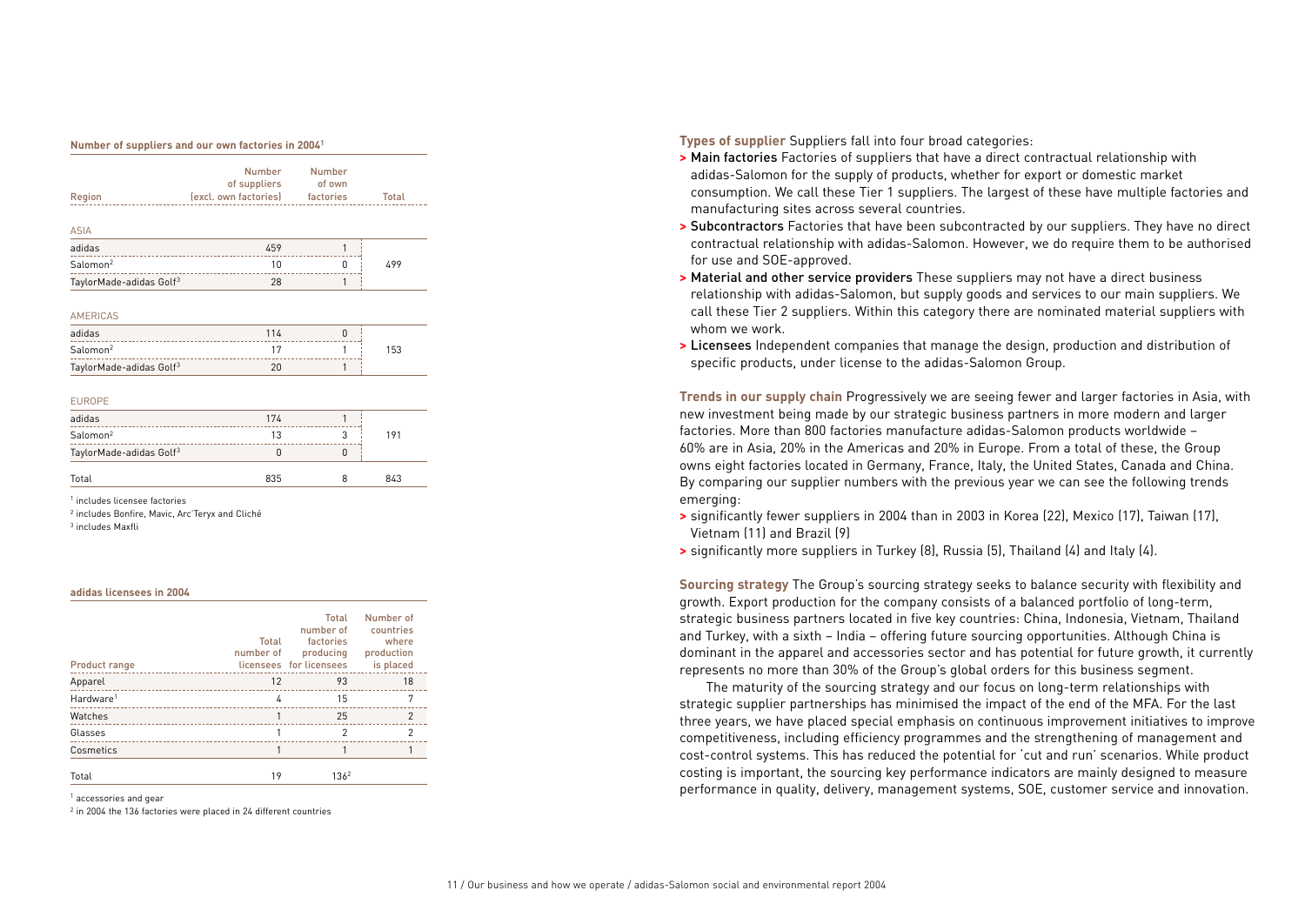#### **Number of suppliers and our own factories in 20041**

| Region                              | Number<br>of suppliers<br>(excl. own factories) factories | <b>Number</b><br>of own | Total |
|-------------------------------------|-----------------------------------------------------------|-------------------------|-------|
| <b>ASIA</b>                         |                                                           |                         |       |
| adidas                              | 459<br>___________________________________                | 1                       |       |
| Salomon <sup>2</sup>                | 10                                                        | 0                       | 499   |
| TaylorMade-adidas Golf <sup>3</sup> | 28                                                        | 1                       |       |
| <b>AMERICAS</b>                     |                                                           |                         |       |
| adidas<br>.                         | 114                                                       | $\Omega$                |       |
| Salomon <sup>2</sup>                | 17                                                        | 1                       | 153   |
| TaylorMade-adidas Golf <sup>3</sup> | 20                                                        | 1                       |       |
| <b>EUROPE</b>                       |                                                           |                         |       |
| adidas<br>                          | 174                                                       |                         |       |
| $C - 1 -  - 2$                      | 1 <sub>0</sub>                                            | $\sim$                  | 101   |

| auluus                              | $\cdots$ |     |
|-------------------------------------|----------|-----|
| $\mathsf{Salomon}^2$                | 13       | 191 |
| TaylorMade-adidas Golf <sup>3</sup> |          |     |
| Total                               | 835      | 843 |

<sup>1</sup> includes licensee factories

<sup>2</sup> includes Bonfire, Mavic, Arc'Teryx and Cliché

<sup>3</sup> includes Maxfli

### **adidas licensees in 2004**

| Product range         | Total<br>number of | Total<br>number of<br>factories<br>producing<br>licensees for licensees | Number of<br>countries<br>where<br>production<br>is placed |
|-----------------------|--------------------|-------------------------------------------------------------------------|------------------------------------------------------------|
| Apparel               | 12                 | 93                                                                      | 18                                                         |
| Hardware <sup>1</sup> | 4                  | 15                                                                      | 7                                                          |
| Watches               |                    | 25                                                                      | $\mathfrak{p}$                                             |
| Glasses               |                    | 2                                                                       | 2                                                          |
| Cosmetics             |                    |                                                                         |                                                            |
| Total                 | 19                 | 136 <sup>2</sup>                                                        |                                                            |

<sup>1</sup> accessories and gear

 $2$  in 2004 the 136 factories were placed in 24 different countries

**Types of supplier** Suppliers fall into four broad categories:

- **>** Main factories Factories of suppliers that have a direct contractual relationship with adidas-Salomon for the supply of products, whether for export or domestic market consumption. We call these Tier 1 suppliers. The largest of these have multiple factories and manufacturing sites across several countries.
- **>** Subcontractors Factories that have been subcontracted by our suppliers. They have no direct contractual relationship with adidas-Salomon. However, we do require them to be authorised for use and SOE-approved.
- **>** Material and other service providers These suppliers may not have a direct business relationship with adidas-Salomon, but supply goods and services to our main suppliers. We call these Tier 2 suppliers. Within this category there are nominated material suppliers with whom we work.
- **>** Licensees Independent companies that manage the design, production and distribution of specific products, under license to the adidas-Salomon Group.

**Trends in our supply chain** Progressively we are seeing fewer and larger factories in Asia, with new investment being made by our strategic business partners in more modern and larger factories. More than 800 factories manufacture adidas-Salomon products worldwide – 60% are in Asia, 20% in the Americas and 20% in Europe. From a total of these, the Group owns eight factories located in Germany, France, Italy, the United States, Canada and China. By comparing our supplier numbers with the previous year we can see the following trends emerging:

- **>** significantly fewer suppliers in 2004 than in 2003 in Korea (22), Mexico (17), Taiwan (17), Vietnam (11) and Brazil (9)
- **>** significantly more suppliers in Turkey (8), Russia (5), Thailand (4) and Italy (4).

**Sourcing strategy** The Group's sourcing strategy seeks to balance security with flexibility and growth. Export production for the company consists of a balanced portfolio of long-term, strategic business partners located in five key countries: China, Indonesia, Vietnam, Thailand and Turkey, with a sixth – India – offering future sourcing opportunities. Although China is dominant in the apparel and accessories sector and has potential for future growth, it currently represents no more than 30% of the Group's global orders for this business segment.

The maturity of the sourcing strategy and our focus on long-term relationships with strategic supplier partnerships has minimised the impact of the end of the MFA. For the last three years, we have placed special emphasis on continuous improvement initiatives to improve competitiveness, including efficiency programmes and the strengthening of management and cost-control systems. This has reduced the potential for 'cut and run' scenarios. While product costing is important, the sourcing key performance indicators are mainly designed to measure performance in quality, delivery, management systems, SOE, customer service and innovation.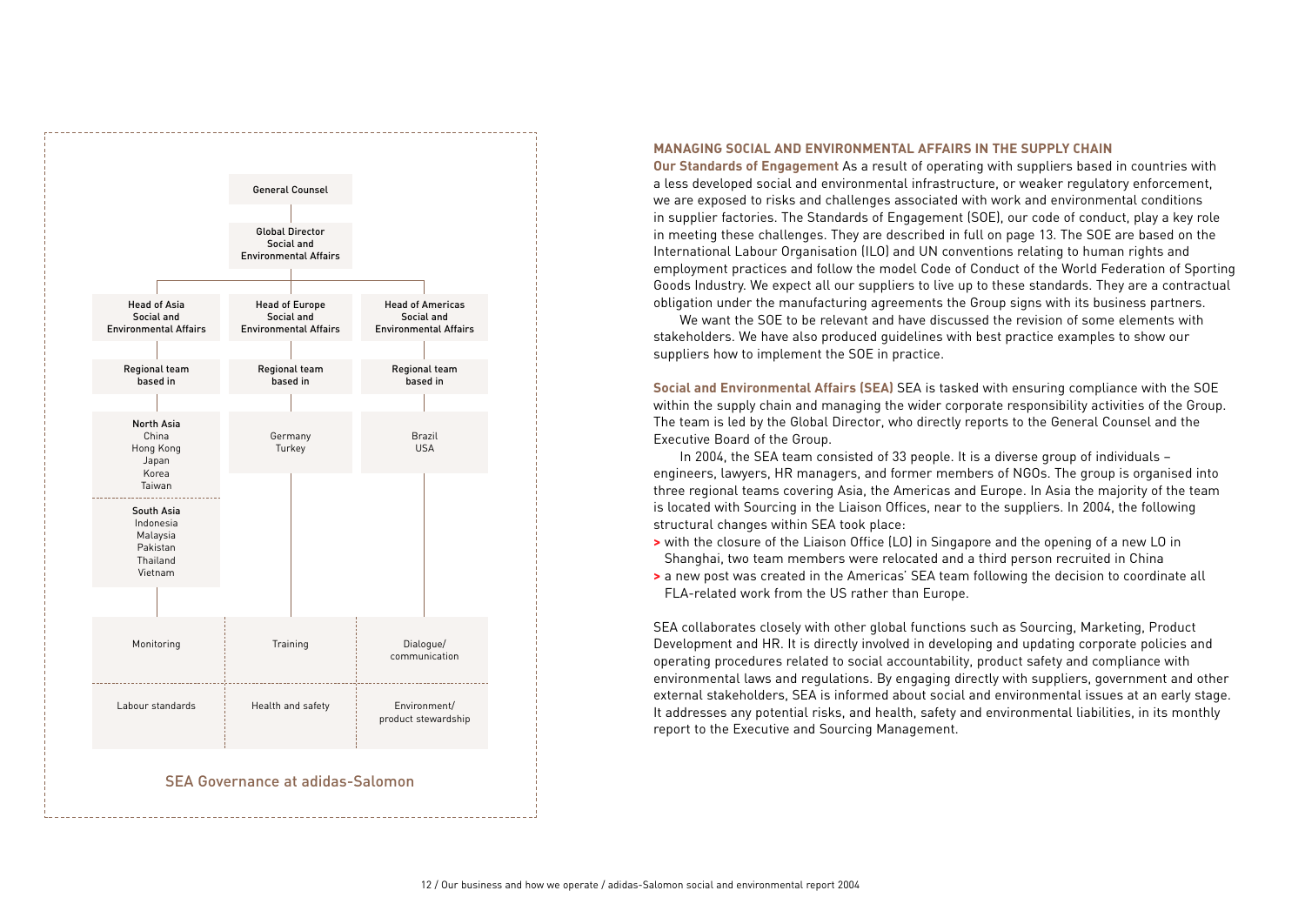

## **MANAGING SOCIAL AND ENVIRONMENTAL AFFAIRS IN THE SUPPLY CHAIN**

**Our Standards of Engagement** As a result of operating with suppliers based in countries with a less developed social and environmental infrastructure, or weaker regulatory enforcement, we are exposed to risks and challenges associated with work and environmental conditions in supplier factories. The Standards of Engagement (SOE), our code of conduct, play a key role in meeting these challenges. They are described in full on page 13. The SOE are based on the International Labour Organisation (ILO) and UN conventions relating to human rights and employment practices and follow the model Code of Conduct of the World Federation of Sporting Goods Industry. We expect all our suppliers to live up to these standards. They are a contractual obligation under the manufacturing agreements the Group signs with its business partners.

We want the SOE to be relevant and have discussed the revision of some elements with stakeholders. We have also produced guidelines with best practice examples to show our suppliers how to implement the SOE in practice.

**Social and Environmental Affairs (SEA)** SEA is tasked with ensuring compliance with the SOE within the supply chain and managing the wider corporate responsibility activities of the Group. The team is led by the Global Director, who directly reports to the General Counsel and the Executive Board of the Group.

In 2004, the SEA team consisted of 33 people. It is a diverse group of individuals – engineers, lawyers, HR managers, and former members of NGOs. The group is organised into three regional teams covering Asia, the Americas and Europe. In Asia the majority of the team is located with Sourcing in the Liaison Offices, near to the suppliers. In 2004, the following structural changes within SEA took place:

- **>** with the closure of the Liaison Office (LO) in Singapore and the opening of a new LO in Shanghai, two team members were relocated and a third person recruited in China
- **>** a new post was created in the Americas' SEA team following the decision to coordinate all FLA-related work from the US rather than Europe.

SEA collaborates closely with other global functions such as Sourcing, Marketing, Product Development and HR. It is directly involved in developing and updating corporate policies and operating procedures related to social accountability, product safety and compliance with environmental laws and regulations. By engaging directly with suppliers, government and other external stakeholders, SEA is informed about social and environmental issues at an early stage. It addresses any potential risks, and health, safety and environmental liabilities, in its monthly report to the Executive and Sourcing Management.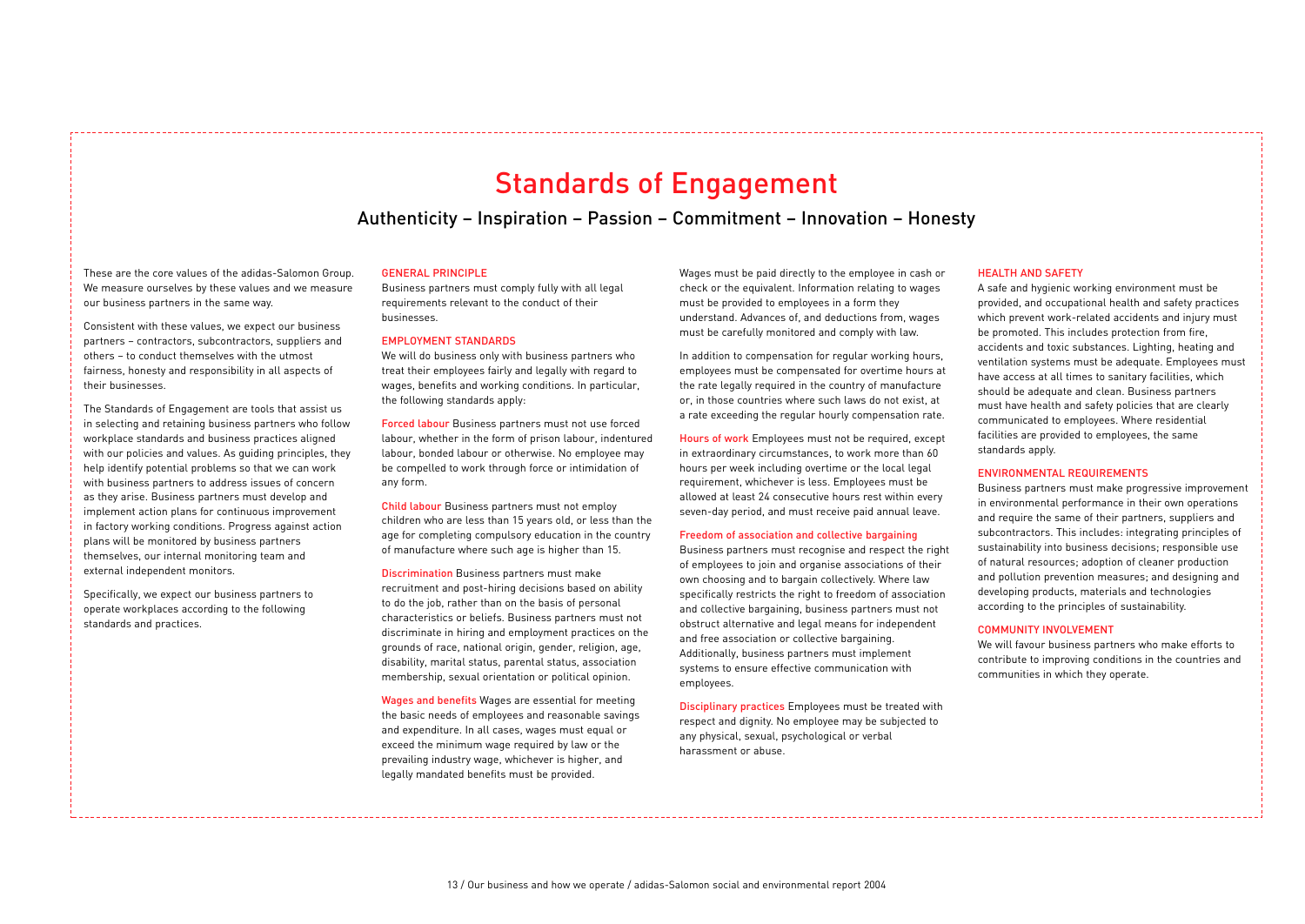# Standards of Engagement

Authenticity – Inspiration – Passion – Commitment – Innovation – Honesty

These are the core values of the adidas-Salomon Group. We measure ourselves by these values and we measure our business partners in the same way.

Consistent with these values, we expect our business partners – contractors, subcontractors, suppliers and others – to conduct themselves with the utmost fairness, honesty and responsibility in all aspects of their businesses.

The Standards of Engagement are tools that assist us in selecting and retaining business partners who follow workplace standards and business practices aligned with our policies and values. As guiding principles, they help identify potential problems so that we can work with business partners to address issues of concern as they arise. Business partners must develop and implement action plans for continuous improvement in factory working conditions. Progress against action plans will be monitored by business partners themselves, our internal monitoring team and external independent monitors.

Specifically, we expect our business partners to operate workplaces according to the following standards and practices.

### GENERAL PRINCIPLE

Business partners must comply fully with all legal requirements relevant to the conduct of their businesses.

### EMPLOYMENT STANDARDS

We will do business only with business partners who treat their employees fairly and legally with regard to wages, benefits and working conditions. In particular, the following standards apply:

Forced labour Business partners must not use forced labour, whether in the form of prison labour, indentured labour, bonded labour or otherwise. No employee may be compelled to work through force or intimidation of any form.

Child labour Business partners must not employ children who are less than 15 years old, or less than the age for completing compulsory education in the country of manufacture where such age is higher than 15.

Discrimination Business partners must make recruitment and post-hiring decisions based on ability to do the job, rather than on the basis of personal characteristics or beliefs. Business partners must not discriminate in hiring and employment practices on the grounds of race, national origin, gender, religion, age, disability, marital status, parental status, association membership, sexual orientation or political opinion.

Wages and benefits Wages are essential for meeting the basic needs of employees and reasonable savings and expenditure. In all cases, wages must equal or exceed the minimum wage required by law or the prevailing industry wage, whichever is higher, and legally mandated benefits must be provided.

Wages must be paid directly to the employee in cash or check or the equivalent. Information relating to wages must be provided to employees in a form they understand. Advances of, and deductions from, wages must be carefully monitored and comply with law.

In addition to compensation for regular working hours, employees must be compensated for overtime hours at the rate legally required in the country of manufacture or, in those countries where such laws do not exist, at a rate exceeding the regular hourly compensation rate.

Hours of work Employees must not be required, except in extraordinary circumstances, to work more than 60 hours per week including overtime or the local legal requirement, whichever is less. Employees must be allowed at least 24 consecutive hours rest within every seven-day period, and must receive paid annual leave.

### Freedom of association and collective bargaining

Business partners must recognise and respect the right of employees to join and organise associations of their own choosing and to bargain collectively. Where law specifically restricts the right to freedom of association and collective bargaining, business partners must not obstruct alternative and legal means for independent and free association or collective bargaining. Additionally, business partners must implement systems to ensure effective communication with employees.

Disciplinary practices Employees must be treated with respect and dignity. No employee may be subjected to any physical, sexual, psychological or verbal harassment or abuse.

### HEALTH AND SAFETY

A safe and hygienic working environment must be provided, and occupational health and safety practices which prevent work-related accidents and injury must be promoted. This includes protection from fire, accidents and toxic substances. Lighting, heating and ventilation systems must be adequate. Employees must have access at all times to sanitary facilities, which should be adequate and clean. Business partners must have health and safety policies that are clearly communicated to employees. Where residential facilities are provided to employees, the same standards apply.

### ENVIRONMENTAL REQUIREMENTS

Business partners must make progressive improvement in environmental performance in their own operations and require the same of their partners, suppliers and subcontractors. This includes: integrating principles of sustainability into business decisions; responsible use of natural resources; adoption of cleaner production and pollution prevention measures; and designing and developing products, materials and technologies according to the principles of sustainability.

### COMMUNITY INVOLVEMENT

We will favour business partners who make efforts to contribute to improving conditions in the countries and communities in which they operate.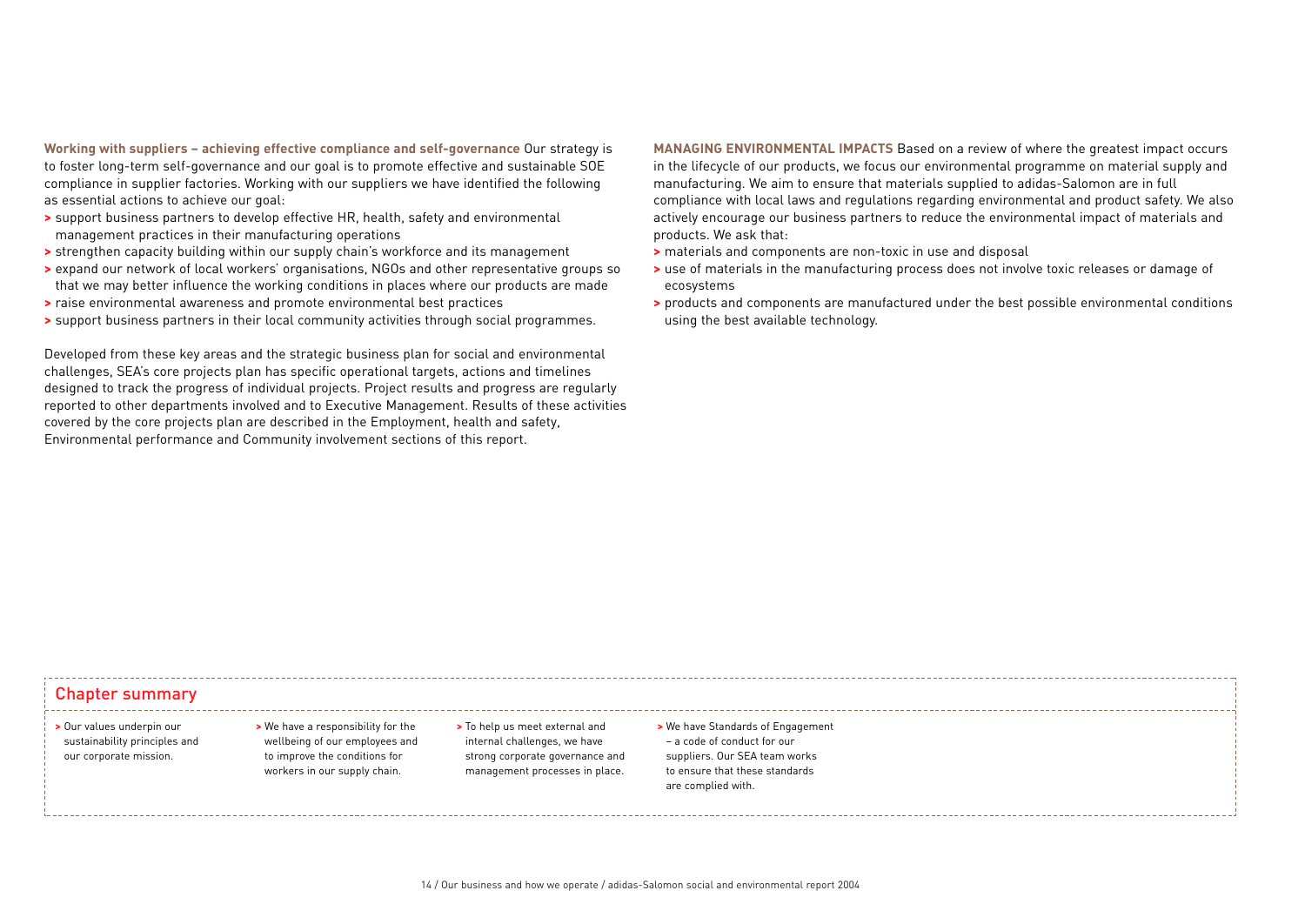**Working with suppliers – achieving effective compliance and self-governance** Our strategy is to foster long-term self-governance and our goal is to promote effective and sustainable SOE compliance in supplier factories. Working with our suppliers we have identified the following as essential actions to achieve our goal:

- **>** support business partners to develop effective HR, health, safety and environmental management practices in their manufacturing operations
- **>** strengthen capacity building within our supply chain's workforce and its management
- **>** expand our network of local workers' organisations, NGOs and other representative groups so that we may better influence the working conditions in places where our products are made
- **>** raise environmental awareness and promote environmental best practices
- **>** support business partners in their local community activities through social programmes.

Developed from these key areas and the strategic business plan for social and environmental challenges, SEA's core projects plan has specific operational targets, actions and timelines designed to track the progress of individual projects. Project results and progress are regularly reported to other departments involved and to Executive Management. Results of these activities covered by the core projects plan are described in the Employment, health and safety, Environmental performance and Community involvement sections of this report.

**MANAGING ENVIRONMENTAL IMPACTS** Based on a review of where the greatest impact occurs in the lifecycle of our products, we focus our environmental programme on material supply and manufacturing. We aim to ensure that materials supplied to adidas-Salomon are in full compliance with local laws and regulations regarding environmental and product safety. We also actively encourage our business partners to reduce the environmental impact of materials and products. We ask that:

- **>** materials and components are non-toxic in use and disposal
- **>** use of materials in the manufacturing process does not involve toxic releases or damage of ecosystems
- **>** products and components are manufactured under the best possible environmental conditions using the best available technology.

# Chapter summary

- **>** Our values underpin our sustainability principles and our corporate mission.
- **>** We have a responsibility for the wellbeing of our employees and to improve the conditions for workers in our supply chain.
- **>** To help us meet external and internal challenges, we have strong corporate governance and management processes in place.
- **>** We have Standards of Engagement – a code of conduct for our suppliers. Our SEA team works to ensure that these standards are complied with.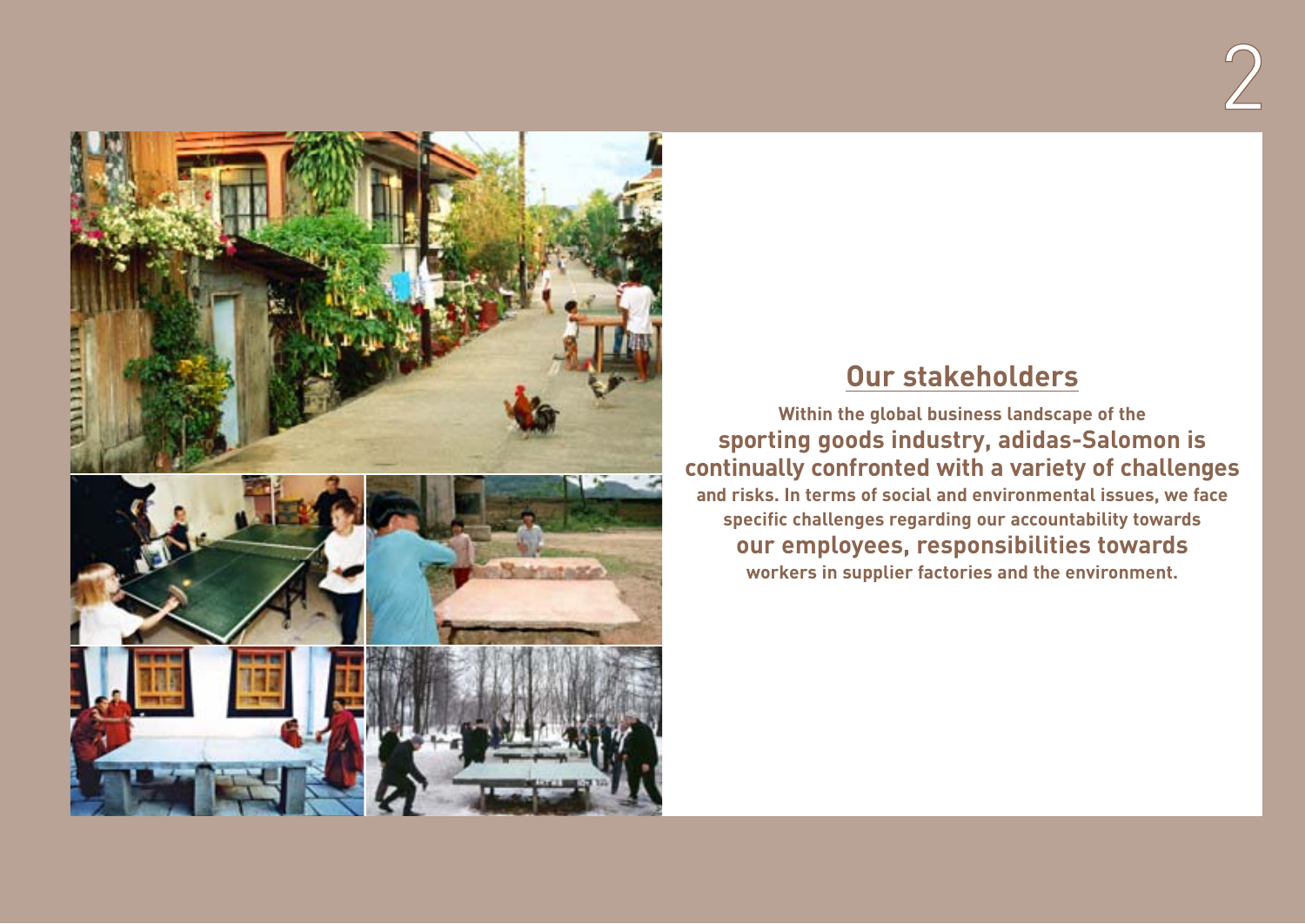



# **Our stakeholders**

**Within the global business landscape of the sporting goods industry, adidas-Salomon is continually confronted with a variety of challenges and risks. In terms of social and environmental issues, we face specific challenges regarding our accountability towards our employees, responsibilities towards workers in supplier factories and the environment.**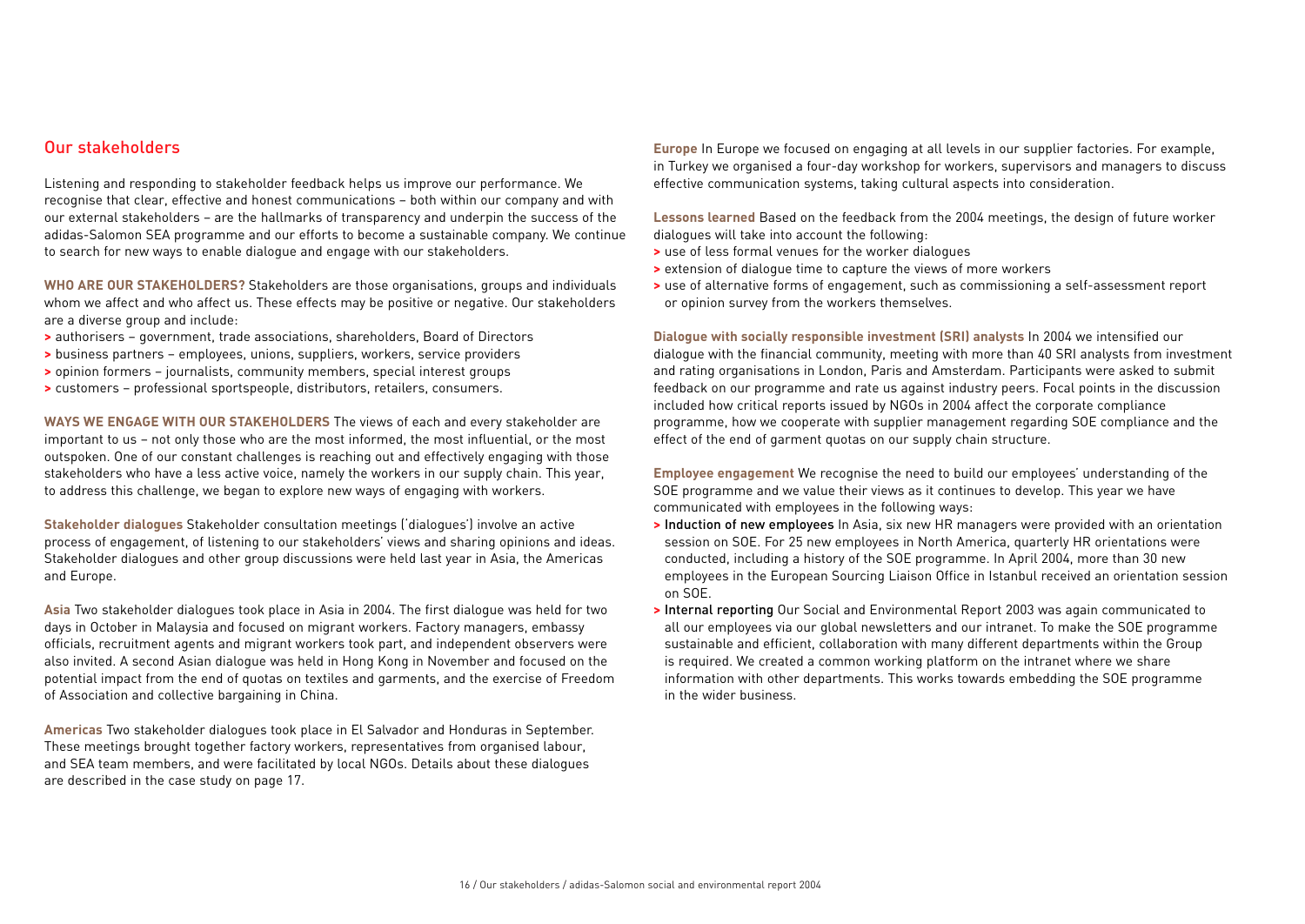## Our stakeholders

Listening and responding to stakeholder feedback helps us improve our performance. We recognise that clear, effective and honest communications – both within our company and with our external stakeholders – are the hallmarks of transparency and underpin the success of the adidas-Salomon SEA programme and our efforts to become a sustainable company. We continue to search for new ways to enable dialogue and engage with our stakeholders.

**WHO ARE OUR STAKEHOLDERS?** Stakeholders are those organisations, groups and individuals whom we affect and who affect us. These effects may be positive or negative. Our stakeholders are a diverse group and include:

- **>** authorisers government, trade associations, shareholders, Board of Directors
- **>** business partners employees, unions, suppliers, workers, service providers
- **>** opinion formers journalists, community members, special interest groups
- **>** customers professional sportspeople, distributors, retailers, consumers.

**WAYS WE ENGAGE WITH OUR STAKEHOLDERS** The views of each and every stakeholder are important to us – not only those who are the most informed, the most influential, or the most outspoken. One of our constant challenges is reaching out and effectively engaging with those stakeholders who have a less active voice, namely the workers in our supply chain. This year, to address this challenge, we began to explore new ways of engaging with workers.

**Stakeholder dialogues** Stakeholder consultation meetings ('dialogues') involve an active process of engagement, of listening to our stakeholders' views and sharing opinions and ideas. Stakeholder dialogues and other group discussions were held last year in Asia, the Americas and Europe.

**Asia** Two stakeholder dialogues took place in Asia in 2004. The first dialogue was held for two days in October in Malaysia and focused on migrant workers. Factory managers, embassy officials, recruitment agents and migrant workers took part, and independent observers were also invited. A second Asian dialogue was held in Hong Kong in November and focused on the potential impact from the end of quotas on textiles and garments, and the exercise of Freedom of Association and collective bargaining in China.

**Americas** Two stakeholder dialogues took place in El Salvador and Honduras in September. These meetings brought together factory workers, representatives from organised labour, and SEA team members, and were facilitated by local NGOs. Details about these dialogues are described in the case study on page 17.

**Europe** In Europe we focused on engaging at all levels in our supplier factories. For example, in Turkey we organised a four-day workshop for workers, supervisors and managers to discuss effective communication systems, taking cultural aspects into consideration.

**Lessons learned** Based on the feedback from the 2004 meetings, the design of future worker dialogues will take into account the following:

- **>** use of less formal venues for the worker dialogues
- **>** extension of dialogue time to capture the views of more workers
- **>** use of alternative forms of engagement, such as commissioning a self-assessment report or opinion survey from the workers themselves.

**Dialogue with socially responsible investment (SRI) analysts** In 2004 we intensified our dialogue with the financial community, meeting with more than 40 SRI analysts from investment and rating organisations in London, Paris and Amsterdam. Participants were asked to submit feedback on our programme and rate us against industry peers. Focal points in the discussion included how critical reports issued by NGOs in 2004 affect the corporate compliance programme, how we cooperate with supplier management regarding SOE compliance and the effect of the end of garment quotas on our supply chain structure.

**Employee engagement** We recognise the need to build our employees' understanding of the SOE programme and we value their views as it continues to develop. This year we have communicated with employees in the following ways:

- **>** Induction of new employees In Asia, six new HR managers were provided with an orientation session on SOE. For 25 new employees in North America, quarterly HR orientations were conducted, including a history of the SOE programme. In April 2004, more than 30 new employees in the European Sourcing Liaison Office in Istanbul received an orientation session on SOE.
- **>** Internal reporting Our Social and Environmental Report 2003 was again communicated to all our employees via our global newsletters and our intranet. To make the SOE programme sustainable and efficient, collaboration with many different departments within the Group is required. We created a common working platform on the intranet where we share information with other departments. This works towards embedding the SOE programme in the wider business.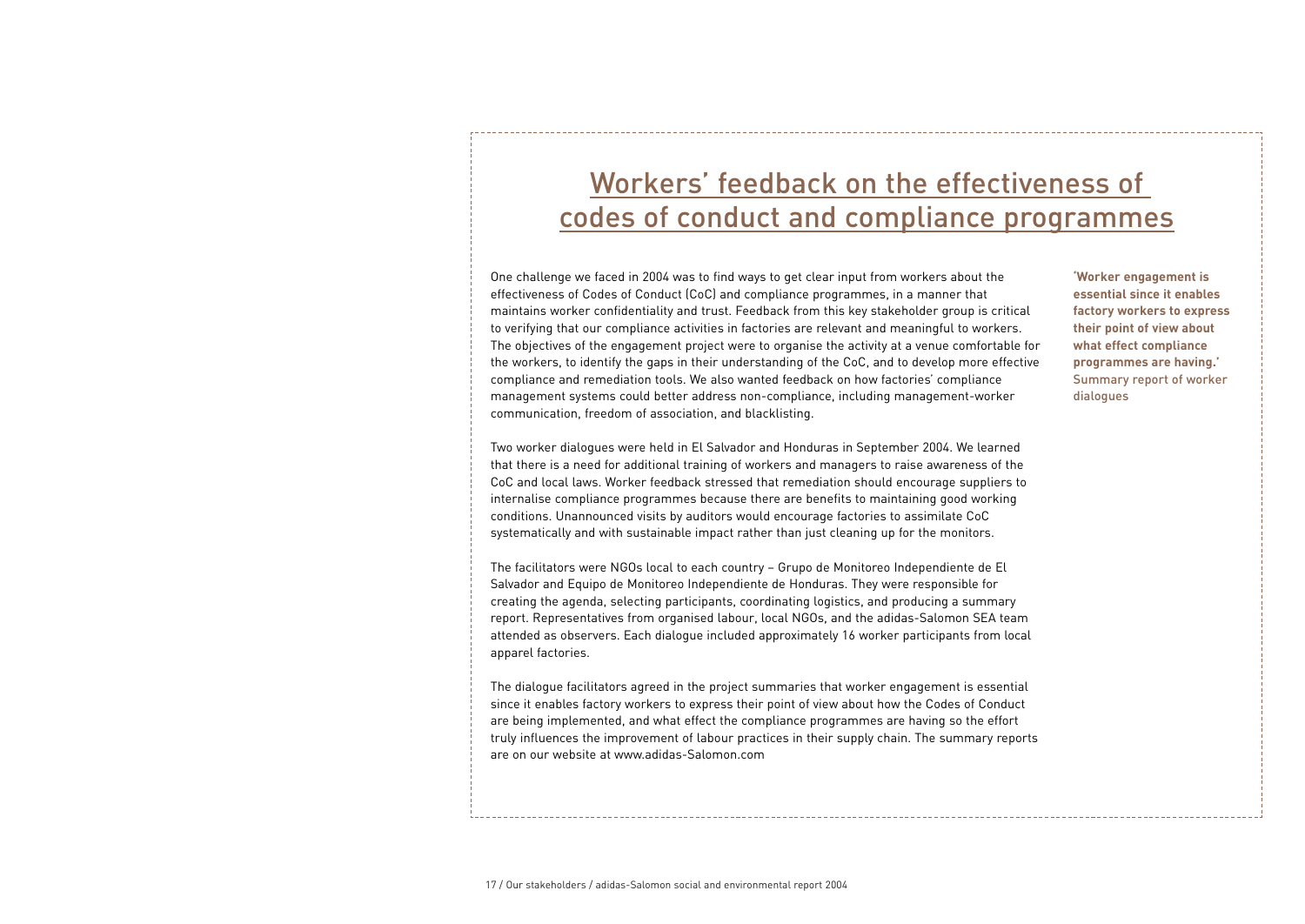# Workers' feedback on the effectiveness of codes of conduct and compliance programmes

One challenge we faced in 2004 was to find ways to get clear input from workers about the effectiveness of Codes of Conduct (CoC) and compliance programmes, in a manner that maintains worker confidentiality and trust. Feedback from this key stakeholder group is critical to verifying that our compliance activities in factories are relevant and meaningful to workers. The objectives of the engagement project were to organise the activity at a venue comfortable for the workers, to identify the gaps in their understanding of the CoC, and to develop more effective compliance and remediation tools. We also wanted feedback on how factories' compliance management systems could better address non-compliance, including management-worker communication, freedom of association, and blacklisting.

Two worker dialogues were held in El Salvador and Honduras in September 2004. We learned that there is a need for additional training of workers and managers to raise awareness of the CoC and local laws. Worker feedback stressed that remediation should encourage suppliers to internalise compliance programmes because there are benefits to maintaining good working conditions. Unannounced visits by auditors would encourage factories to assimilate CoC systematically and with sustainable impact rather than just cleaning up for the monitors.

The facilitators were NGOs local to each country – Grupo de Monitoreo Independiente de El Salvador and Equipo de Monitoreo Independiente de Honduras. They were responsible for creating the agenda, selecting participants, coordinating logistics, and producing a summary report. Representatives from organised labour, local NGOs, and the adidas-Salomon SEA team attended as observers. Each dialogue included approximately 16 worker participants from local apparel factories.

The dialogue facilitators agreed in the project summaries that worker engagement is essential since it enables factory workers to express their point of view about how the Codes of Conduct are being implemented, and what effect the compliance programmes are having so the effort truly influences the improvement of labour practices in their supply chain. The summary reports are on our website at www.adidas-Salomon.com

**'Worker engagement is essential since it enables factory workers to express their point of view about what effect compliance programmes are having.'**  Summary report of worker dialogues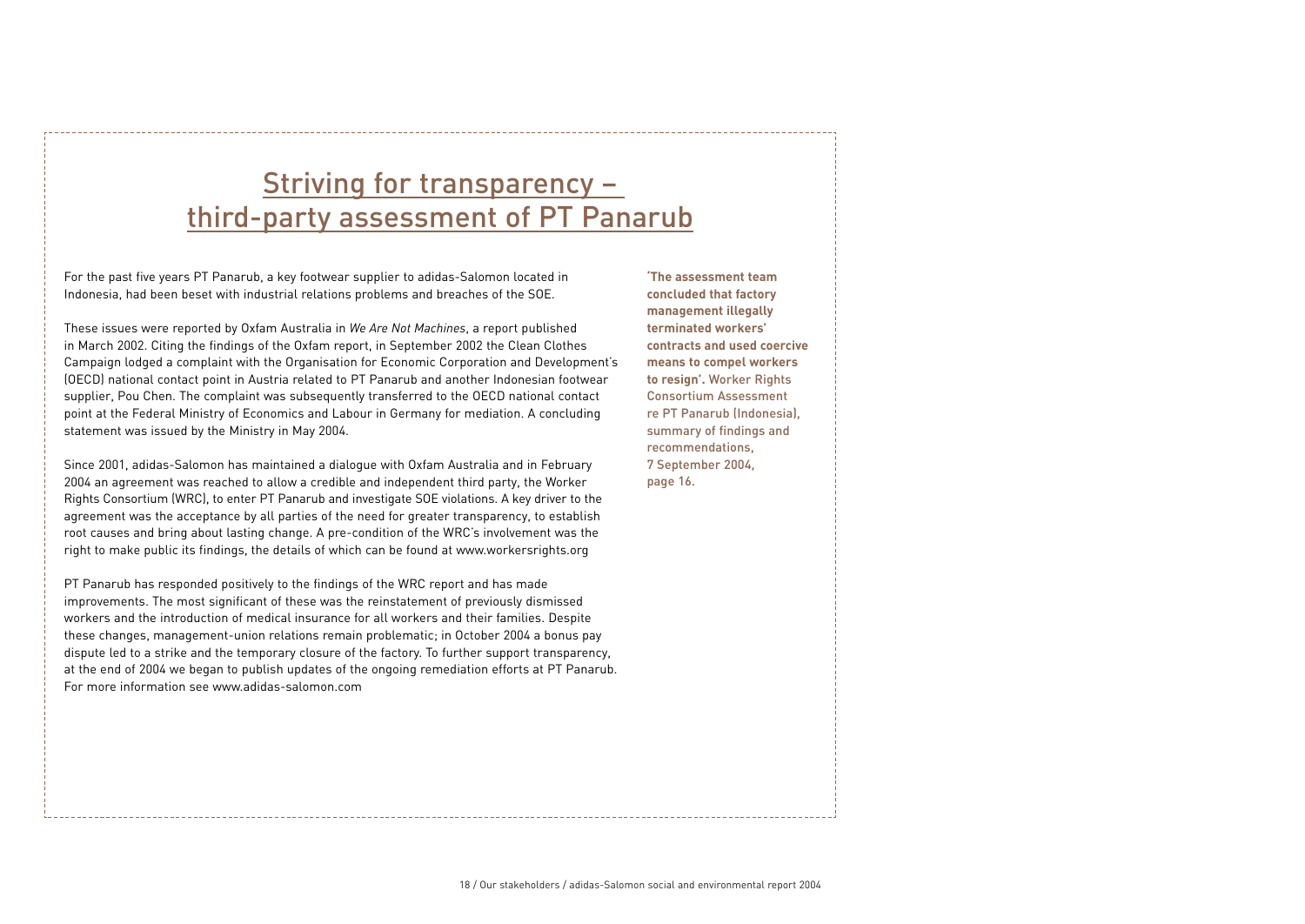# Striving for transparency third-party assessment of PT Panarub

For the past five years PT Panarub, a key footwear supplier to adidas-Salomon located in Indonesia, had been beset with industrial relations problems and breaches of the SOE.

These issues were reported by Oxfam Australia in *We Are Not Machines*, a report published in March 2002. Citing the findings of the Oxfam report, in September 2002 the Clean Clothes Campaign lodged a complaint with the Organisation for Economic Corporation and Development's (OECD) national contact point in Austria related to PT Panarub and another Indonesian footwear supplier, Pou Chen. The complaint was subsequently transferred to the OECD national contact point at the Federal Ministry of Economics and Labour in Germany for mediation. A concluding statement was issued by the Ministry in May 2004.

Since 2001, adidas-Salomon has maintained a dialogue with Oxfam Australia and in February 2004 an agreement was reached to allow a credible and independent third party, the Worker Rights Consortium (WRC), to enter PT Panarub and investigate SOE violations. A key driver to the agreement was the acceptance by all parties of the need for greater transparency, to establish root causes and bring about lasting change. A pre-condition of the WRC's involvement was the right to make public its findings, the details of which can be found at www.workersrights.org

PT Panarub has responded positively to the findings of the WRC report and has made improvements. The most significant of these was the reinstatement of previously dismissed workers and the introduction of medical insurance for all workers and their families. Despite these changes, management-union relations remain problematic; in October 2004 a bonus pay dispute led to a strike and the temporary closure of the factory. To further support transparency, at the end of 2004 we began to publish updates of the ongoing remediation efforts at PT Panarub. For more information see www.adidas-salomon.com

**'The assessment team concluded that factory management illegally terminated workers' contracts and used coercive means to compel workers to resign'.** Worker Rights Consortium Assessment re PT Panarub (Indonesia), summary of findings and recommendations, 7 September 2004, page 16.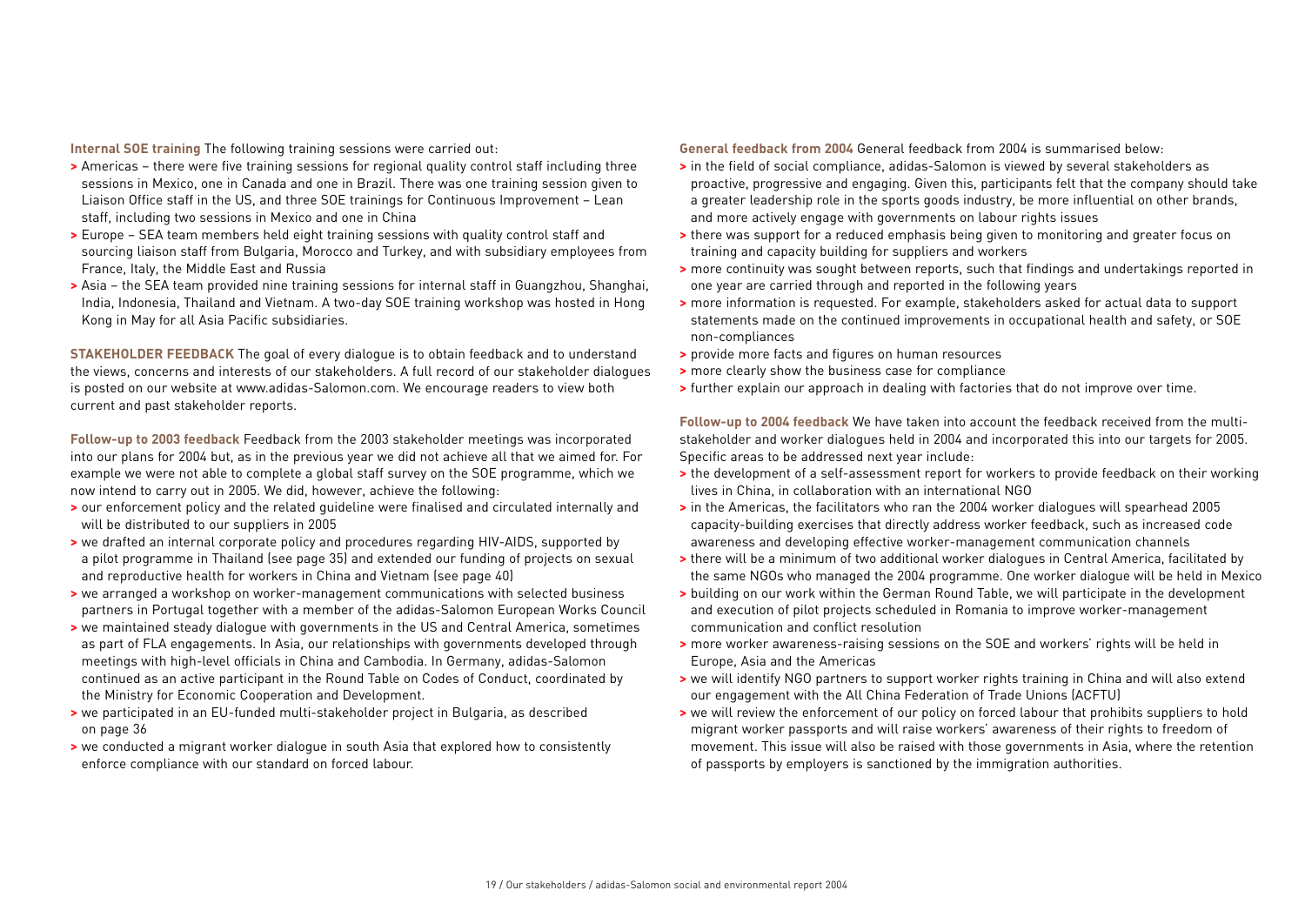**Internal SOE training** The following training sessions were carried out:

- **>** Americas there were five training sessions for regional quality control staff including three sessions in Mexico, one in Canada and one in Brazil. There was one training session given to Liaison Office staff in the US, and three SOE trainings for Continuous Improvement – Lean staff, including two sessions in Mexico and one in China
- **>** Europe SEA team members held eight training sessions with quality control staff and sourcing liaison staff from Bulgaria, Morocco and Turkey, and with subsidiary employees from France, Italy, the Middle East and Russia
- **>** Asia the SEA team provided nine training sessions for internal staff in Guangzhou, Shanghai, India, Indonesia, Thailand and Vietnam. A two-day SOE training workshop was hosted in Hong Kong in May for all Asia Pacific subsidiaries.

**STAKEHOLDER FEEDBACK** The goal of every dialogue is to obtain feedback and to understand the views, concerns and interests of our stakeholders. A full record of our stakeholder dialogues is posted on our website at www.adidas-Salomon.com. We encourage readers to view both current and past stakeholder reports.

**Follow-up to 2003 feedback** Feedback from the 2003 stakeholder meetings was incorporated into our plans for 2004 but, as in the previous year we did not achieve all that we aimed for. For example we were not able to complete a global staff survey on the SOE programme, which we now intend to carry out in 2005. We did, however, achieve the following:

- **>** our enforcement policy and the related guideline were finalised and circulated internally and will be distributed to our suppliers in 2005
- **>** we drafted an internal corporate policy and procedures regarding HIV-AIDS, supported by a pilot programme in Thailand (see page 35) and extended our funding of projects on sexual and reproductive health for workers in China and Vietnam (see page 40)
- **>** we arranged a workshop on worker-management communications with selected business partners in Portugal together with a member of the adidas-Salomon European Works Council
- **>** we maintained steady dialogue with governments in the US and Central America, sometimes as part of FLA engagements. In Asia, our relationships with governments developed through meetings with high-level officials in China and Cambodia. In Germany, adidas-Salomon continued as an active participant in the Round Table on Codes of Conduct, coordinated by the Ministry for Economic Cooperation and Development.
- **>** we participated in an EU-funded multi-stakeholder project in Bulgaria, as described on page 36
- **>** we conducted a migrant worker dialogue in south Asia that explored how to consistently enforce compliance with our standard on forced labour.

**General feedback from 2004** General feedback from 2004 is summarised below:

- **>** in the field of social compliance, adidas-Salomon is viewed by several stakeholders as proactive, progressive and engaging. Given this, participants felt that the company should take a greater leadership role in the sports goods industry, be more influential on other brands, and more actively engage with governments on labour rights issues
- **>** there was support for a reduced emphasis being given to monitoring and greater focus on training and capacity building for suppliers and workers
- **>** more continuity was sought between reports, such that findings and undertakings reported in one year are carried through and reported in the following years
- **>** more information is requested. For example, stakeholders asked for actual data to support statements made on the continued improvements in occupational health and safety, or SOE non-compliances
- **>** provide more facts and figures on human resources
- **>** more clearly show the business case for compliance
- **>** further explain our approach in dealing with factories that do not improve over time.

**Follow-up to 2004 feedback** We have taken into account the feedback received from the multistakeholder and worker dialogues held in 2004 and incorporated this into our targets for 2005. Specific areas to be addressed next year include:

- **>** the development of a self-assessment report for workers to provide feedback on their working lives in China, in collaboration with an international NGO
- **>** in the Americas, the facilitators who ran the 2004 worker dialogues will spearhead 2005 capacity-building exercises that directly address worker feedback, such as increased code awareness and developing effective worker-management communication channels
- **>** there will be a minimum of two additional worker dialogues in Central America, facilitated by the same NGOs who managed the 2004 programme. One worker dialogue will be held in Mexico
- **>** building on our work within the German Round Table, we will participate in the development and execution of pilot projects scheduled in Romania to improve worker-management communication and conflict resolution
- **>** more worker awareness-raising sessions on the SOE and workers' rights will be held in Europe, Asia and the Americas
- **>** we will identify NGO partners to support worker rights training in China and will also extend our engagement with the All China Federation of Trade Unions (ACFTU)
- **>** we will review the enforcement of our policy on forced labour that prohibits suppliers to hold migrant worker passports and will raise workers' awareness of their rights to freedom of movement. This issue will also be raised with those governments in Asia, where the retention of passports by employers is sanctioned by the immigration authorities.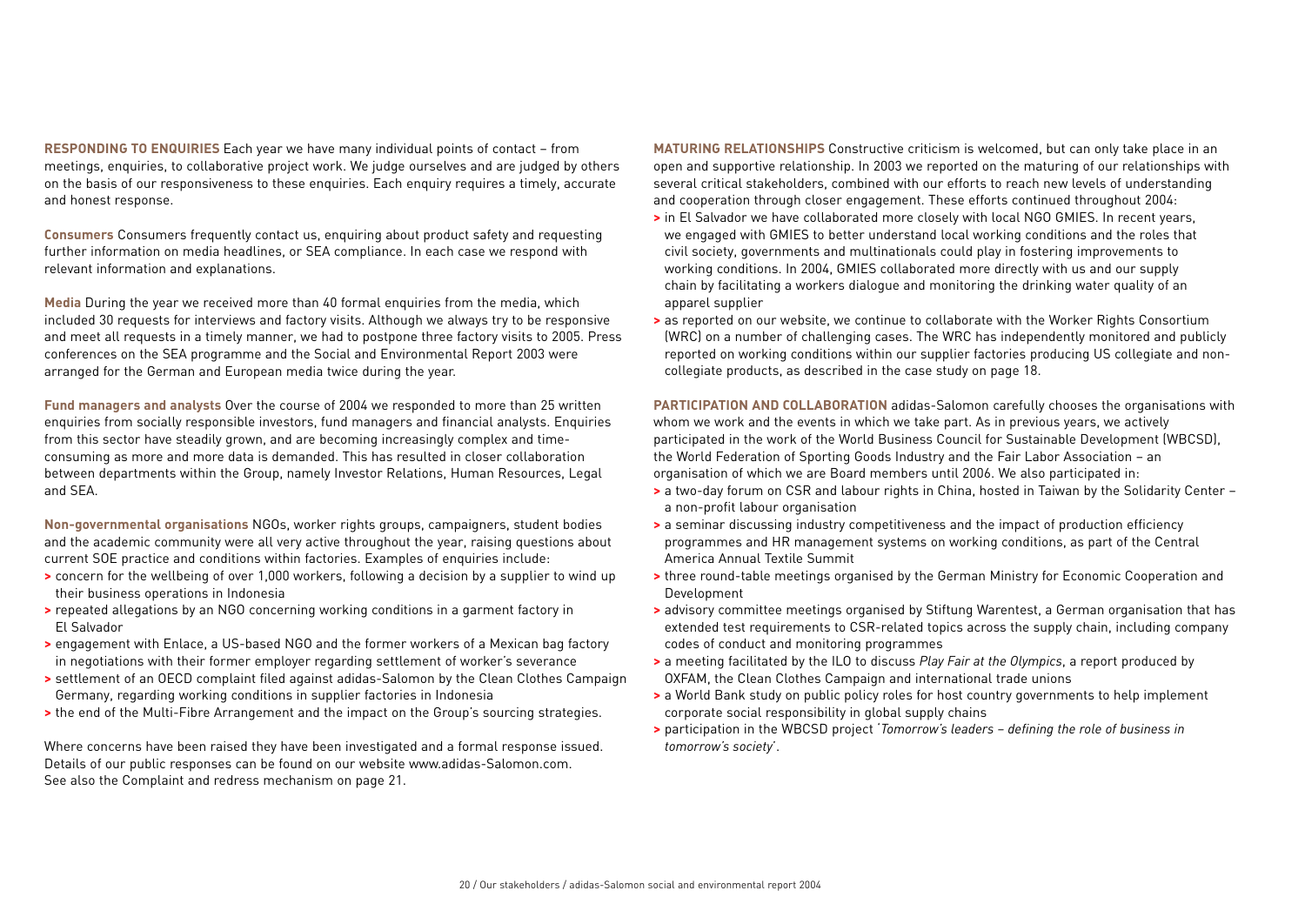**RESPONDING TO ENQUIRIES** Each year we have many individual points of contact – from meetings, enquiries, to collaborative project work. We judge ourselves and are judged by others on the basis of our responsiveness to these enquiries. Each enquiry requires a timely, accurate and honest response.

**Consumers** Consumers frequently contact us, enquiring about product safety and requesting further information on media headlines, or SEA compliance. In each case we respond with relevant information and explanations.

**Media** During the year we received more than 40 formal enquiries from the media, which included 30 requests for interviews and factory visits. Although we always try to be responsive and meet all requests in a timely manner, we had to postpone three factory visits to 2005. Press conferences on the SEA programme and the Social and Environmental Report 2003 were arranged for the German and European media twice during the year.

**Fund managers and analysts** Over the course of 2004 we responded to more than 25 written enquiries from socially responsible investors, fund managers and financial analysts. Enquiries from this sector have steadily grown, and are becoming increasingly complex and timeconsuming as more and more data is demanded. This has resulted in closer collaboration between departments within the Group, namely Investor Relations, Human Resources, Legal and SEA.

**Non-governmental organisations** NGOs, worker rights groups, campaigners, student bodies and the academic community were all very active throughout the year, raising questions about current SOE practice and conditions within factories. Examples of enquiries include:

- **>** concern for the wellbeing of over 1,000 workers, following a decision by a supplier to wind up their business operations in Indonesia
- **>** repeated allegations by an NGO concerning working conditions in a garment factory in El Salvador
- **>** engagement with Enlace, a US-based NGO and the former workers of a Mexican bag factory in negotiations with their former employer regarding settlement of worker's severance
- **>** settlement of an OECD complaint filed against adidas-Salomon by the Clean Clothes Campaign Germany, regarding working conditions in supplier factories in Indonesia
- **>** the end of the Multi-Fibre Arrangement and the impact on the Group's sourcing strategies.

Where concerns have been raised they have been investigated and a formal response issued. Details of our public responses can be found on our website www.adidas-Salomon.com. See also the Complaint and redress mechanism on page 21.

**MATURING RELATIONSHIPS** Constructive criticism is welcomed, but can only take place in an open and supportive relationship. In 2003 we reported on the maturing of our relationships with several critical stakeholders, combined with our efforts to reach new levels of understanding and cooperation through closer engagement. These efforts continued throughout 2004:

- **>** in El Salvador we have collaborated more closely with local NGO GMIES. In recent years, we engaged with GMIES to better understand local working conditions and the roles that civil society, governments and multinationals could play in fostering improvements to working conditions. In 2004, GMIES collaborated more directly with us and our supply chain by facilitating a workers dialogue and monitoring the drinking water quality of an apparel supplier
- **>** as reported on our website, we continue to collaborate with the Worker Rights Consortium (WRC) on a number of challenging cases. The WRC has independently monitored and publicly reported on working conditions within our supplier factories producing US collegiate and noncollegiate products, as described in the case study on page 18.

**PARTICIPATION AND COLLABORATION** adidas-Salomon carefully chooses the organisations with whom we work and the events in which we take part. As in previous years, we actively participated in the work of the World Business Council for Sustainable Development (WBCSD), the World Federation of Sporting Goods Industry and the Fair Labor Association – an organisation of which we are Board members until 2006. We also participated in:

- **>** a two-day forum on CSR and labour rights in China, hosted in Taiwan by the Solidarity Center a non-profit labour organisation
- **>** a seminar discussing industry competitiveness and the impact of production efficiency programmes and HR management systems on working conditions, as part of the Central America Annual Textile Summit
- **>** three round-table meetings organised by the German Ministry for Economic Cooperation and Development
- **>** advisory committee meetings organised by Stiftung Warentest, a German organisation that has extended test requirements to CSR-related topics across the supply chain, including company codes of conduct and monitoring programmes
- **>** a meeting facilitated by the ILO to discuss *Play Fair at the Olympics*, a report produced by OXFAM, the Clean Clothes Campaign and international trade unions
- **>** a World Bank study on public policy roles for host country governments to help implement corporate social responsibility in global supply chains
- **>** participation in the WBCSD project '*Tomorrow's leaders defining the role of business in tomorrow's society*'.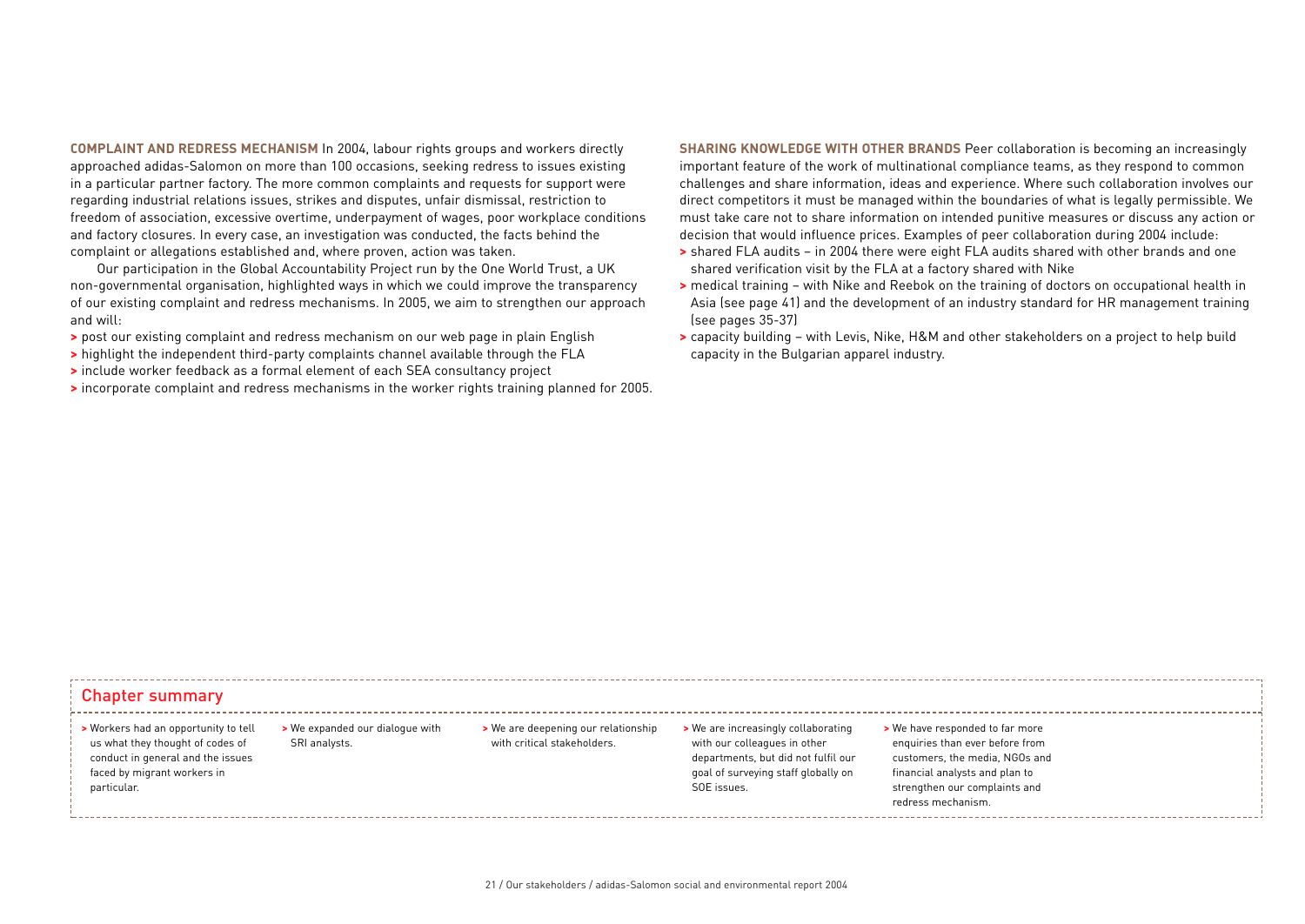**COMPLAINT AND REDRESS MECHANISM** In 2004, labour rights groups and workers directly approached adidas-Salomon on more than 100 occasions, seeking redress to issues existing in a particular partner factory. The more common complaints and requests for support were regarding industrial relations issues, strikes and disputes, unfair dismissal, restriction to freedom of association, excessive overtime, underpayment of wages, poor workplace conditions and factory closures. In every case, an investigation was conducted, the facts behind the complaint or allegations established and, where proven, action was taken.

Our participation in the Global Accountability Project run by the One World Trust, a UK non-governmental organisation, highlighted ways in which we could improve the transparency of our existing complaint and redress mechanisms. In 2005, we aim to strengthen our approach and will:

- **>** post our existing complaint and redress mechanism on our web page in plain English
- **>** highlight the independent third-party complaints channel available through the FLA
- **>** include worker feedback as a formal element of each SEA consultancy project
- **>** incorporate complaint and redress mechanisms in the worker rights training planned for 2005.

**SHARING KNOWLEDGE WITH OTHER BRANDS** Peer collaboration is becoming an increasingly important feature of the work of multinational compliance teams, as they respond to common challenges and share information, ideas and experience. Where such collaboration involves our direct competitors it must be managed within the boundaries of what is legally permissible. We must take care not to share information on intended punitive measures or discuss any action or decision that would influence prices. Examples of peer collaboration during 2004 include:

- **>** shared FLA audits in 2004 there were eight FLA audits shared with other brands and one shared verification visit by the FLA at a factory shared with Nike
- **>** medical training with Nike and Reebok on the training of doctors on occupational health in Asia (see page 41) and the development of an industry standard for HR management training (see pages 35-37)
- **>** capacity building with Levis, Nike, H&M and other stakeholders on a project to help build capacity in the Bulgarian apparel industry.

### Chapter summary

### **>** Workers had an opportunity to tell us what they thought of codes of conduct in general and the issues faced by migrant workers in particular.

**>** We expanded our dialogue with SRI analysts.

**>** We are deepening our relationship with critical stakeholders.

**>** We are increasingly collaborating with our colleagues in other departments, but did not fulfil our goal of surveying staff globally on SOE issues.

**>** We have responded to far more enquiries than ever before from customers, the media, NGOs and financial analysts and plan to strengthen our complaints and redress mechanism.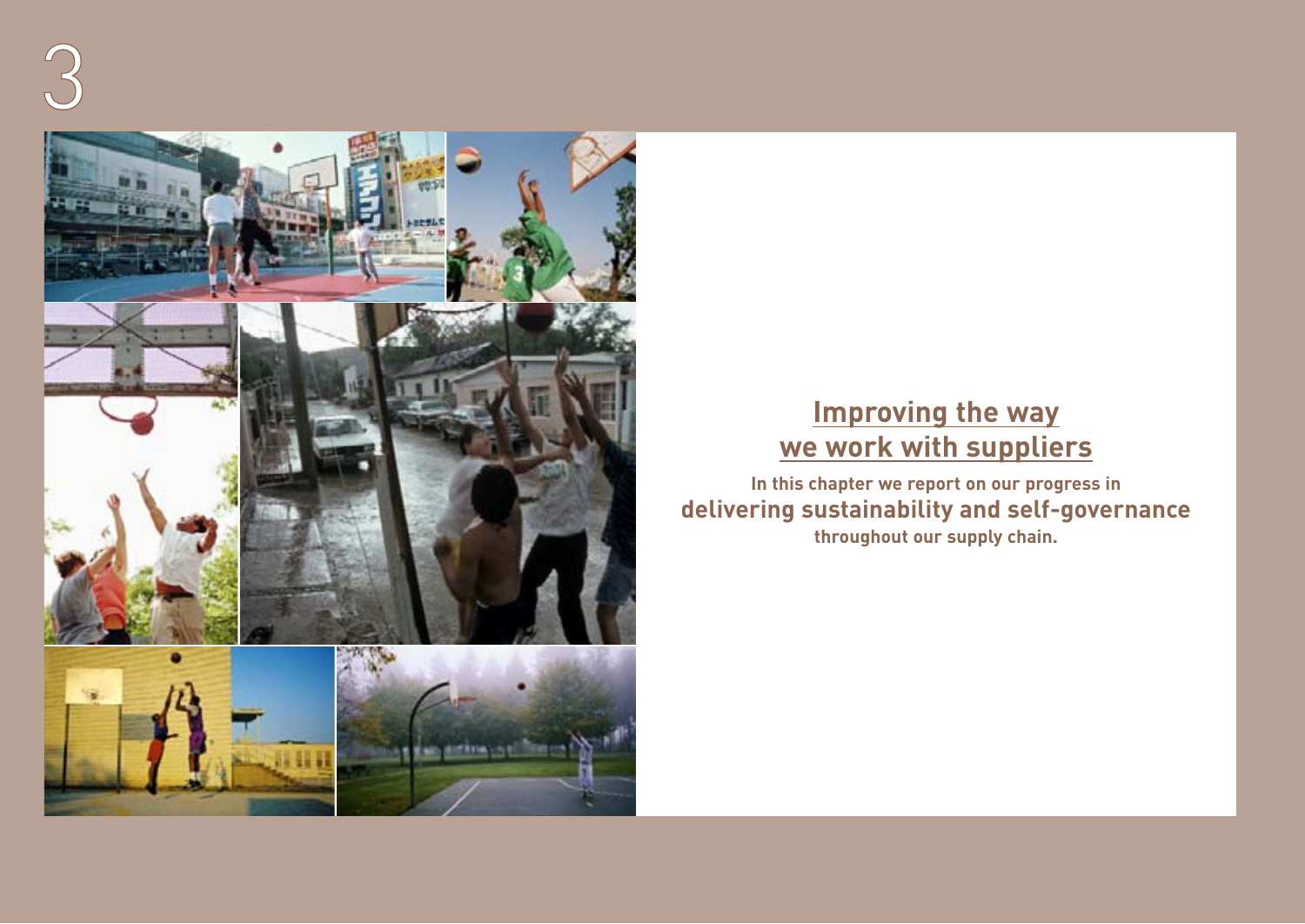

# **Improving the way we work with suppliers**

**In this chapter we report on our progress in delivering sustainability and self-governance throughout our supply chain.**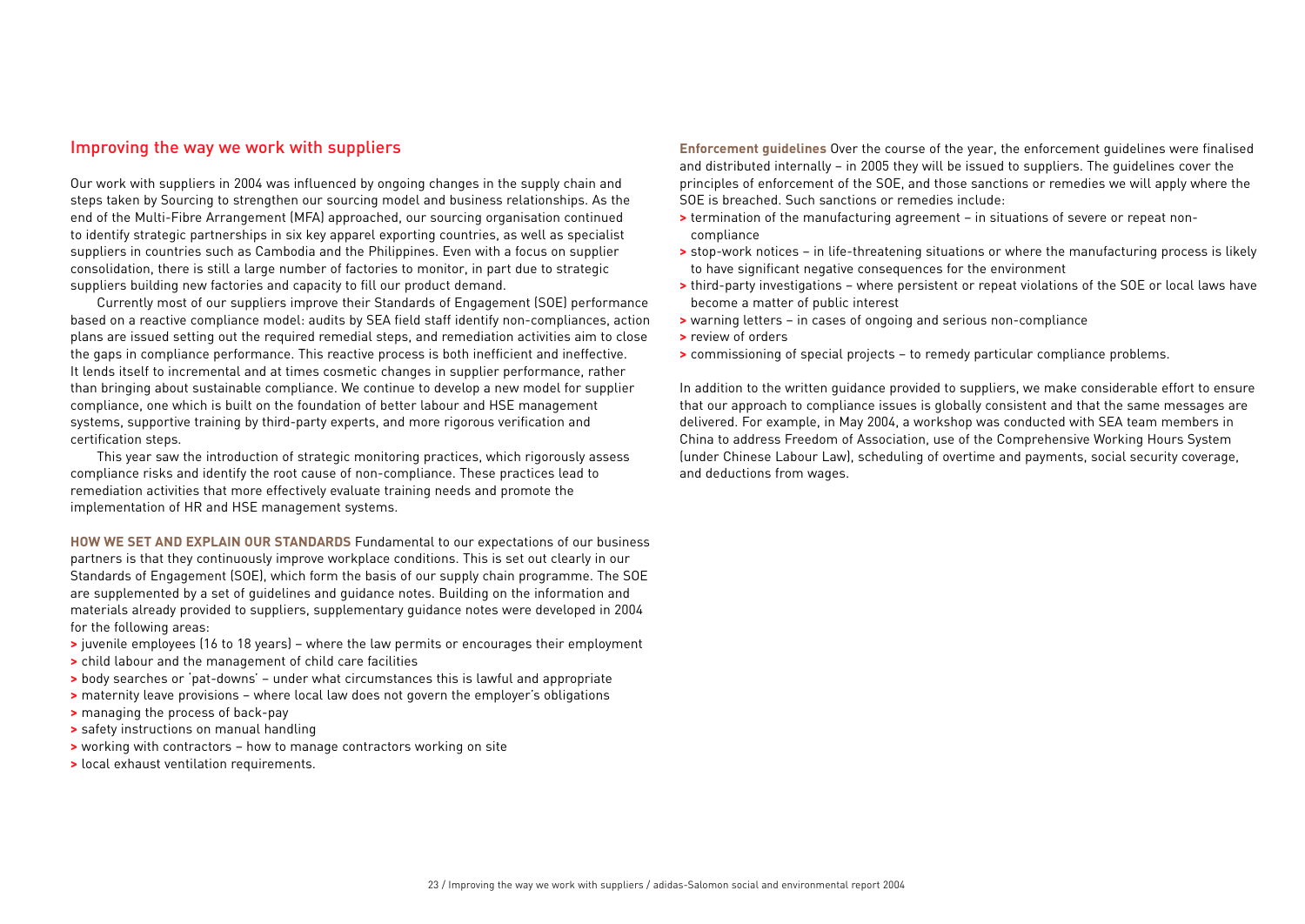## Improving the way we work with suppliers

Our work with suppliers in 2004 was influenced by ongoing changes in the supply chain and steps taken by Sourcing to strengthen our sourcing model and business relationships. As the end of the Multi-Fibre Arrangement (MFA) approached, our sourcing organisation continued to identify strategic partnerships in six key apparel exporting countries, as well as specialist suppliers in countries such as Cambodia and the Philippines. Even with a focus on supplier consolidation, there is still a large number of factories to monitor, in part due to strategic suppliers building new factories and capacity to fill our product demand.

Currently most of our suppliers improve their Standards of Engagement (SOE) performance based on a reactive compliance model: audits by SEA field staff identify non-compliances, action plans are issued setting out the required remedial steps, and remediation activities aim to close the gaps in compliance performance. This reactive process is both inefficient and ineffective. It lends itself to incremental and at times cosmetic changes in supplier performance, rather than bringing about sustainable compliance. We continue to develop a new model for supplier compliance, one which is built on the foundation of better labour and HSE management systems, supportive training by third-party experts, and more rigorous verification and certification steps.

This year saw the introduction of strategic monitoring practices, which rigorously assess compliance risks and identify the root cause of non-compliance. These practices lead to remediation activities that more effectively evaluate training needs and promote the implementation of HR and HSE management systems.

**HOW WE SET AND EXPLAIN OUR STANDARDS** Fundamental to our expectations of our business partners is that they continuously improve workplace conditions. This is set out clearly in our Standards of Engagement (SOE), which form the basis of our supply chain programme. The SOE are supplemented by a set of guidelines and guidance notes. Building on the information and materials already provided to suppliers, supplementary guidance notes were developed in 2004 for the following areas:

- **>** juvenile employees (16 to 18 years) where the law permits or encourages their employment
- **>** child labour and the management of child care facilities
- **>** body searches or 'pat-downs' under what circumstances this is lawful and appropriate
- **>** maternity leave provisions where local law does not govern the employer's obligations
- **>** managing the process of back-pay
- **>** safety instructions on manual handling
- **>** working with contractors how to manage contractors working on site
- **>** local exhaust ventilation requirements.

**Enforcement guidelines** Over the course of the year, the enforcement guidelines were finalised and distributed internally – in 2005 they will be issued to suppliers. The guidelines cover the principles of enforcement of the SOE, and those sanctions or remedies we will apply where the SOE is breached. Such sanctions or remedies include:

- **>** termination of the manufacturing agreement in situations of severe or repeat noncompliance
- **>** stop-work notices in life-threatening situations or where the manufacturing process is likely to have significant negative consequences for the environment
- **>** third-party investigations where persistent or repeat violations of the SOE or local laws have become a matter of public interest
- **>** warning letters in cases of ongoing and serious non-compliance
- **>** review of orders
- **>** commissioning of special projects to remedy particular compliance problems.

In addition to the written guidance provided to suppliers, we make considerable effort to ensure that our approach to compliance issues is globally consistent and that the same messages are delivered. For example, in May 2004, a workshop was conducted with SEA team members in China to address Freedom of Association, use of the Comprehensive Working Hours System (under Chinese Labour Law), scheduling of overtime and payments, social security coverage, and deductions from wages.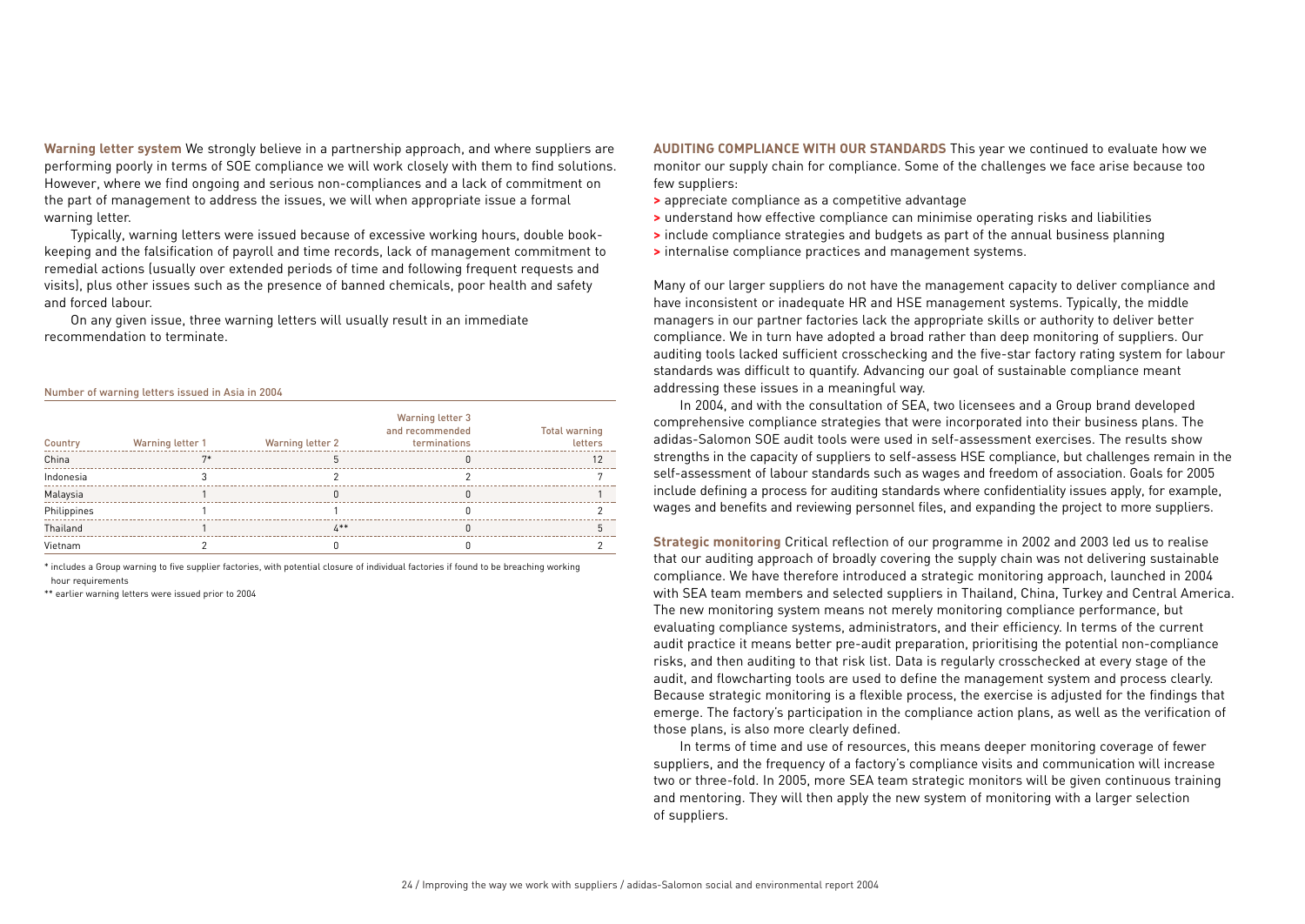**Warning letter system** We strongly believe in a partnership approach, and where suppliers are performing poorly in terms of SOE compliance we will work closely with them to find solutions. However, where we find ongoing and serious non-compliances and a lack of commitment on the part of management to address the issues, we will when appropriate issue a formal warning letter.

Typically, warning letters were issued because of excessive working hours, double bookkeeping and the falsification of payroll and time records, lack of management commitment to remedial actions (usually over extended periods of time and following frequent requests and visits), plus other issues such as the presence of banned chemicals, poor health and safety and forced labour.

On any given issue, three warning letters will usually result in an immediate recommendation to terminate.

Number of warning letters issued in Asia in 2004

| Country     | Warning letter 1 | Warning letter 2 | Warning letter 3<br>and recommended<br>terminations | <b>Total warning</b><br>letters |
|-------------|------------------|------------------|-----------------------------------------------------|---------------------------------|
| China       | $7*$             |                  |                                                     | 12                              |
| Indonesia   |                  |                  |                                                     |                                 |
| Malaysia    |                  |                  |                                                     |                                 |
| Philippines |                  |                  |                                                     |                                 |
| Thailand    |                  | $4**$            |                                                     |                                 |
| Vietnam     |                  |                  |                                                     |                                 |

\* includes a Group warning to five supplier factories, with potential closure of individual factories if found to be breaching working hour requirements

\*\* earlier warning letters were issued prior to 2004

**AUDITING COMPLIANCE WITH OUR STANDARDS** This year we continued to evaluate how we monitor our supply chain for compliance. Some of the challenges we face arise because too few suppliers:

- **>** appreciate compliance as a competitive advantage
- **>** understand how effective compliance can minimise operating risks and liabilities
- **>** include compliance strategies and budgets as part of the annual business planning
- **>** internalise compliance practices and management systems.

Many of our larger suppliers do not have the management capacity to deliver compliance and have inconsistent or inadequate HR and HSE management systems. Typically, the middle managers in our partner factories lack the appropriate skills or authority to deliver better compliance. We in turn have adopted a broad rather than deep monitoring of suppliers. Our auditing tools lacked sufficient crosschecking and the five-star factory rating system for labour standards was difficult to quantify. Advancing our goal of sustainable compliance meant addressing these issues in a meaningful way.

In 2004, and with the consultation of SEA, two licensees and a Group brand developed comprehensive compliance strategies that were incorporated into their business plans. The adidas-Salomon SOE audit tools were used in self-assessment exercises. The results show strengths in the capacity of suppliers to self-assess HSE compliance, but challenges remain in the self-assessment of labour standards such as wages and freedom of association. Goals for 2005 include defining a process for auditing standards where confidentiality issues apply, for example, wages and benefits and reviewing personnel files, and expanding the project to more suppliers.

**Strategic monitoring** Critical reflection of our programme in 2002 and 2003 led us to realise that our auditing approach of broadly covering the supply chain was not delivering sustainable compliance. We have therefore introduced a strategic monitoring approach, launched in 2004 with SEA team members and selected suppliers in Thailand, China, Turkey and Central America. The new monitoring system means not merely monitoring compliance performance, but evaluating compliance systems, administrators, and their efficiency. In terms of the current audit practice it means better pre-audit preparation, prioritising the potential non-compliance risks, and then auditing to that risk list. Data is regularly crosschecked at every stage of the audit, and flowcharting tools are used to define the management system and process clearly. Because strategic monitoring is a flexible process, the exercise is adjusted for the findings that emerge. The factory's participation in the compliance action plans, as well as the verification of those plans, is also more clearly defined.

In terms of time and use of resources, this means deeper monitoring coverage of fewer suppliers, and the frequency of a factory's compliance visits and communication will increase two or three-fold. In 2005, more SEA team strategic monitors will be given continuous training and mentoring. They will then apply the new system of monitoring with a larger selection of suppliers.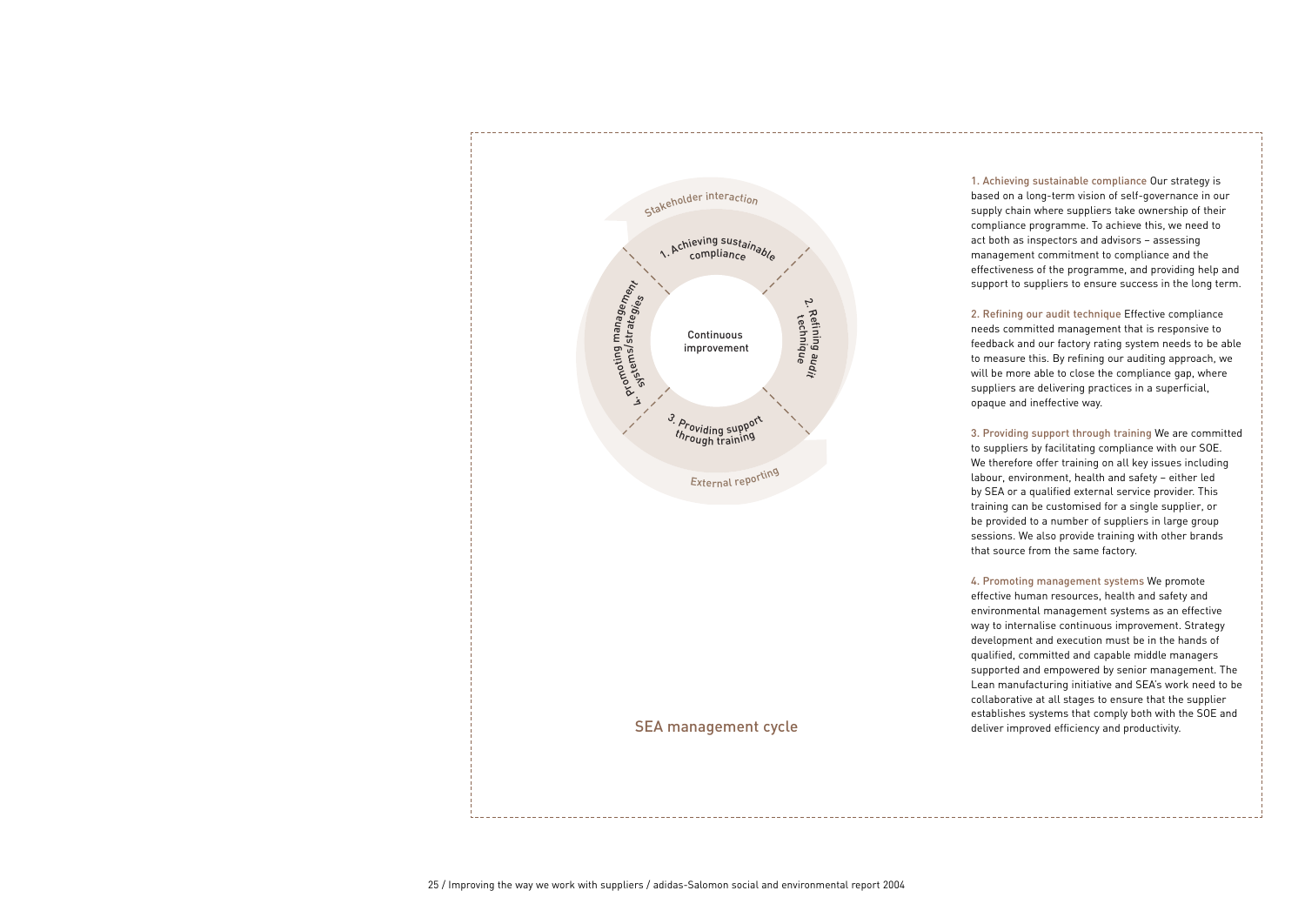

SEA management cycle

1. Achieving sustainable compliance Our strategy is based on a long-term vision of self-governance in our supply chain where suppliers take ownership of their compliance programme. To achieve this, we need to act both as inspectors and advisors – assessing management commitment to compliance and the effectiveness of the programme, and providing help and support to suppliers to ensure success in the long term.

2. Refining our audit technique Effective compliance needs committed management that is responsive to feedback and our factory rating system needs to be able to measure this. By refining our auditing approach, we will be more able to close the compliance gap, where suppliers are delivering practices in a superficial, opaque and ineffective way.

3. Providing support through training We are committed to suppliers by facilitating compliance with our SOE. We therefore offer training on all key issues including labour, environment, health and safety – either led by SEA or a qualified external service provider. This training can be customised for a single supplier, or be provided to a number of suppliers in large group sessions. We also provide training with other brands that source from the same factory.

4. Promoting management systems We promote effective human resources, health and safety and environmental management systems as an effective way to internalise continuous improvement. Strategy development and execution must be in the hands of qualified, committed and capable middle managers supported and empowered by senior management. The Lean manufacturing initiative and SEA's work need to be collaborative at all stages to ensure that the supplier establishes systems that comply both with the SOE and deliver improved efficiency and productivity.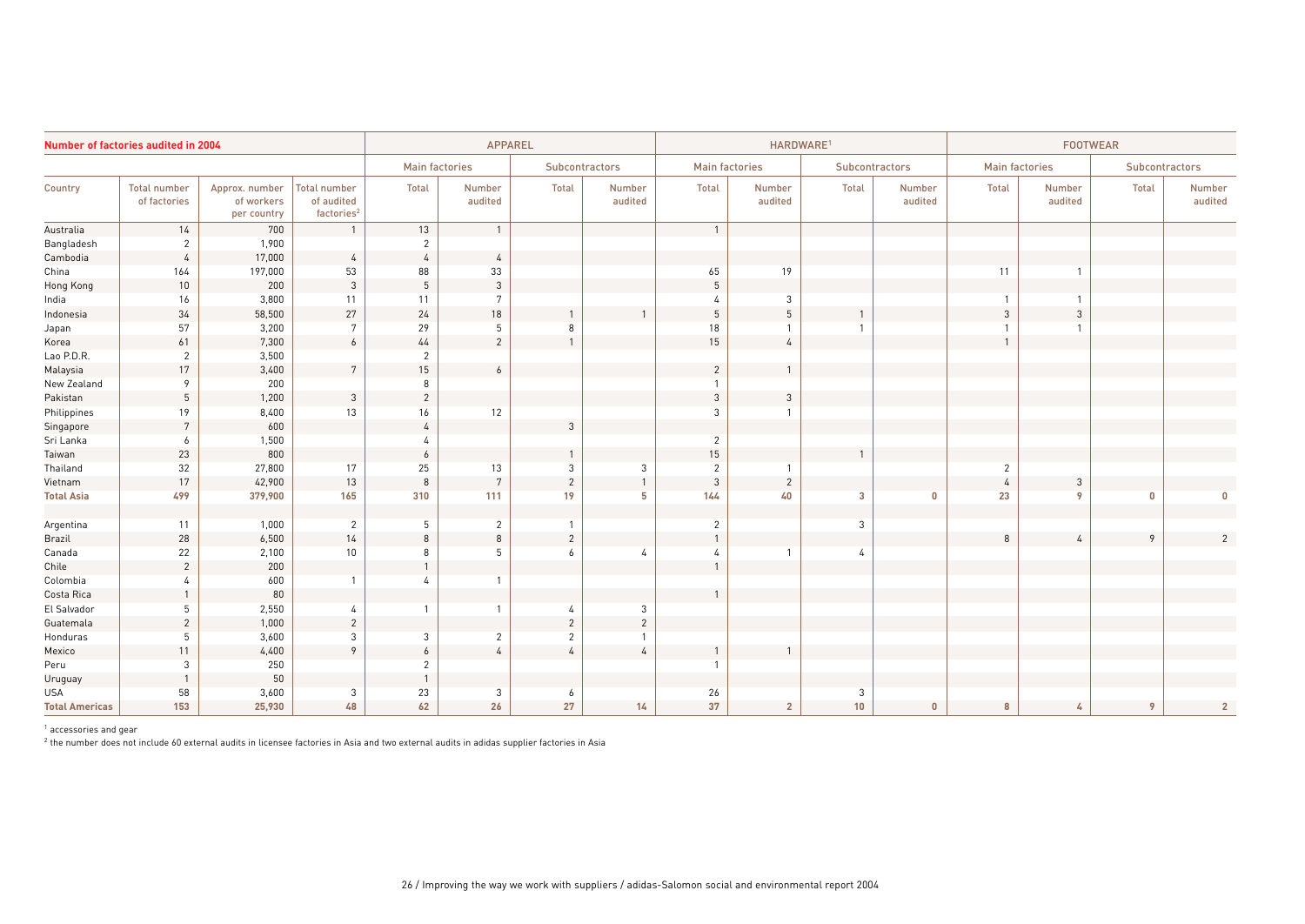| Number of factories audited in 2004 |                                     |                                             | <b>APPAREL</b>                                              |                  |                       |                | HARDWARE <sup>1</sup> |                |                       |                | <b>FOOTWEAR</b>   |                       |                   |          |                   |  |
|-------------------------------------|-------------------------------------|---------------------------------------------|-------------------------------------------------------------|------------------|-----------------------|----------------|-----------------------|----------------|-----------------------|----------------|-------------------|-----------------------|-------------------|----------|-------------------|--|
|                                     |                                     |                                             |                                                             |                  | <b>Main factories</b> | Subcontractors |                       |                | <b>Main factories</b> | Subcontractors |                   | <b>Main factories</b> |                   |          | Subcontractors    |  |
| Country                             | <b>Total number</b><br>of factories | Approx. number<br>of workers<br>per country | <b>Total number</b><br>of audited<br>factories <sup>2</sup> | Total            | Number<br>audited     | <b>Total</b>   | Number<br>audited     | Total          | Number<br>audited     | Total          | Number<br>audited | Total                 | Number<br>audited | Total    | Number<br>audited |  |
| Australia                           | 14                                  | 700                                         |                                                             | 13               | $\mathbf{1}$          |                |                       | $\overline{1}$ |                       |                |                   |                       |                   |          |                   |  |
| Bangladesh                          | $\overline{2}$                      | 1,900                                       |                                                             | $\overline{2}$   |                       |                |                       |                |                       |                |                   |                       |                   |          |                   |  |
| Cambodia                            | $\overline{4}$                      | 17,000                                      | $\overline{4}$                                              | $\overline{4}$   | $\overline{4}$        |                |                       |                |                       |                |                   |                       |                   |          |                   |  |
| China                               | 164                                 | 197,000                                     | 53                                                          | 88               | 33                    |                |                       | 65             | 19                    |                |                   | 11                    |                   |          |                   |  |
| Hong Kong                           | 10                                  | 200                                         | $\mathfrak{3}$                                              | $5\phantom{.0}$  | $\mathbf{3}$          |                |                       | 5              |                       |                |                   |                       |                   |          |                   |  |
| India                               | 16                                  | 3,800                                       | 11                                                          | 11               | 7                     |                |                       |                | 3                     |                |                   |                       |                   |          |                   |  |
| Indonesia                           | 34                                  | 58,500                                      | 27                                                          | 24               | 18                    |                |                       | 5              | $\overline{5}$        |                |                   | 3                     | 3                 |          |                   |  |
| Japan                               | 57                                  | 3,200                                       | 7                                                           | 29               | 5                     | 8              |                       | 18             | -1                    |                |                   |                       |                   |          |                   |  |
| Korea                               | 61                                  | 7,300                                       | $6\overline{6}$                                             | 44               | $\overline{2}$        |                |                       | 15             | $\overline{4}$        |                |                   | $\overline{1}$        |                   |          |                   |  |
| Lao P.D.R.                          | $\overline{2}$                      | 3,500                                       |                                                             | $\overline{2}$   |                       |                |                       |                |                       |                |                   |                       |                   |          |                   |  |
| Malaysia                            | 17                                  | 3,400                                       | $7\overline{ }$                                             | 15               | $\boldsymbol{6}$      |                |                       | $\overline{2}$ |                       |                |                   |                       |                   |          |                   |  |
| New Zealand                         | 9                                   | 200                                         |                                                             | 8                |                       |                |                       | $\mathbf{1}$   |                       |                |                   |                       |                   |          |                   |  |
| Pakistan                            | 5                                   | 1,200                                       | $\mathbf{3}$                                                | $\overline{c}$   |                       |                |                       | $\mathbf{3}$   | $\mathbf{3}$          |                |                   |                       |                   |          |                   |  |
| Philippines                         | 19                                  | 8,400                                       | 13                                                          | 16               | 12                    |                |                       | $\mathbf{3}$   |                       |                |                   |                       |                   |          |                   |  |
| Singapore                           | $7\overline{ }$                     | 600                                         |                                                             | $\overline{4}$   |                       | 3              |                       |                |                       |                |                   |                       |                   |          |                   |  |
| Sri Lanka                           | 6                                   | 1,500                                       |                                                             |                  |                       |                |                       | 2              |                       |                |                   |                       |                   |          |                   |  |
| Taiwan                              | 23                                  | 800                                         |                                                             | 6                |                       |                |                       | $15\,$         |                       |                |                   |                       |                   |          |                   |  |
| Thailand                            | 32                                  | 27,800                                      | 17                                                          | 25               | 13                    | 3              | 3                     | $\overline{2}$ |                       |                |                   | $\overline{2}$        |                   |          |                   |  |
| Vietnam                             | 17                                  | 42,900                                      | 13                                                          | 8                | $\overline{7}$        | $\overline{2}$ | $\overline{1}$        | $\mathbf{3}$   | $\overline{c}$        |                |                   |                       | 3                 |          |                   |  |
| <b>Total Asia</b>                   | 499                                 | 379,900                                     | 165                                                         | 310              | 111                   | 19             | 5                     | 144            | 40                    | 3              | $\Omega$          | 23                    | 9                 | $\Omega$ | $\Omega$          |  |
| Argentina                           | 11                                  | 1,000                                       | $\overline{2}$                                              | 5                | $\overline{2}$        | 1              |                       | $\overline{2}$ |                       | 3              |                   |                       |                   |          |                   |  |
| Brazil                              | 28                                  | 6,500                                       | 14                                                          | 8                | $\,8\,$               | $\overline{c}$ |                       |                |                       |                |                   | 8                     |                   | $\circ$  |                   |  |
| Canada                              | 22                                  | 2,100                                       | 10                                                          | 8                | 5                     | 6              | 4                     | 4              |                       | 4              |                   |                       |                   |          |                   |  |
| Chile                               | $\overline{2}$                      | 200                                         |                                                             |                  |                       |                |                       | $\mathbf{1}$   |                       |                |                   |                       |                   |          |                   |  |
| Colombia                            | 4                                   | 600                                         |                                                             |                  |                       |                |                       |                |                       |                |                   |                       |                   |          |                   |  |
| Costa Rica                          | $\mathbf{1}$                        | 80                                          |                                                             |                  |                       |                |                       |                |                       |                |                   |                       |                   |          |                   |  |
| El Salvador                         | 5                                   | 2,550                                       | 4                                                           |                  | 1                     | 4              | 3                     |                |                       |                |                   |                       |                   |          |                   |  |
| Guatemala                           | $\overline{c}$                      | 1,000                                       | $\overline{2}$                                              |                  |                       | $\overline{2}$ | $\overline{c}$        |                |                       |                |                   |                       |                   |          |                   |  |
| Honduras                            | 5                                   | 3,600                                       | 3                                                           | 3                | $\overline{2}$        | $\overline{2}$ |                       |                |                       |                |                   |                       |                   |          |                   |  |
| Mexico                              | 11                                  | 4,400                                       | $\circ$                                                     | $\boldsymbol{6}$ | $\sqrt{4}$            | $\overline{4}$ | $\overline{4}$        |                |                       |                |                   |                       |                   |          |                   |  |
| Peru                                | $\mathbf{3}$                        | 250                                         |                                                             | 2                |                       |                |                       |                |                       |                |                   |                       |                   |          |                   |  |
| Uruguay                             |                                     | 50                                          |                                                             |                  |                       |                |                       |                |                       |                |                   |                       |                   |          |                   |  |
| <b>USA</b>                          | 58                                  | 3,600                                       | 3                                                           | 23               | 3                     | 6              |                       | 26             |                       | 3              |                   |                       |                   |          |                   |  |
| <b>Total Americas</b>               | 153                                 | 25,930                                      | 48                                                          | 62               | 26                    | 27             | 14                    | 37             | $\overline{2}$        | 10             | $\mathbf{0}$      | 8                     |                   | 9        | $\overline{2}$    |  |

<sup>1</sup> accessories and gear

 $2$  the number does not include 60 external audits in licensee factories in Asia and two external audits in adidas supplier factories in Asia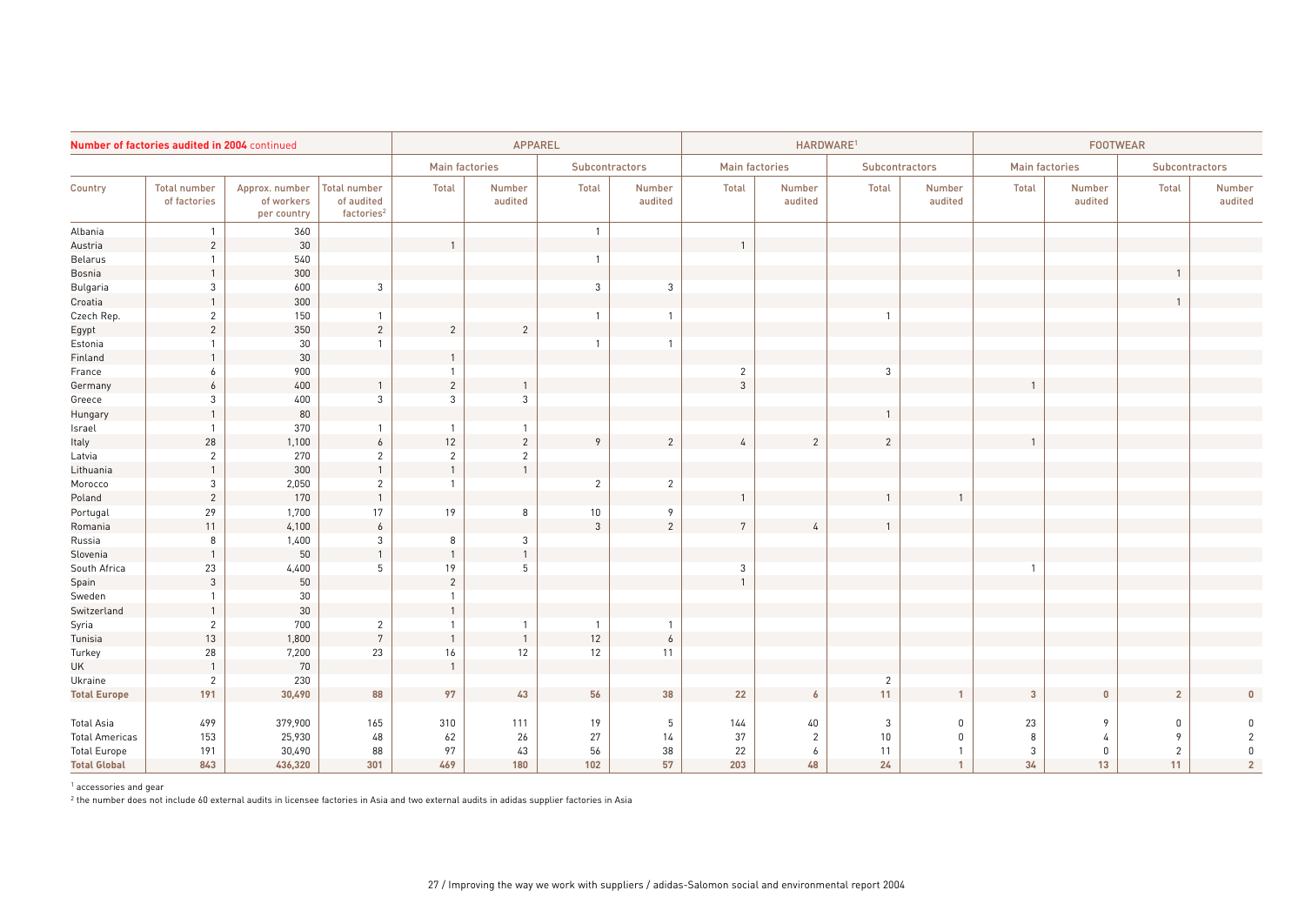|                       | Number of factories audited in 2004 continued |                                             |                                                             | <b>APPAREL</b> |                       |                       | HARDWARE <sup>1</sup><br><b>FOOTWEAR</b> |                       |                   |                       |                   |                       |                   |                |                   |
|-----------------------|-----------------------------------------------|---------------------------------------------|-------------------------------------------------------------|----------------|-----------------------|-----------------------|------------------------------------------|-----------------------|-------------------|-----------------------|-------------------|-----------------------|-------------------|----------------|-------------------|
|                       |                                               |                                             |                                                             |                | <b>Main factories</b> | <b>Subcontractors</b> |                                          | <b>Main factories</b> |                   | <b>Subcontractors</b> |                   | <b>Main factories</b> |                   | Subcontractors |                   |
| Country               | <b>Total number</b><br>of factories           | Approx. number<br>of workers<br>per country | <b>Total number</b><br>of audited<br>factories <sup>2</sup> | Total          | Number<br>audited     | Total                 | Number<br>audited                        | Total                 | Number<br>audited | Total                 | Number<br>audited | Total                 | Number<br>audited | <b>Total</b>   | Number<br>audited |
| Albania               | $\overline{1}$                                | 360                                         |                                                             |                |                       | $\mathbf{1}$          |                                          |                       |                   |                       |                   |                       |                   |                |                   |
| Austria               | $\overline{2}$                                | 30                                          |                                                             |                |                       |                       |                                          |                       |                   |                       |                   |                       |                   |                |                   |
| Belarus               | $\mathbf{1}$                                  | 540                                         |                                                             |                |                       | 1                     |                                          |                       |                   |                       |                   |                       |                   |                |                   |
| Bosnia                |                                               | 300                                         |                                                             |                |                       |                       |                                          |                       |                   |                       |                   |                       |                   |                |                   |
| Bulgaria              | 3                                             | 600                                         | 3                                                           |                |                       | $\mathbf{3}$          | 3                                        |                       |                   |                       |                   |                       |                   |                |                   |
| Croatia               | $\mathbf{1}$                                  | 300                                         |                                                             |                |                       |                       |                                          |                       |                   |                       |                   |                       |                   |                |                   |
| Czech Rep.            | $\overline{2}$                                | 150                                         | $\mathbf{1}$                                                |                |                       | 1                     | 1                                        |                       |                   |                       |                   |                       |                   |                |                   |
| Egypt                 | $\sqrt{2}$                                    | $350\,$                                     | $\sqrt{2}$                                                  | $\overline{2}$ | $\overline{c}$        |                       |                                          |                       |                   |                       |                   |                       |                   |                |                   |
| Estonia               | 1                                             | 30                                          |                                                             |                |                       |                       | 1                                        |                       |                   |                       |                   |                       |                   |                |                   |
| Finland               | $\mathbf{1}$                                  | 30                                          |                                                             | $\overline{1}$ |                       |                       |                                          |                       |                   |                       |                   |                       |                   |                |                   |
| France                | 6                                             | 900                                         |                                                             | $\overline{1}$ |                       |                       |                                          | $\sqrt{2}$            |                   | 3                     |                   |                       |                   |                |                   |
| Germany               | $\boldsymbol{6}$                              | 400                                         |                                                             | $\overline{2}$ |                       |                       |                                          | $\overline{3}$        |                   |                       |                   |                       |                   |                |                   |
| Greece                | 3                                             | 400                                         | 3                                                           | 3              | 3                     |                       |                                          |                       |                   |                       |                   |                       |                   |                |                   |
| Hungary               | $\mathbf{1}$                                  | 80                                          |                                                             |                |                       |                       |                                          |                       |                   |                       |                   |                       |                   |                |                   |
| Israel                | $\mathbf{1}$                                  | 370                                         | $\overline{1}$                                              |                | $\mathbf{1}$          |                       |                                          |                       |                   |                       |                   |                       |                   |                |                   |
| Italy                 | 28                                            | 1,100                                       | $\boldsymbol{6}$                                            | 12             | $\sqrt{2}$            | 9                     | $\overline{c}$                           | 4                     | $\overline{2}$    | $\overline{2}$        |                   |                       |                   |                |                   |
| Latvia                | $\overline{2}$                                | 270                                         | $\overline{2}$                                              | $\overline{2}$ | $\overline{2}$        |                       |                                          |                       |                   |                       |                   |                       |                   |                |                   |
| Lithuania             | $\mathbf{1}$                                  | 300                                         | $\mathbf{1}$                                                | $\mathbf{1}$   | $\mathbf{1}$          |                       |                                          |                       |                   |                       |                   |                       |                   |                |                   |
| Morocco               | $\mathbf{3}$                                  | 2,050                                       | $\overline{2}$                                              |                |                       | $\overline{2}$        | $\overline{c}$                           |                       |                   |                       |                   |                       |                   |                |                   |
| Poland                | $\overline{2}$                                | 170                                         | $\overline{1}$                                              |                |                       |                       |                                          |                       |                   |                       |                   |                       |                   |                |                   |
| Portugal              | 29                                            | 1,700                                       | 17                                                          | 19             | $8\phantom{1}$        | $10\,$                | 9                                        |                       |                   |                       |                   |                       |                   |                |                   |
| Romania               | 11                                            | 4,100                                       | $\boldsymbol{6}$                                            |                |                       | $\mathbf{3}$          | $\overline{c}$                           | $\overline{7}$        | $\overline{4}$    |                       |                   |                       |                   |                |                   |
| Russia                | 8                                             | 1,400                                       | 3                                                           | 8              | $\mathbf{3}$          |                       |                                          |                       |                   |                       |                   |                       |                   |                |                   |
| Slovenia              | $\mathbf{1}$                                  | 50                                          | $\mathbf{1}$                                                |                | $\mathbf{1}$          |                       |                                          |                       |                   |                       |                   |                       |                   |                |                   |
| South Africa          | 23                                            | 4,400                                       | 5                                                           | 19             | 5                     |                       |                                          | $\mathbf{3}$          |                   |                       |                   |                       |                   |                |                   |
| Spain                 | $\mathbf{3}$                                  | 50                                          |                                                             | $\overline{2}$ |                       |                       |                                          |                       |                   |                       |                   |                       |                   |                |                   |
| Sweden                | $\mathbf{1}$                                  | 30                                          |                                                             |                |                       |                       |                                          |                       |                   |                       |                   |                       |                   |                |                   |
| Switzerland           | $\mathbf{1}$                                  | $30\,$                                      |                                                             |                |                       |                       |                                          |                       |                   |                       |                   |                       |                   |                |                   |
| Syria                 | $\overline{2}$                                | 700                                         | $\overline{2}$                                              |                |                       | 1                     |                                          |                       |                   |                       |                   |                       |                   |                |                   |
| Tunisia               | 13                                            | 1,800                                       | $7\overline{ }$                                             | $\mathbf{1}$   | $\overline{1}$        | $12$                  | $\ddot{\delta}$                          |                       |                   |                       |                   |                       |                   |                |                   |
| Turkey                | 28                                            | 7,200                                       | 23                                                          | 16             | 12                    | 12                    | 11                                       |                       |                   |                       |                   |                       |                   |                |                   |
| <b>UK</b>             | $\mathbf{1}$                                  | 70                                          |                                                             | $\overline{1}$ |                       |                       |                                          |                       |                   |                       |                   |                       |                   |                |                   |
| Ukraine               | $\overline{2}$                                | 230                                         |                                                             |                |                       |                       |                                          |                       |                   | $\overline{2}$        |                   |                       |                   |                |                   |
| <b>Total Europe</b>   | 191                                           | 30,490                                      | 88                                                          | 97             | 43                    | 56                    | 38                                       | 22                    | $\pmb{6}$         | 11                    |                   | $\mathbf{3}$          | $\pmb{0}$         | $\overline{2}$ |                   |
| Total Asia            | 499                                           | 379,900                                     | 165                                                         | 310            | 111                   | 19                    | 5                                        | 144                   | $40\,$            | $\sqrt{3}$            | $\pmb{0}$         | 23                    | 9                 | $\mathbf 0$    |                   |
| <b>Total Americas</b> | 153                                           | 25,930                                      | 48                                                          | 62             | 26                    | 27                    | 14                                       | 37                    | 2                 | 10                    | $\Omega$          | 8                     | 4                 | 9              | $\overline{2}$    |
| <b>Total Europe</b>   | 191                                           | 30,490                                      | 88                                                          | 97             | 43                    | 56                    | 38                                       | 22                    | 6                 | 11                    | $\mathbf{1}$      | 3                     | $\mathbf 0$       | $\overline{2}$ | $\mathbf{0}$      |
| <b>Total Global</b>   | 843                                           | 436,320                                     | 301                                                         | 469            | 180                   | 102                   | 57                                       | 203                   | 48                | 24                    | $\overline{1}$    | 34 <sub>1</sub>       | 13                | 11             | $\overline{2}$    |

<sup>1</sup> accessories and gear

<sup>2</sup> the number does not include 60 external audits in licensee factories in Asia and two external audits in adidas supplier factories in Asia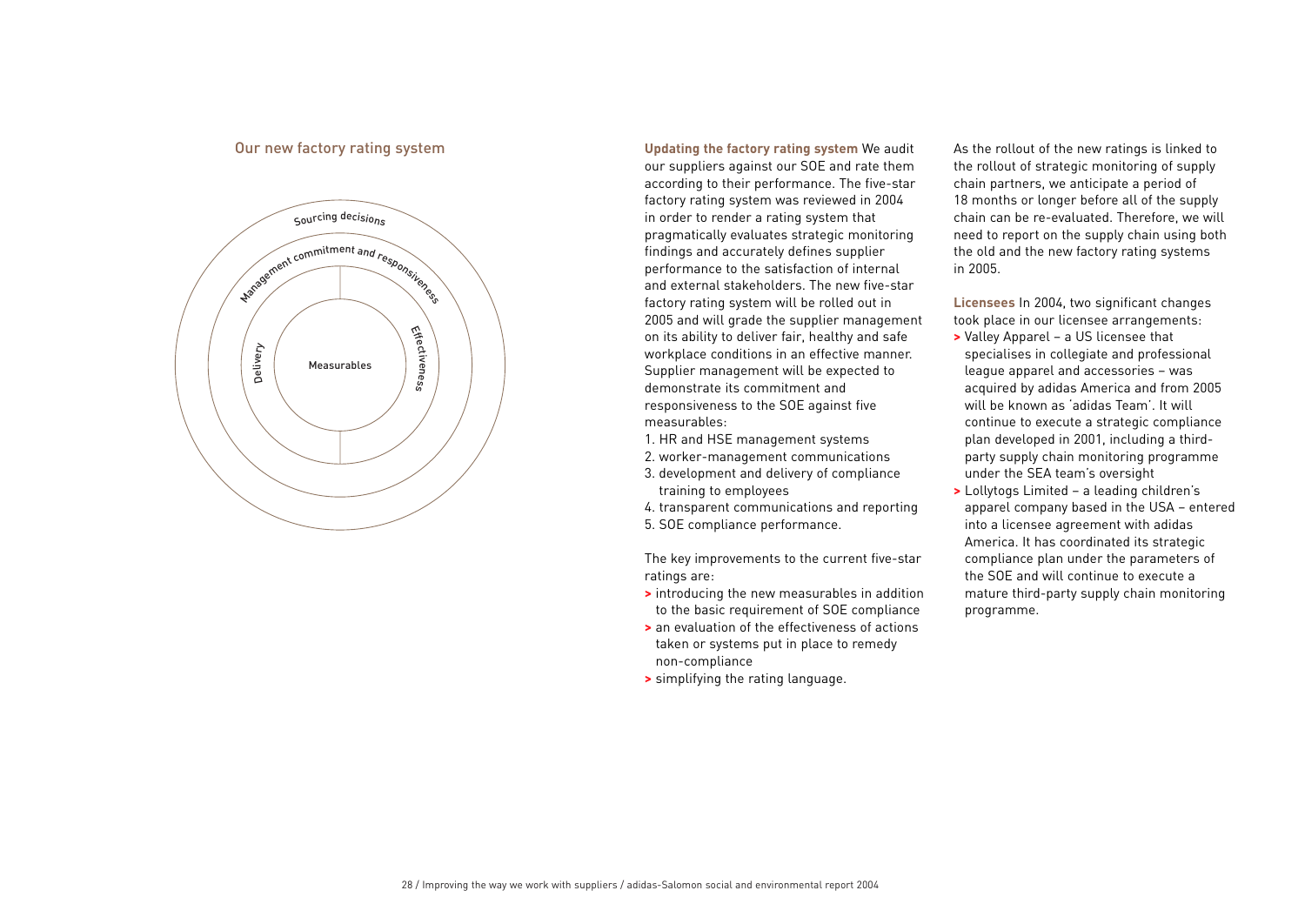## Our new factory rating system



**Updating the factory rating system** We audit our suppliers against our SOE and rate them according to their performance. The five-star factory rating system was reviewed in 2004 in order to render a rating system that pragmatically evaluates strategic monitoring findings and accurately defines supplier performance to the satisfaction of internal and external stakeholders. The new five-star factory rating system will be rolled out in 2005 and will grade the supplier management on its ability to deliver fair, healthy and safe workplace conditions in an effective manner. Supplier management will be expected to demonstrate its commitment and responsiveness to the SOE against five measurables:

- 1. HR and HSE management systems
- 2. worker-management communications
- 3. development and delivery of compliance training to employees
- 4. transparent communications and reporting
- 5. SOE compliance performance.

The key improvements to the current five-star ratings are:

- **>** introducing the new measurables in addition to the basic requirement of SOE compliance
- **>** an evaluation of the effectiveness of actions taken or systems put in place to remedy non-compliance
- **>** simplifying the rating language.

As the rollout of the new ratings is linked to the rollout of strategic monitoring of supply chain partners, we anticipate a period of 18 months or longer before all of the supply chain can be re-evaluated. Therefore, we will need to report on the supply chain using both the old and the new factory rating systems in 2005.

**Licensees** In 2004, two significant changes took place in our licensee arrangements:

- **>** Valley Apparel a US licensee that specialises in collegiate and professional league apparel and accessories – was acquired by adidas America and from 2005 will be known as 'adidas Team'. It will continue to execute a strategic compliance plan developed in 2001, including a thirdparty supply chain monitoring programme under the SEA team's oversight
- **>** Lollytogs Limited a leading children's apparel company based in the USA – entered into a licensee agreement with adidas America. It has coordinated its strategic compliance plan under the parameters of the SOE and will continue to execute a mature third-party supply chain monitoring programme.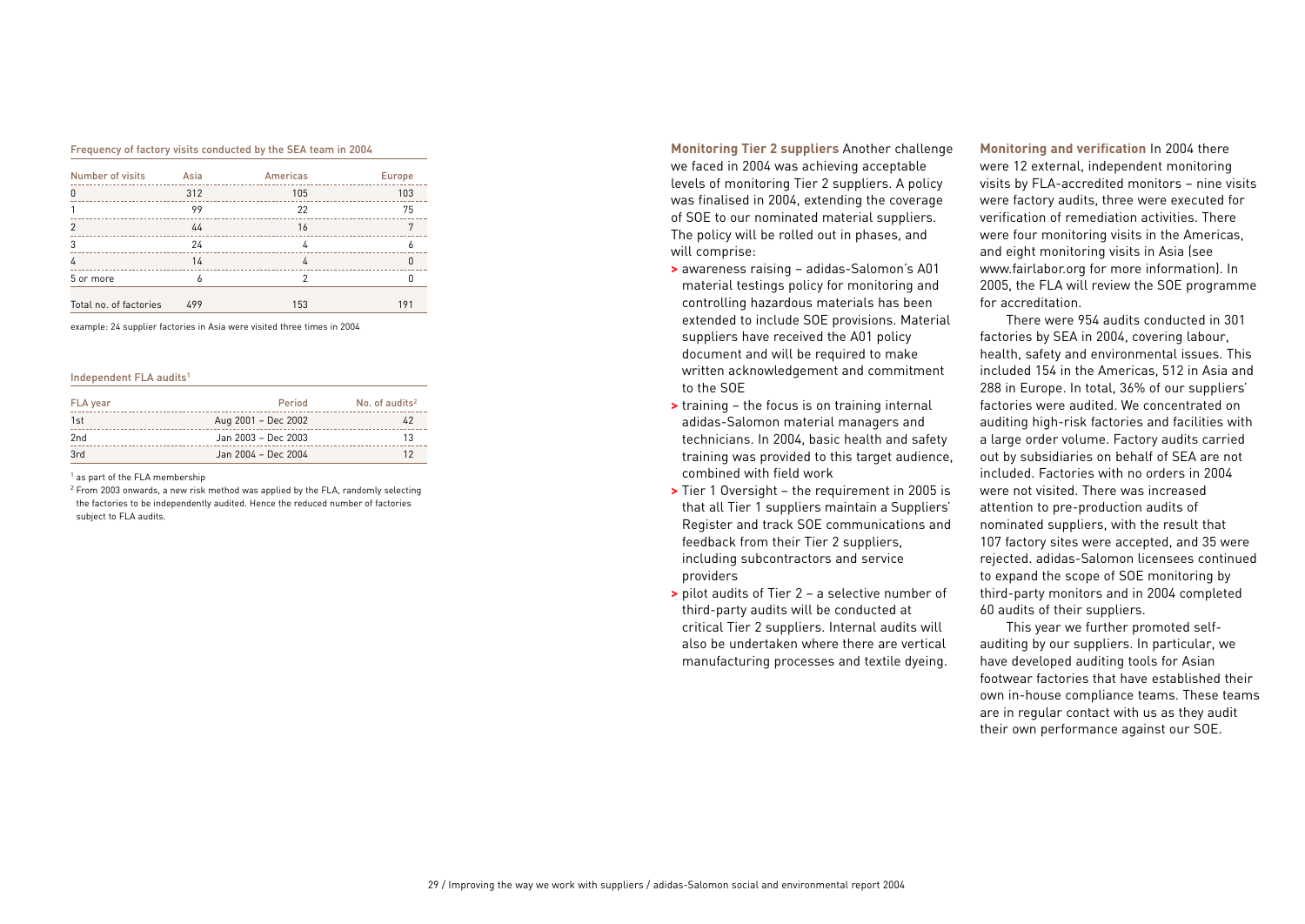### Frequency of factory visits conducted by the SEA team in 2004

| Number of visits       | Asia | Americas | <b>Europe</b> |
|------------------------|------|----------|---------------|
|                        | 312  | 105      | 103           |
|                        | 99   | 22       | 75            |
|                        | 44   | 16       |               |
|                        | 24   |          |               |
|                        | 14   | 4        |               |
| 5 or more              |      |          |               |
| Total no. of factories | 499  | 153      | 191           |

example: 24 supplier factories in Asia were visited three times in 2004

### Independent FLA audits<sup>1</sup>

| FLA year | Period              | No. of audits <sup>2</sup> |
|----------|---------------------|----------------------------|
| 1st      | Aug 2001 - Dec 2002 |                            |
| 2nd      | Jan 2003 - Dec 2003 | 13                         |
| 3rd      | Jan 2004 - Dec 2004 |                            |

<sup>1</sup> as part of the FLA membership

<sup>2</sup> From 2003 onwards, a new risk method was applied by the FLA, randomly selecting the factories to be independently audited. Hence the reduced number of factories subject to FLA audits.

**Monitoring Tier 2 suppliers** Another challenge we faced in 2004 was achieving acceptable levels of monitoring Tier 2 suppliers. A policy was finalised in 2004, extending the coverage of SOE to our nominated material suppliers. The policy will be rolled out in phases, and will comprise:

- **>** awareness raising adidas-Salomon's A01 material testings policy for monitoring and controlling hazardous materials has been extended to include SOE provisions. Material suppliers have received the A01 policy document and will be required to make written acknowledgement and commitment to the SOE
- **>** training the focus is on training internal adidas-Salomon material managers and technicians. In 2004, basic health and safety training was provided to this target audience, combined with field work
- **>** Tier 1 Oversight the requirement in 2005 is that all Tier 1 suppliers maintain a Suppliers' Register and track SOE communications and feedback from their Tier 2 suppliers, including subcontractors and service providers
- **>** pilot audits of Tier 2 a selective number of third-party audits will be conducted at critical Tier 2 suppliers. Internal audits will also be undertaken where there are vertical manufacturing processes and textile dyeing.

**Monitoring and verification** In 2004 there were 12 external, independent monitoring visits by FLA-accredited monitors – nine visits were factory audits, three were executed for verification of remediation activities. There were four monitoring visits in the Americas, and eight monitoring visits in Asia (see www.fairlabor.org for more information). In 2005, the FLA will review the SOE programme for accreditation.

There were 954 audits conducted in 301 factories by SEA in 2004, covering labour, health, safety and environmental issues. This included 154 in the Americas, 512 in Asia and 288 in Europe. In total, 36% of our suppliers' factories were audited. We concentrated on auditing high-risk factories and facilities with a large order volume. Factory audits carried out by subsidiaries on behalf of SEA are not included. Factories with no orders in 2004 were not visited. There was increased attention to pre-production audits of nominated suppliers, with the result that 107 factory sites were accepted, and 35 were rejected. adidas-Salomon licensees continued to expand the scope of SOE monitoring by third-party monitors and in 2004 completed 60 audits of their suppliers.

This year we further promoted selfauditing by our suppliers. In particular, we have developed auditing tools for Asian footwear factories that have established their own in-house compliance teams. These teams are in regular contact with us as they audit their own performance against our SOE.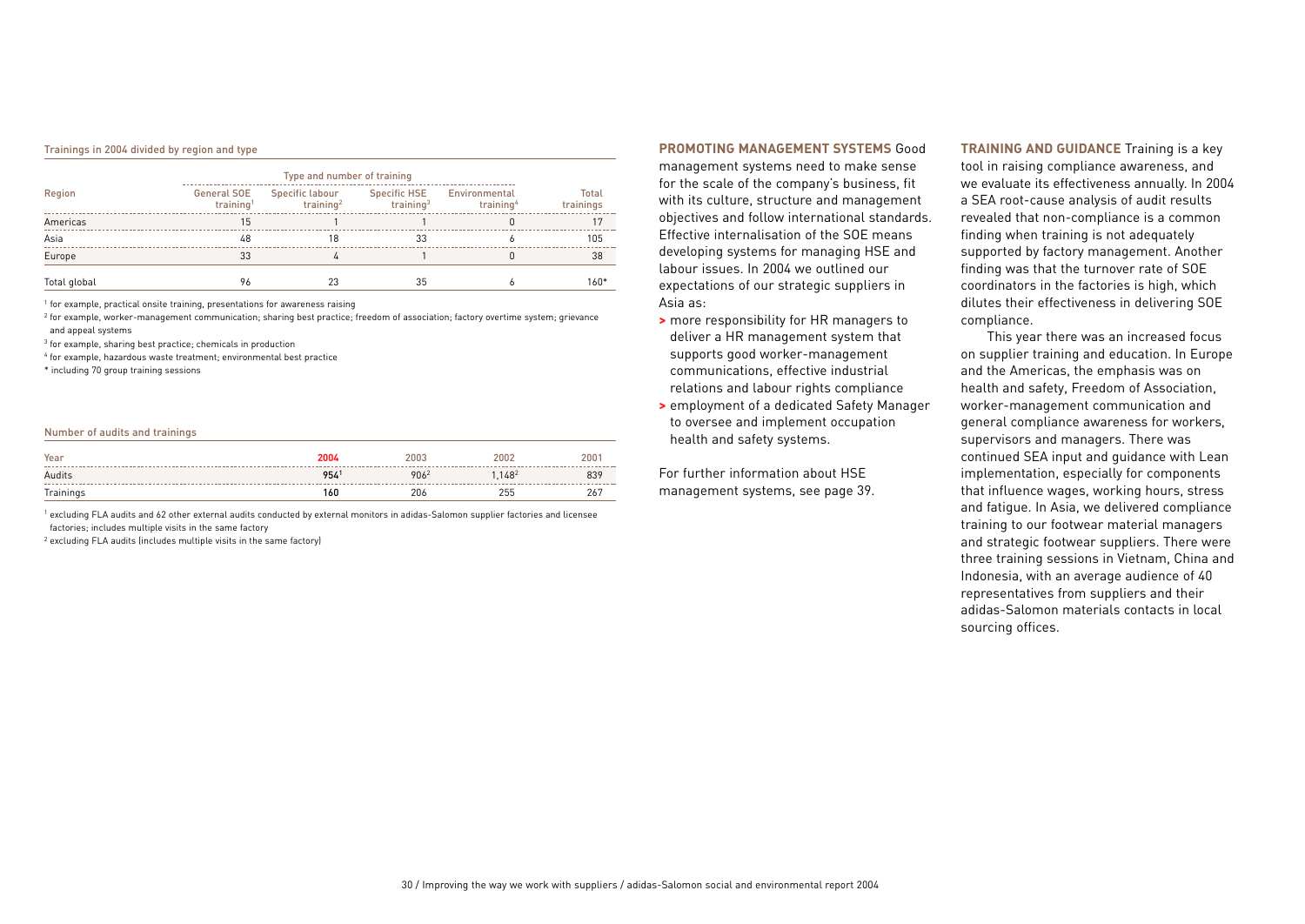#### Trainings in 2004 divided by region and type

| Type and number of training |                                             |                                          |                                     |                                        |                           |  |  |  |
|-----------------------------|---------------------------------------------|------------------------------------------|-------------------------------------|----------------------------------------|---------------------------|--|--|--|
| Region                      | <b>General SOE</b><br>training <sup>1</sup> | Specific labour<br>training <sup>2</sup> | <b>Specific HSE</b><br>training $3$ | Environmental<br>training <sup>4</sup> | <b>Total</b><br>trainings |  |  |  |
| Americas                    | 15                                          |                                          |                                     |                                        | 17                        |  |  |  |
| Asia                        | 48                                          | 18                                       | 33                                  |                                        | 105                       |  |  |  |
| Europe                      | 33                                          | 4                                        |                                     |                                        | 38                        |  |  |  |
| Total global                | 96                                          | 23                                       | 35                                  |                                        | $160*$                    |  |  |  |

<sup>1</sup> for example, practical onsite training, presentations for awareness raising

<sup>2</sup> for example, worker-management communication; sharing best practice; freedom of association; factory overtime system; grievance and appeal systems

<sup>3</sup> for example, sharing best practice; chemicals in production

<sup>4</sup> for example, hazardous waste treatment; environmental best practice

\* including 70 group training sessions

### Number of audits and trainings

| Year      | 2004 | 2003 | 2002   | 2001 |
|-----------|------|------|--------|------|
| Audits    | 9541 | 9062 | 1.1482 | 839  |
| Trainings | 160  | 206  | 255    | 267  |

<sup>1</sup> excluding FLA audits and 62 other external audits conducted by external monitors in adidas-Salomon supplier factories and licensee factories; includes multiple visits in the same factory

<sup>2</sup> excluding FLA audits (includes multiple visits in the same factory)

### **PROMOTING MANAGEMENT SYSTEMS** Good

management systems need to make sense for the scale of the company's business, fit with its culture, structure and management objectives and follow international standards. Effective internalisation of the SOE means developing systems for managing HSE and labour issues. In 2004 we outlined our expectations of our strategic suppliers in Asia as:

- **>** more responsibility for HR managers to deliver a HR management system that supports good worker-management communications, effective industrial relations and labour rights compliance
- **>** employment of a dedicated Safety Manager to oversee and implement occupation health and safety systems.

For further information about HSE management systems, see page 39. **TRAINING AND GUIDANCE** Training is a key tool in raising compliance awareness, and we evaluate its effectiveness annually. In 2004 a SEA root-cause analysis of audit results revealed that non-compliance is a common finding when training is not adequately supported by factory management. Another finding was that the turnover rate of SOE coordinators in the factories is high, which dilutes their effectiveness in delivering SOE compliance.

This year there was an increased focus on supplier training and education. In Europe and the Americas, the emphasis was on health and safety, Freedom of Association, worker-management communication and general compliance awareness for workers, supervisors and managers. There was continued SEA input and guidance with Lean implementation, especially for components that influence wages, working hours, stress and fatigue. In Asia, we delivered compliance training to our footwear material managers and strategic footwear suppliers. There were three training sessions in Vietnam, China and Indonesia, with an average audience of 40 representatives from suppliers and their adidas-Salomon materials contacts in local sourcing offices.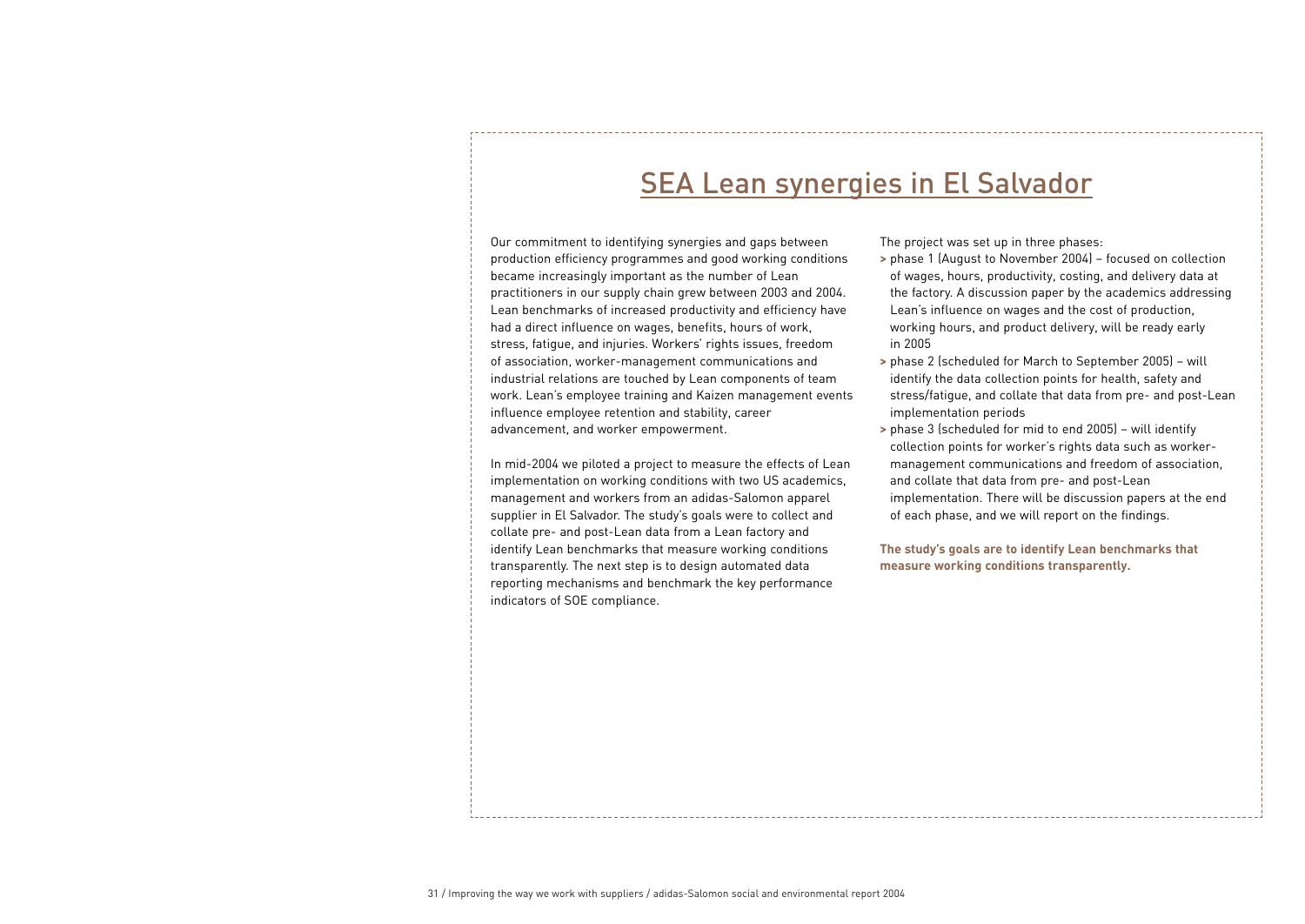# SEA Lean synergies in El Salvador

Our commitment to identifying synergies and gaps between production efficiency programmes and good working conditions became increasingly important as the number of Lean practitioners in our supply chain grew between 2003 and 2004. Lean benchmarks of increased productivity and efficiency have had a direct influence on wages, benefits, hours of work, stress, fatigue, and injuries. Workers' rights issues, freedom of association, worker-management communications and industrial relations are touched by Lean components of team work. Lean's employee training and Kaizen management events influence employee retention and stability, career advancement, and worker empowerment.

In mid-2004 we piloted a project to measure the effects of Lean implementation on working conditions with two US academics, management and workers from an adidas-Salomon apparel supplier in El Salvador. The study's goals were to collect and collate pre- and post-Lean data from a Lean factory and identify Lean benchmarks that measure working conditions transparently. The next step is to design automated data reporting mechanisms and benchmark the key performance indicators of SOE compliance.

The project was set up in three phases:

- **>** phase 1 (August to November 2004) focused on collection of wages, hours, productivity, costing, and delivery data at the factory. A discussion paper by the academics addressing Lean's influence on wages and the cost of production, working hours, and product delivery, will be ready early in 2005
- **>** phase 2 (scheduled for March to September 2005) will identify the data collection points for health, safety and stress/fatigue, and collate that data from pre- and post-Lean implementation periods
- **>** phase 3 (scheduled for mid to end 2005) will identify collection points for worker's rights data such as workermanagement communications and freedom of association, and collate that data from pre- and post-Lean implementation. There will be discussion papers at the end of each phase, and we will report on the findings.

**The study's goals are to identify Lean benchmarks that measure working conditions transparently.**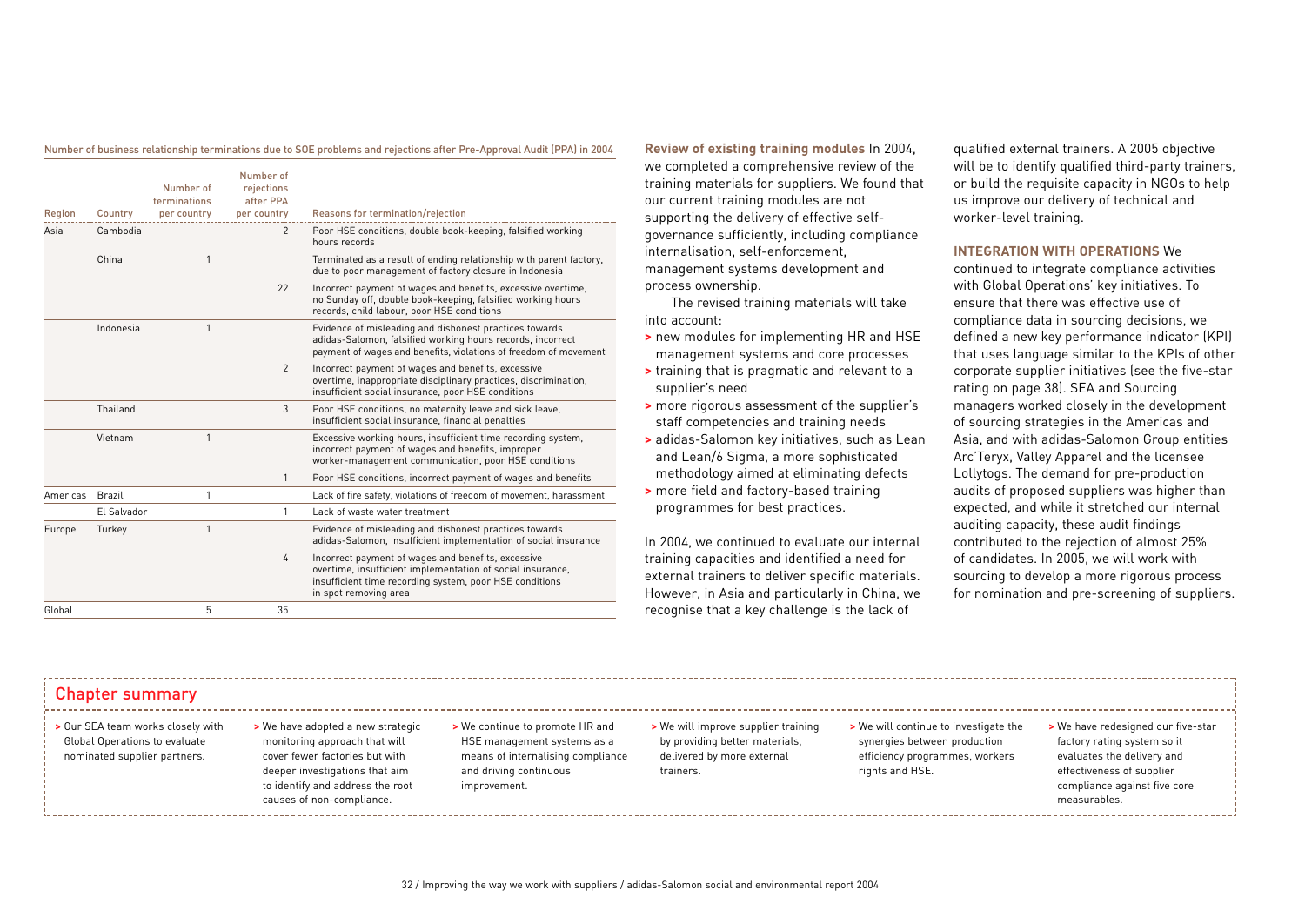Number of business relationship terminations due to SOE problems and rejections after Pre-Approval Audit (PPA) in 2004

| Region   | Country     | Number of<br>terminations<br>per country | Number of<br>rejections<br>after PPA<br>per country | Reasons for termination/rejection                                                                                                                                                                    |
|----------|-------------|------------------------------------------|-----------------------------------------------------|------------------------------------------------------------------------------------------------------------------------------------------------------------------------------------------------------|
| Asia     | Cambodia    |                                          | $\overline{2}$                                      | Poor HSE conditions, double book-keeping, falsified working<br>hours records                                                                                                                         |
|          | China       | 1                                        |                                                     | Terminated as a result of ending relationship with parent factory,<br>due to poor management of factory closure in Indonesia                                                                         |
|          |             |                                          | 22                                                  | Incorrect payment of wages and benefits, excessive overtime,<br>no Sunday off, double book-keeping, falsified working hours<br>records, child labour, poor HSE conditions                            |
|          | Indonesia   | 1                                        |                                                     | Evidence of misleading and dishonest practices towards<br>adidas-Salomon, falsified working hours records, incorrect<br>payment of wages and benefits, violations of freedom of movement             |
|          |             |                                          | $\overline{2}$                                      | Incorrect payment of wages and benefits, excessive<br>overtime, inappropriate disciplinary practices, discrimination,<br>insufficient social insurance, poor HSE conditions                          |
|          | Thailand    |                                          | 3                                                   | Poor HSE conditions, no maternity leave and sick leave,<br>insufficient social insurance, financial penalties                                                                                        |
|          | Vietnam     | 1                                        |                                                     | Excessive working hours, insufficient time recording system,<br>incorrect payment of wages and benefits, improper<br>worker-management communication, poor HSE conditions                            |
|          |             |                                          | 1                                                   | Poor HSE conditions, incorrect payment of wages and benefits                                                                                                                                         |
| Americas | Brazil      | 1                                        |                                                     | Lack of fire safety, violations of freedom of movement, harassment                                                                                                                                   |
|          | El Salvador |                                          | $\mathbf{1}$                                        | Lack of waste water treatment                                                                                                                                                                        |
| Europe   | Turkey      | 1                                        |                                                     | Evidence of misleading and dishonest practices towards<br>adidas-Salomon, insufficient implementation of social insurance                                                                            |
|          |             |                                          | 4                                                   | Incorrect payment of wages and benefits, excessive<br>overtime, insufficient implementation of social insurance,<br>insufficient time recording system, poor HSE conditions<br>in spot removing area |
| Global   |             | 5                                        | 35                                                  |                                                                                                                                                                                                      |
|          |             |                                          |                                                     |                                                                                                                                                                                                      |

**Review of existing training modules** In 2004, we completed a comprehensive review of the training materials for suppliers. We found that our current training modules are not supporting the delivery of effective selfgovernance sufficiently, including compliance internalisation, self-enforcement, management systems development and process ownership.

The revised training materials will take into account:

- **>** new modules for implementing HR and HSE management systems and core processes
- **>** training that is pragmatic and relevant to a supplier's need
- **>** more rigorous assessment of the supplier's staff competencies and training needs
- **>** adidas-Salomon key initiatives, such as Lean and Lean/6 Sigma, a more sophisticated methodology aimed at eliminating defects
- **>** more field and factory-based training programmes for best practices.

In 2004, we continued to evaluate our internal training capacities and identified a need for external trainers to deliver specific materials. However, in Asia and particularly in China, we recognise that a key challenge is the lack of

qualified external trainers. A 2005 objective will be to identify qualified third-party trainers, or build the requisite capacity in NGOs to help us improve our delivery of technical and worker-level training.

### **INTEGRATION WITH OPERATIONS** We

continued to integrate compliance activities with Global Operations' key initiatives. To ensure that there was effective use of compliance data in sourcing decisions, we defined a new key performance indicator (KPI) that uses language similar to the KPIs of other corporate supplier initiatives (see the five-star rating on page 38). SEA and Sourcing managers worked closely in the development of sourcing strategies in the Americas and Asia, and with adidas-Salomon Group entities Arc'Teryx, Valley Apparel and the licensee Lollytogs. The demand for pre-production audits of proposed suppliers was higher than expected, and while it stretched our internal auditing capacity, these audit findings contributed to the rejection of almost 25% of candidates. In 2005, we will work with sourcing to develop a more rigorous process for nomination and pre-screening of suppliers.

## Chapter summary

- **>** Our SEA team works closely with Global Operations to evaluate nominated supplier partners.
- **>** We have adopted a new strategic monitoring approach that will cover fewer factories but with deeper investigations that aim to identify and address the root causes of non-compliance.
- **>** We continue to promote HR and HSE management systems as a means of internalising compliance and driving continuous improvement.

**>** We will improve supplier training by providing better materials, delivered by more external trainers.

- **>** We will continue to investigate the synergies between production efficiency programmes, workers rights and HSE.
- **>** We have redesigned our five-star factory rating system so it evaluates the delivery and effectiveness of supplier compliance against five core measurables.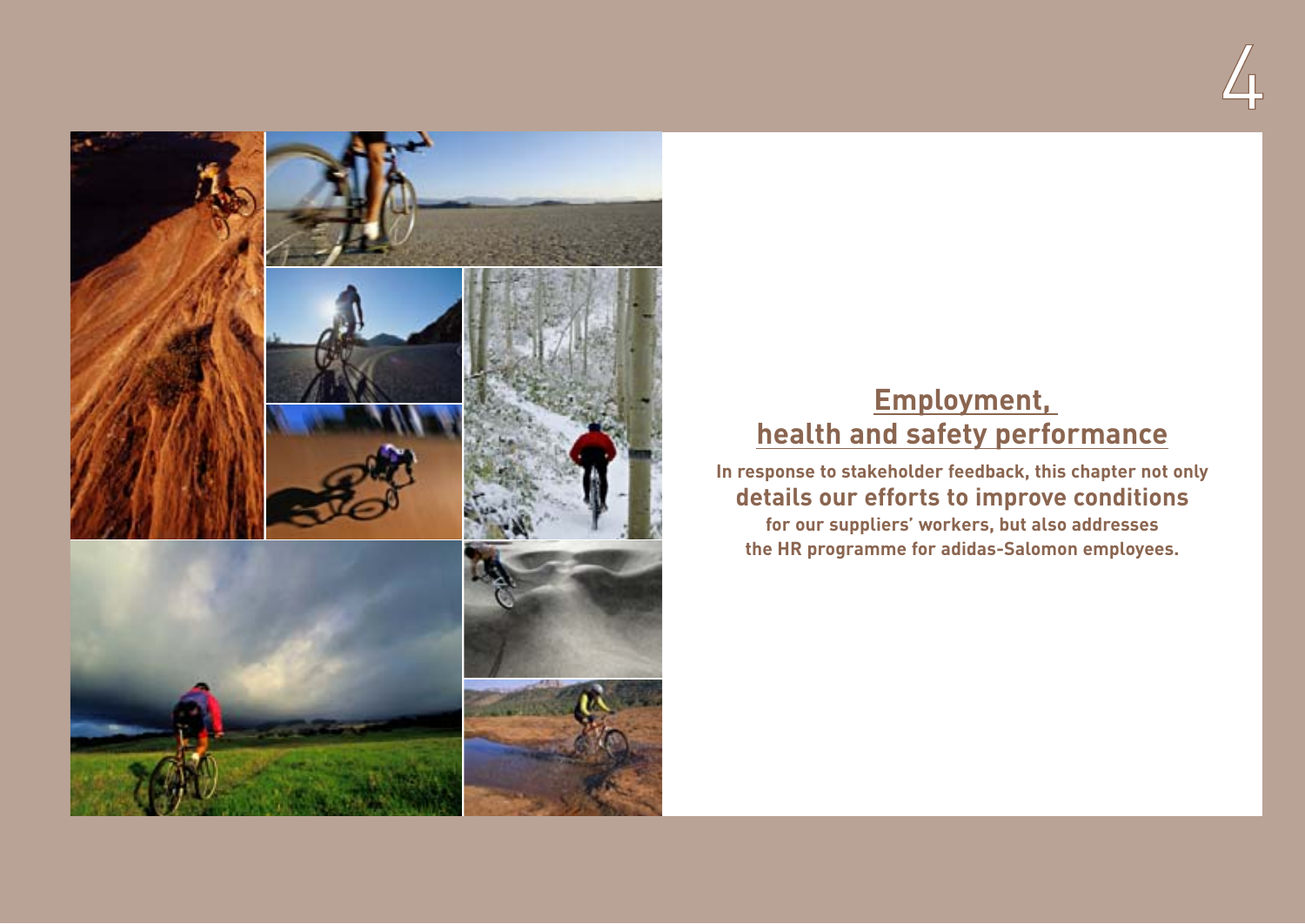



# **Employment, health and safety performance**

**In response to stakeholder feedback, this chapter not only details our efforts to improve conditions**

**for our suppliers' workers, but also addresses the HR programme for adidas-Salomon employees.**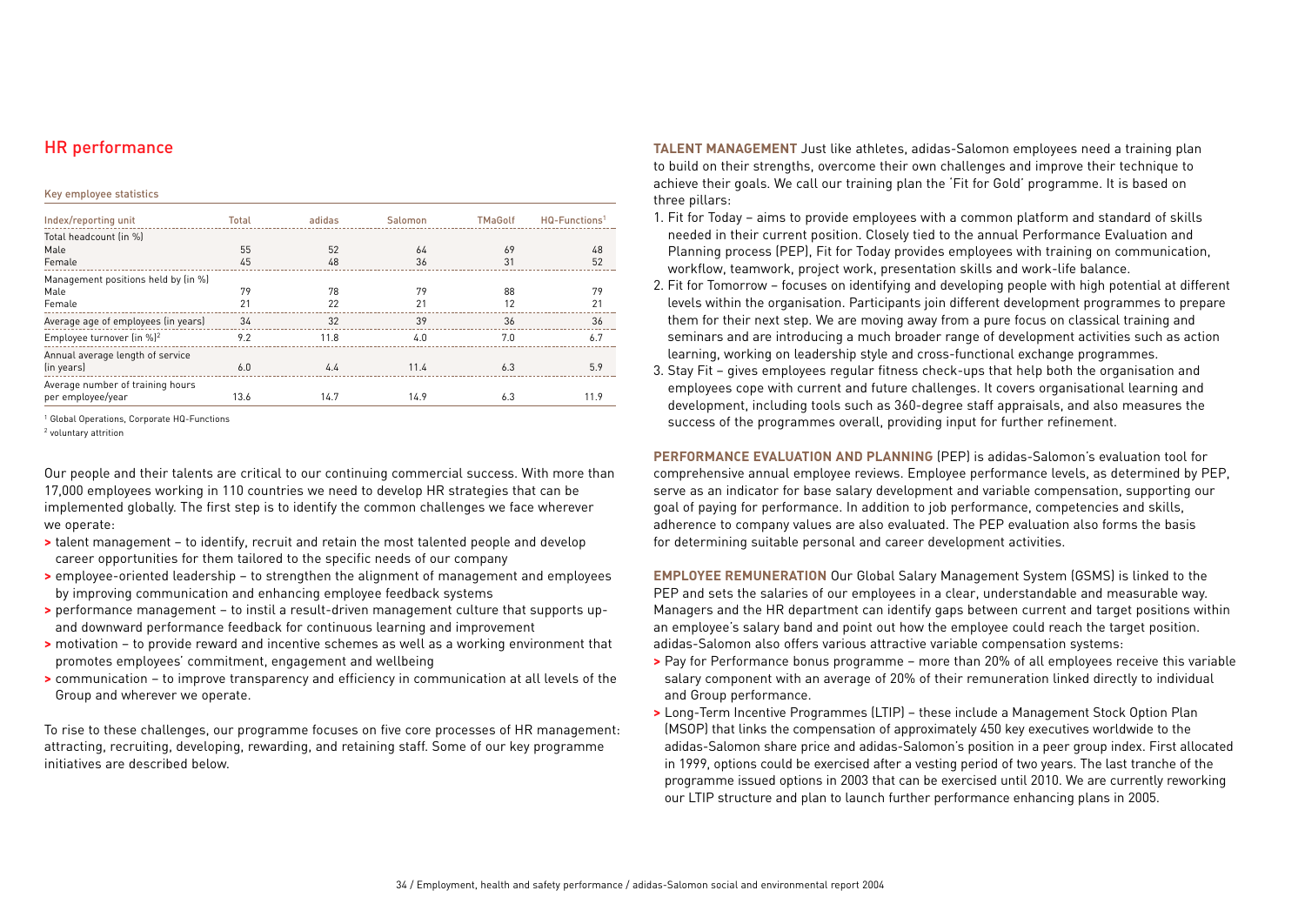# HR performance

### Key employee statistics

| Index/reporting unit                                  | Total | adidas | Salomon | <b>TMaGolf</b> | $HQ$ -Functions <sup>1</sup> |
|-------------------------------------------------------|-------|--------|---------|----------------|------------------------------|
| Total headcount (in %)                                |       |        |         |                |                              |
| Male                                                  | 55    | 52     | 64      | 69             | 48                           |
| Female                                                | 45    | 48     | 36      | 31             | 52                           |
| Management positions held by (in %)                   |       |        |         |                |                              |
| Male                                                  | 79    | 78     | 79      | 88             | 79                           |
| Female                                                | 21    | 22     | 21      | 12             | 21                           |
| Average age of employees (in years)                   | 34    | 32     | 39      | 36             | 36                           |
| Employee turnover (in %) <sup>2</sup>                 | 9.2   | 11.8   | 4.0     | 7.0            | 6.7                          |
| Annual average length of service<br>(in years)        | 6.0   | 4.4    | 11.4    | 6.3            | 5.9                          |
| Average number of training hours<br>per employee/year | 13.6  | 14.7   | 14.9    | 6.3            | 11.9                         |

<sup>1</sup> Global Operations, Corporate HQ-Functions

<sup>2</sup> voluntary attrition

Our people and their talents are critical to our continuing commercial success. With more than 17,000 employees working in 110 countries we need to develop HR strategies that can be implemented globally. The first step is to identify the common challenges we face wherever we operate:

- **>** talent management to identify, recruit and retain the most talented people and develop career opportunities for them tailored to the specific needs of our company
- **>** employee-oriented leadership to strengthen the alignment of management and employees by improving communication and enhancing employee feedback systems
- **>** performance management to instil a result-driven management culture that supports upand downward performance feedback for continuous learning and improvement
- **>** motivation to provide reward and incentive schemes as well as a working environment that promotes employees' commitment, engagement and wellbeing
- **>** communication to improve transparency and efficiency in communication at all levels of the Group and wherever we operate.

To rise to these challenges, our programme focuses on five core processes of HR management: attracting, recruiting, developing, rewarding, and retaining staff. Some of our key programme initiatives are described below.

**TALENT MANAGEMENT** Just like athletes, adidas-Salomon employees need a training plan to build on their strengths, overcome their own challenges and improve their technique to achieve their goals. We call our training plan the 'Fit for Gold' programme. It is based on three pillars:

- 1. Fit for Today aims to provide employees with a common platform and standard of skills needed in their current position. Closely tied to the annual Performance Evaluation and Planning process (PEP), Fit for Today provides employees with training on communication, workflow, teamwork, project work, presentation skills and work-life balance.
- 2. Fit for Tomorrow focuses on identifying and developing people with high potential at different levels within the organisation. Participants join different development programmes to prepare them for their next step. We are moving away from a pure focus on classical training and seminars and are introducing a much broader range of development activities such as action learning, working on leadership style and cross-functional exchange programmes.
- 3. Stay Fit gives employees regular fitness check-ups that help both the organisation and employees cope with current and future challenges. It covers organisational learning and development, including tools such as 360-degree staff appraisals, and also measures the success of the programmes overall, providing input for further refinement.

**PERFORMANCE EVALUATION AND PLANNING** (PEP) is adidas-Salomon's evaluation tool for comprehensive annual employee reviews. Employee performance levels, as determined by PEP, serve as an indicator for base salary development and variable compensation, supporting our goal of paying for performance. In addition to job performance, competencies and skills, adherence to company values are also evaluated. The PEP evaluation also forms the basis for determining suitable personal and career development activities.

**EMPLOYEE REMUNERATION** Our Global Salary Management System (GSMS) is linked to the PEP and sets the salaries of our employees in a clear, understandable and measurable way. Managers and the HR department can identify gaps between current and target positions within an employee's salary band and point out how the employee could reach the target position. adidas-Salomon also offers various attractive variable compensation systems:

- **>** Pay for Performance bonus programme more than 20% of all employees receive this variable salary component with an average of 20% of their remuneration linked directly to individual and Group performance.
- **>** Long-Term Incentive Programmes (LTIP) these include a Management Stock Option Plan (MSOP) that links the compensation of approximately 450 key executives worldwide to the adidas-Salomon share price and adidas-Salomon's position in a peer group index. First allocated in 1999, options could be exercised after a vesting period of two years. The last tranche of the programme issued options in 2003 that can be exercised until 2010. We are currently reworking our LTIP structure and plan to launch further performance enhancing plans in 2005.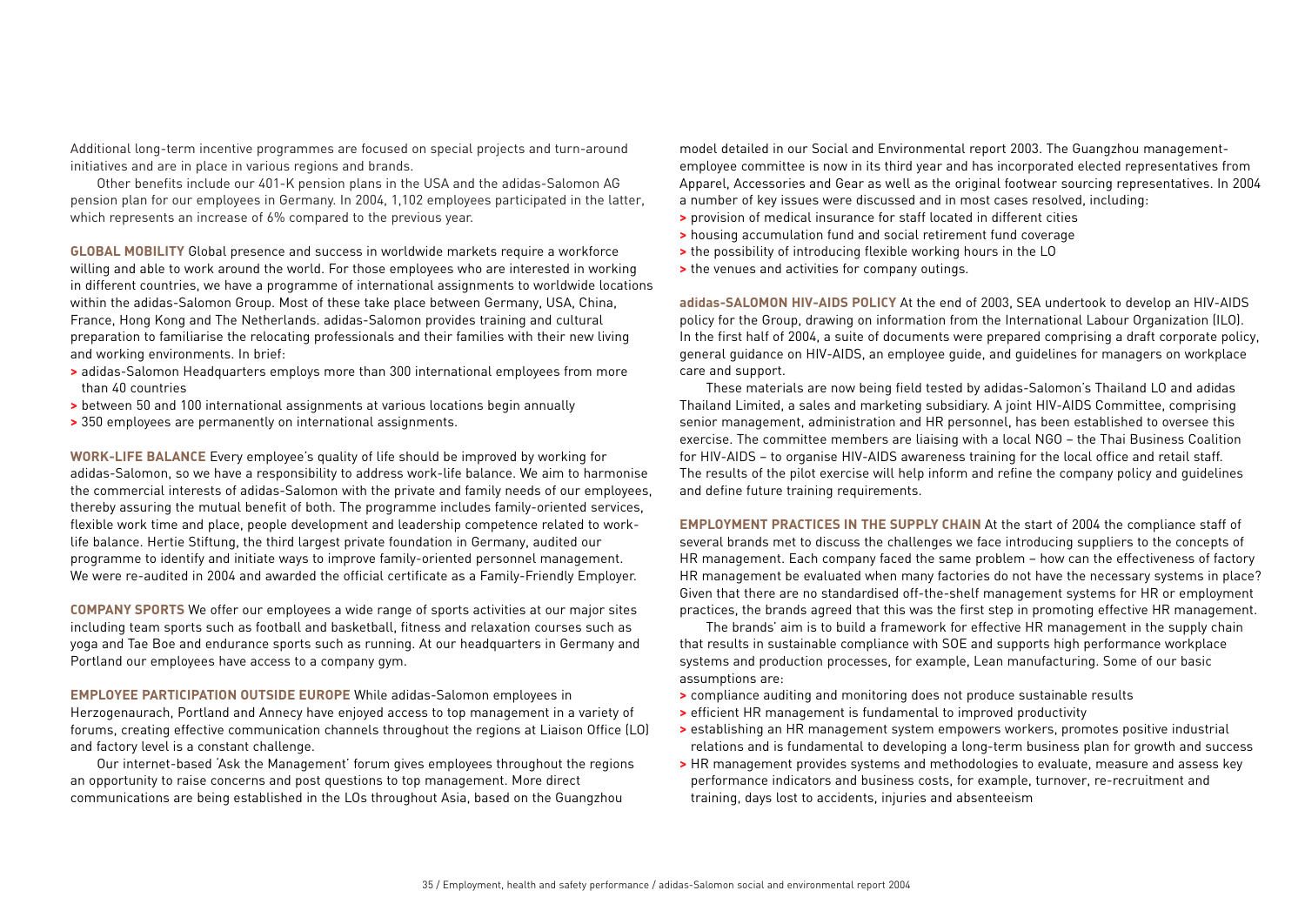Additional long-term incentive programmes are focused on special projects and turn-around initiatives and are in place in various regions and brands.

Other benefits include our 401-K pension plans in the USA and the adidas-Salomon AG pension plan for our employees in Germany. In 2004, 1,102 employees participated in the latter, which represents an increase of 6% compared to the previous year.

**GLOBAL MOBILITY** Global presence and success in worldwide markets require a workforce willing and able to work around the world. For those employees who are interested in working in different countries, we have a programme of international assignments to worldwide locations within the adidas-Salomon Group. Most of these take place between Germany, USA, China, France, Hong Kong and The Netherlands. adidas-Salomon provides training and cultural preparation to familiarise the relocating professionals and their families with their new living and working environments. In brief:

- **>** adidas-Salomon Headquarters employs more than 300 international employees from more than 40 countries
- **>** between 50 and 100 international assignments at various locations begin annually
- **>** 350 employees are permanently on international assignments.

**WORK-LIFE BALANCE** Every employee's quality of life should be improved by working for adidas-Salomon, so we have a responsibility to address work-life balance. We aim to harmonise the commercial interests of adidas-Salomon with the private and family needs of our employees, thereby assuring the mutual benefit of both. The programme includes family-oriented services, flexible work time and place, people development and leadership competence related to worklife balance. Hertie Stiftung, the third largest private foundation in Germany, audited our programme to identify and initiate ways to improve family-oriented personnel management. We were re-audited in 2004 and awarded the official certificate as a Family-Friendly Employer.

**COMPANY SPORTS** We offer our employees a wide range of sports activities at our major sites including team sports such as football and basketball, fitness and relaxation courses such as yoga and Tae Boe and endurance sports such as running. At our headquarters in Germany and Portland our employees have access to a company gym.

**EMPLOYEE PARTICIPATION OUTSIDE EUROPE** While adidas-Salomon employees in Herzogenaurach, Portland and Annecy have enjoyed access to top management in a variety of forums, creating effective communication channels throughout the regions at Liaison Office (LO) and factory level is a constant challenge.

Our internet-based 'Ask the Management' forum gives employees throughout the regions an opportunity to raise concerns and post questions to top management. More direct communications are being established in the LOs throughout Asia, based on the Guangzhou

model detailed in our Social and Environmental report 2003. The Guangzhou managementemployee committee is now in its third year and has incorporated elected representatives from Apparel, Accessories and Gear as well as the original footwear sourcing representatives. In 2004 a number of key issues were discussed and in most cases resolved, including:

- **>** provision of medical insurance for staff located in different cities
- **>** housing accumulation fund and social retirement fund coverage
- **>** the possibility of introducing flexible working hours in the LO
- **>** the venues and activities for company outings.

**adidas-SALOMON HIV-AIDS POLICY** At the end of 2003, SEA undertook to develop an HIV-AIDS policy for the Group, drawing on information from the International Labour Organization (ILO). In the first half of 2004, a suite of documents were prepared comprising a draft corporate policy, general guidance on HIV-AIDS, an employee guide, and guidelines for managers on workplace care and support.

These materials are now being field tested by adidas-Salomon's Thailand LO and adidas Thailand Limited, a sales and marketing subsidiary. A joint HIV-AIDS Committee, comprising senior management, administration and HR personnel, has been established to oversee this exercise. The committee members are liaising with a local NGO – the Thai Business Coalition for HIV-AIDS – to organise HIV-AIDS awareness training for the local office and retail staff. The results of the pilot exercise will help inform and refine the company policy and guidelines and define future training requirements.

**EMPLOYMENT PRACTICES IN THE SUPPLY CHAIN** At the start of 2004 the compliance staff of several brands met to discuss the challenges we face introducing suppliers to the concepts of HR management. Each company faced the same problem – how can the effectiveness of factory HR management be evaluated when many factories do not have the necessary systems in place? Given that there are no standardised off-the-shelf management systems for HR or employment practices, the brands agreed that this was the first step in promoting effective HR management.

The brands' aim is to build a framework for effective HR management in the supply chain that results in sustainable compliance with SOE and supports high performance workplace systems and production processes, for example, Lean manufacturing. Some of our basic assumptions are:

- **>** compliance auditing and monitoring does not produce sustainable results
- **>** efficient HR management is fundamental to improved productivity
- **>** establishing an HR management system empowers workers, promotes positive industrial relations and is fundamental to developing a long-term business plan for growth and success
- **>** HR management provides systems and methodologies to evaluate, measure and assess key performance indicators and business costs, for example, turnover, re-recruitment and training, days lost to accidents, injuries and absenteeism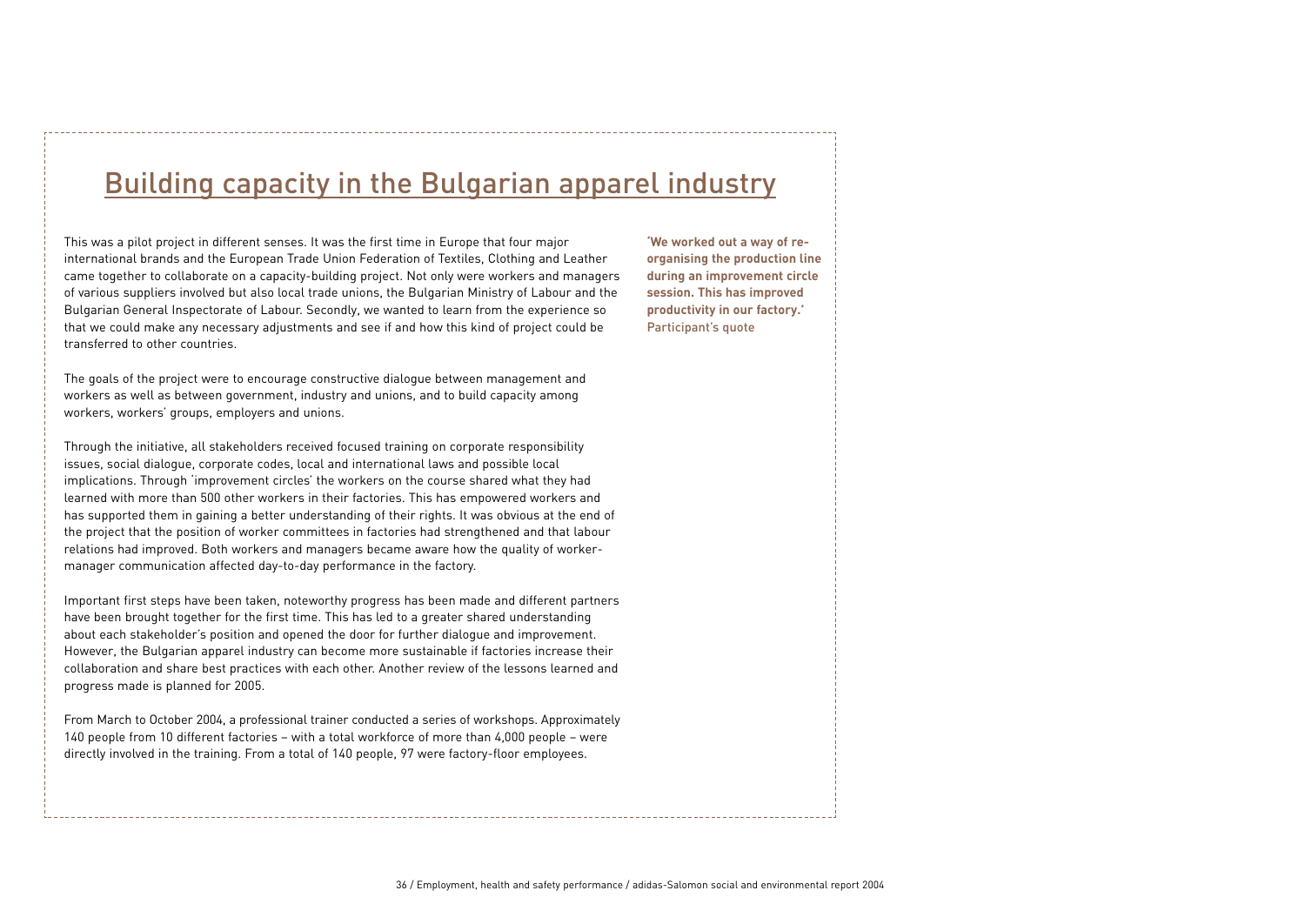# Building capacity in the Bulgarian apparel industry

This was a pilot project in different senses. It was the first time in Europe that four major international brands and the European Trade Union Federation of Textiles, Clothing and Leather came together to collaborate on a capacity-building project. Not only were workers and managers of various suppliers involved but also local trade unions, the Bulgarian Ministry of Labour and the Bulgarian General Inspectorate of Labour. Secondly, we wanted to learn from the experience so that we could make any necessary adjustments and see if and how this kind of project could be transferred to other countries.

The goals of the project were to encourage constructive dialogue between management and workers as well as between government, industry and unions, and to build capacity among workers, workers' groups, employers and unions.

Through the initiative, all stakeholders received focused training on corporate responsibility issues, social dialogue, corporate codes, local and international laws and possible local implications. Through 'improvement circles' the workers on the course shared what they had learned with more than 500 other workers in their factories. This has empowered workers and has supported them in gaining a better understanding of their rights. It was obvious at the end of the project that the position of worker committees in factories had strengthened and that labour relations had improved. Both workers and managers became aware how the quality of workermanager communication affected day-to-day performance in the factory.

Important first steps have been taken, noteworthy progress has been made and different partners have been brought together for the first time. This has led to a greater shared understanding about each stakeholder's position and opened the door for further dialogue and improvement. However, the Bulgarian apparel industry can become more sustainable if factories increase their collaboration and share best practices with each other. Another review of the lessons learned and progress made is planned for 2005.

From March to October 2004, a professional trainer conducted a series of workshops. Approximately 140 people from 10 different factories – with a total workforce of more than 4,000 people – were directly involved in the training. From a total of 140 people, 97 were factory-floor employees.

**'We worked out a way of reorganising the production line during an improvement circle session. This has improved productivity in our factory.'**  Participant's quote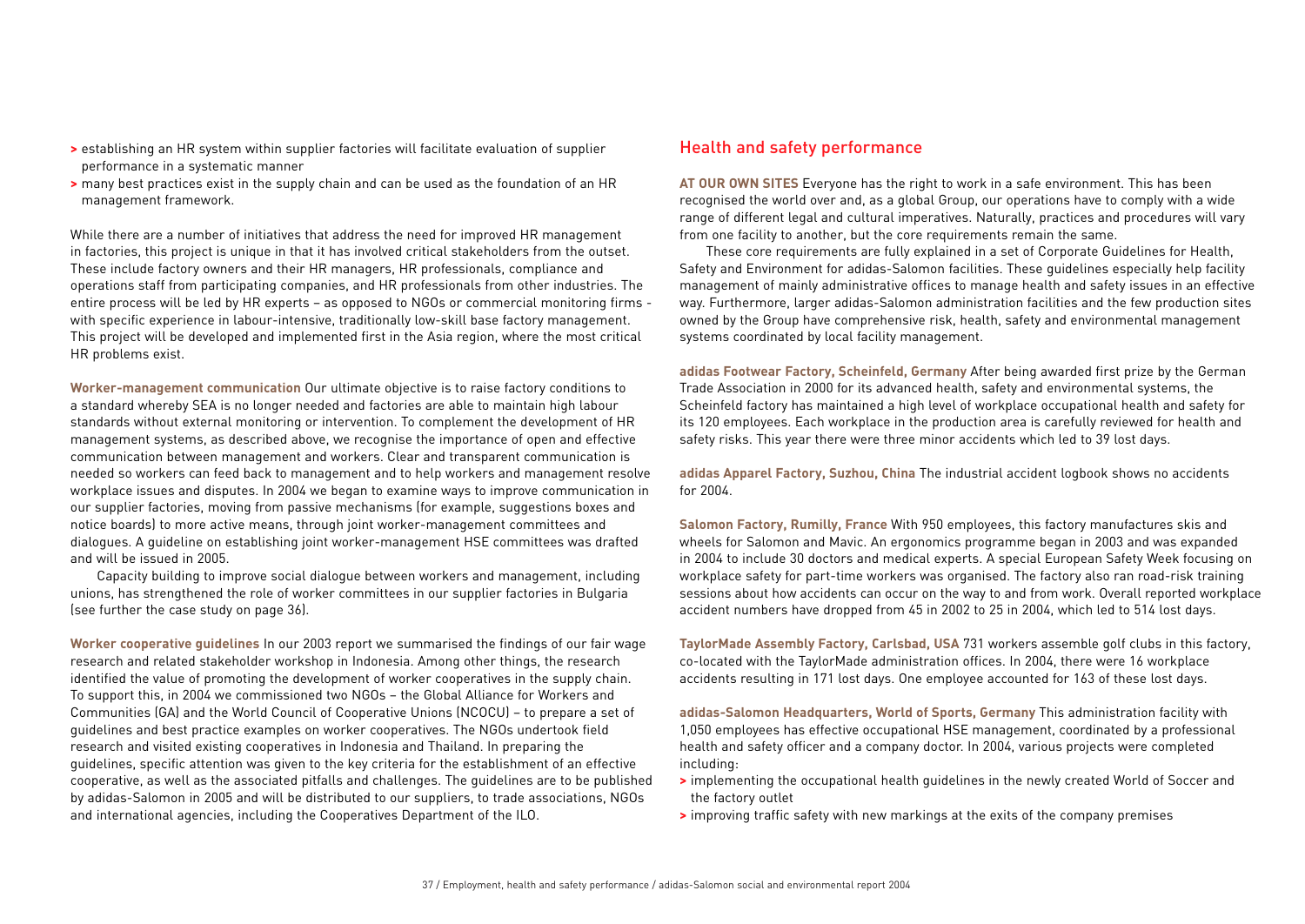- **>** establishing an HR system within supplier factories will facilitate evaluation of supplier performance in a systematic manner
- **>** many best practices exist in the supply chain and can be used as the foundation of an HR management framework.

While there are a number of initiatives that address the need for improved HR management in factories, this project is unique in that it has involved critical stakeholders from the outset. These include factory owners and their HR managers, HR professionals, compliance and operations staff from participating companies, and HR professionals from other industries. The entire process will be led by HR experts – as opposed to NGOs or commercial monitoring firms with specific experience in labour-intensive, traditionally low-skill base factory management. This project will be developed and implemented first in the Asia region, where the most critical HR problems exist.

**Worker-management communication** Our ultimate objective is to raise factory conditions to a standard whereby SEA is no longer needed and factories are able to maintain high labour standards without external monitoring or intervention. To complement the development of HR management systems, as described above, we recognise the importance of open and effective communication between management and workers. Clear and transparent communication is needed so workers can feed back to management and to help workers and management resolve workplace issues and disputes. In 2004 we began to examine ways to improve communication in our supplier factories, moving from passive mechanisms (for example, suggestions boxes and notice boards) to more active means, through joint worker-management committees and dialogues. A guideline on establishing joint worker-management HSE committees was drafted and will be issued in 2005.

Capacity building to improve social dialogue between workers and management, including unions, has strengthened the role of worker committees in our supplier factories in Bulgaria (see further the case study on page 36).

**Worker cooperative guidelines** In our 2003 report we summarised the findings of our fair wage research and related stakeholder workshop in Indonesia. Among other things, the research identified the value of promoting the development of worker cooperatives in the supply chain. To support this, in 2004 we commissioned two NGOs – the Global Alliance for Workers and Communities (GA) and the World Council of Cooperative Unions (NCOCU) – to prepare a set of guidelines and best practice examples on worker cooperatives. The NGOs undertook field research and visited existing cooperatives in Indonesia and Thailand. In preparing the guidelines, specific attention was given to the key criteria for the establishment of an effective cooperative, as well as the associated pitfalls and challenges. The guidelines are to be published by adidas-Salomon in 2005 and will be distributed to our suppliers, to trade associations, NGOs and international agencies, including the Cooperatives Department of the ILO.

## Health and safety performance

**AT OUR OWN SITES** Everyone has the right to work in a safe environment. This has been recognised the world over and, as a global Group, our operations have to comply with a wide range of different legal and cultural imperatives. Naturally, practices and procedures will vary from one facility to another, but the core requirements remain the same.

These core requirements are fully explained in a set of Corporate Guidelines for Health, Safety and Environment for adidas-Salomon facilities. These guidelines especially help facility management of mainly administrative offices to manage health and safety issues in an effective way. Furthermore, larger adidas-Salomon administration facilities and the few production sites owned by the Group have comprehensive risk, health, safety and environmental management systems coordinated by local facility management.

**adidas Footwear Factory, Scheinfeld, Germany** After being awarded first prize by the German Trade Association in 2000 for its advanced health, safety and environmental systems, the Scheinfeld factory has maintained a high level of workplace occupational health and safety for its 120 employees. Each workplace in the production area is carefully reviewed for health and safety risks. This year there were three minor accidents which led to 39 lost days.

**adidas Apparel Factory, Suzhou, China** The industrial accident logbook shows no accidents for 2004.

**Salomon Factory, Rumilly, France** With 950 employees, this factory manufactures skis and wheels for Salomon and Mavic. An ergonomics programme began in 2003 and was expanded in 2004 to include 30 doctors and medical experts. A special European Safety Week focusing on workplace safety for part-time workers was organised. The factory also ran road-risk training sessions about how accidents can occur on the way to and from work. Overall reported workplace accident numbers have dropped from 45 in 2002 to 25 in 2004, which led to 514 lost days.

**TaylorMade Assembly Factory, Carlsbad, USA** 731 workers assemble golf clubs in this factory, co-located with the TaylorMade administration offices. In 2004, there were 16 workplace accidents resulting in 171 lost days. One employee accounted for 163 of these lost days.

**adidas-Salomon Headquarters, World of Sports, Germany** This administration facility with 1,050 employees has effective occupational HSE management, coordinated by a professional health and safety officer and a company doctor. In 2004, various projects were completed including:

- **>** implementing the occupational health guidelines in the newly created World of Soccer and the factory outlet
- **>** improving traffic safety with new markings at the exits of the company premises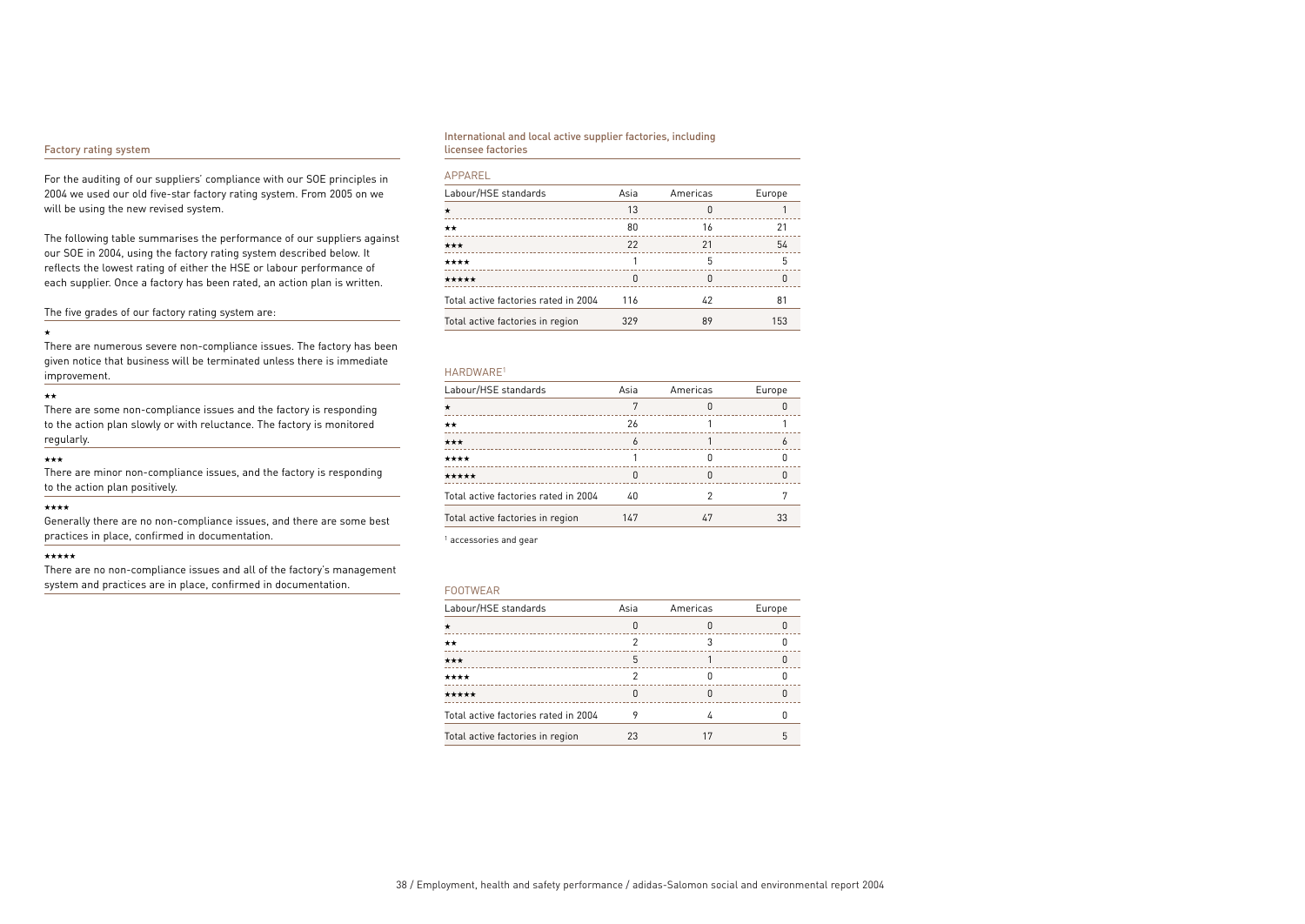### Factory rating system

For the auditing of our suppliers' compliance with our SOE principles in 2004 we used our old five-star factory rating system. From 2005 on we will be using the new revised system.

The following table summarises the performance of our suppliers against our SOE in 2004, using the factory rating system described below. It reflects the lowest rating of either the HSE or labour performance of each supplier. Once a factory has been rated, an action plan is written.

The five grades of our factory rating system are:

#### ★

There are numerous severe non-compliance issues. The factory has been given notice that business will be terminated unless there is immediate improvement.

#### ★★

There are some non-compliance issues and the factory is responding to the action plan slowly or with reluctance. The factory is monitored regularly.

#### ★★★

There are minor non-compliance issues, and the factory is responding to the action plan positively.

### ★★★★

Generally there are no non-compliance issues, and there are some best practices in place, confirmed in documentation.

#### ★★★★★

There are no non-compliance issues and all of the factory's management system and practices are in place, confirmed in documentation.

### International and local active supplier factories, including licensee factories

### APPAREL

| Labour/HSE standards                 | Asia | Americas | Europe |
|--------------------------------------|------|----------|--------|
| $\star$                              | 13   | 0        |        |
| **                                   | 80   | 16       | 21     |
| ***                                  | 22   | 21       | 54     |
| ****                                 |      | 5        | 5      |
| *****                                | n    | 0        |        |
| Total active factories rated in 2004 | 116  | 42       | 81     |
| Total active factories in region     | 329  | 89       | 153    |
|                                      |      |          |        |

#### HARDWARE1

| Labour/HSE standards                 | Asia | Americas | Europe |
|--------------------------------------|------|----------|--------|
| *                                    |      |          |        |
| **                                   | 26   |          |        |
| ★★★                                  |      |          |        |
| ****                                 |      |          |        |
| *****                                |      |          |        |
| Total active factories rated in 2004 | 40   |          |        |
| Total active factories in region     | 147  | 47       | 33     |

<sup>1</sup> accessories and gear

#### FOOTWEAR

| Labour/HSE standards                 | Asia | Americas | Europe |
|--------------------------------------|------|----------|--------|
| $\star$<br>------------------------  |      |          |        |
| **                                   |      |          |        |
| ***                                  | 5    |          |        |
| ****                                 |      |          |        |
| *****                                |      |          |        |
| Total active factories rated in 2004 |      |          |        |
| Total active factories in region     | 23   |          |        |
|                                      |      |          |        |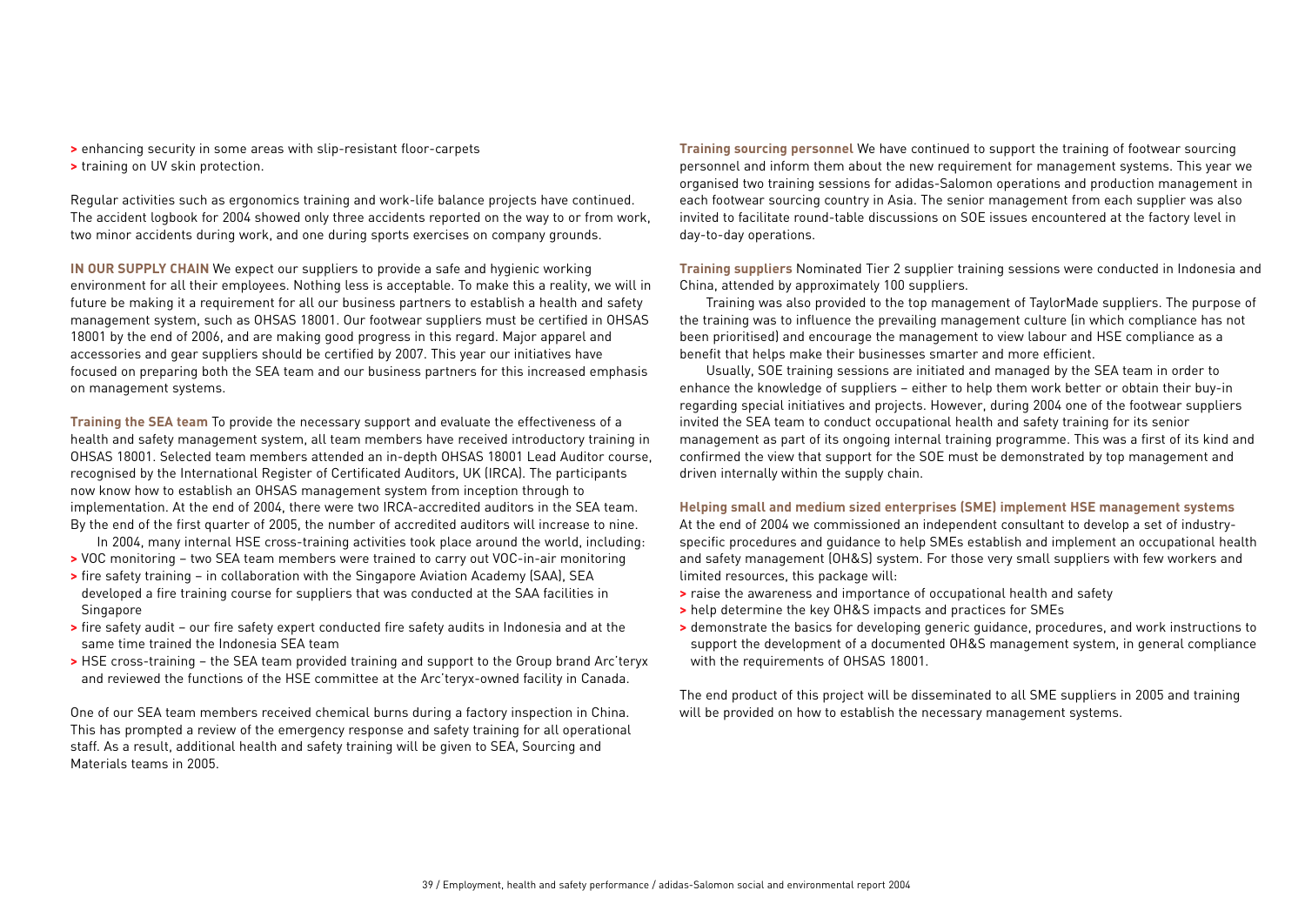- **>** enhancing security in some areas with slip-resistant floor-carpets
- **>** training on UV skin protection.

Regular activities such as ergonomics training and work-life balance projects have continued. The accident logbook for 2004 showed only three accidents reported on the way to or from work, two minor accidents during work, and one during sports exercises on company grounds.

**IN OUR SUPPLY CHAIN** We expect our suppliers to provide a safe and hygienic working environment for all their employees. Nothing less is acceptable. To make this a reality, we will in future be making it a requirement for all our business partners to establish a health and safety management system, such as OHSAS 18001. Our footwear suppliers must be certified in OHSAS 18001 by the end of 2006, and are making good progress in this regard. Major apparel and accessories and gear suppliers should be certified by 2007. This year our initiatives have focused on preparing both the SEA team and our business partners for this increased emphasis on management systems.

**Training the SEA team** To provide the necessary support and evaluate the effectiveness of a health and safety management system, all team members have received introductory training in OHSAS 18001. Selected team members attended an in-depth OHSAS 18001 Lead Auditor course, recognised by the International Register of Certificated Auditors, UK (IRCA). The participants now know how to establish an OHSAS management system from inception through to implementation. At the end of 2004, there were two IRCA-accredited auditors in the SEA team. By the end of the first quarter of 2005, the number of accredited auditors will increase to nine.

- In 2004, many internal HSE cross-training activities took place around the world, including:
- **>** VOC monitoring two SEA team members were trained to carry out VOC-in-air monitoring
- **>** fire safety training in collaboration with the Singapore Aviation Academy (SAA), SEA developed a fire training course for suppliers that was conducted at the SAA facilities in **Singapore**
- **>** fire safety audit our fire safety expert conducted fire safety audits in Indonesia and at the same time trained the Indonesia SEA team
- **>** HSE cross-training the SEA team provided training and support to the Group brand Arc'teryx and reviewed the functions of the HSE committee at the Arc'teryx-owned facility in Canada.

One of our SEA team members received chemical burns during a factory inspection in China. This has prompted a review of the emergency response and safety training for all operational staff. As a result, additional health and safety training will be given to SEA, Sourcing and Materials teams in 2005.

**Training sourcing personnel** We have continued to support the training of footwear sourcing personnel and inform them about the new requirement for management systems. This year we organised two training sessions for adidas-Salomon operations and production management in each footwear sourcing country in Asia. The senior management from each supplier was also invited to facilitate round-table discussions on SOE issues encountered at the factory level in day-to-day operations.

**Training suppliers** Nominated Tier 2 supplier training sessions were conducted in Indonesia and China, attended by approximately 100 suppliers.

Training was also provided to the top management of TaylorMade suppliers. The purpose of the training was to influence the prevailing management culture (in which compliance has not been prioritised) and encourage the management to view labour and HSE compliance as a benefit that helps make their businesses smarter and more efficient.

Usually, SOE training sessions are initiated and managed by the SEA team in order to enhance the knowledge of suppliers – either to help them work better or obtain their buy-in regarding special initiatives and projects. However, during 2004 one of the footwear suppliers invited the SEA team to conduct occupational health and safety training for its senior management as part of its ongoing internal training programme. This was a first of its kind and confirmed the view that support for the SOE must be demonstrated by top management and driven internally within the supply chain.

### **Helping small and medium sized enterprises (SME) implement HSE management systems**

At the end of 2004 we commissioned an independent consultant to develop a set of industryspecific procedures and guidance to help SMEs establish and implement an occupational health and safety management (OH&S) system. For those very small suppliers with few workers and limited resources, this package will:

- **>** raise the awareness and importance of occupational health and safety
- **>** help determine the key OH&S impacts and practices for SMEs
- **>** demonstrate the basics for developing generic guidance, procedures, and work instructions to support the development of a documented OH&S management system, in general compliance with the requirements of OHSAS 18001.

The end product of this project will be disseminated to all SME suppliers in 2005 and training will be provided on how to establish the necessary management systems.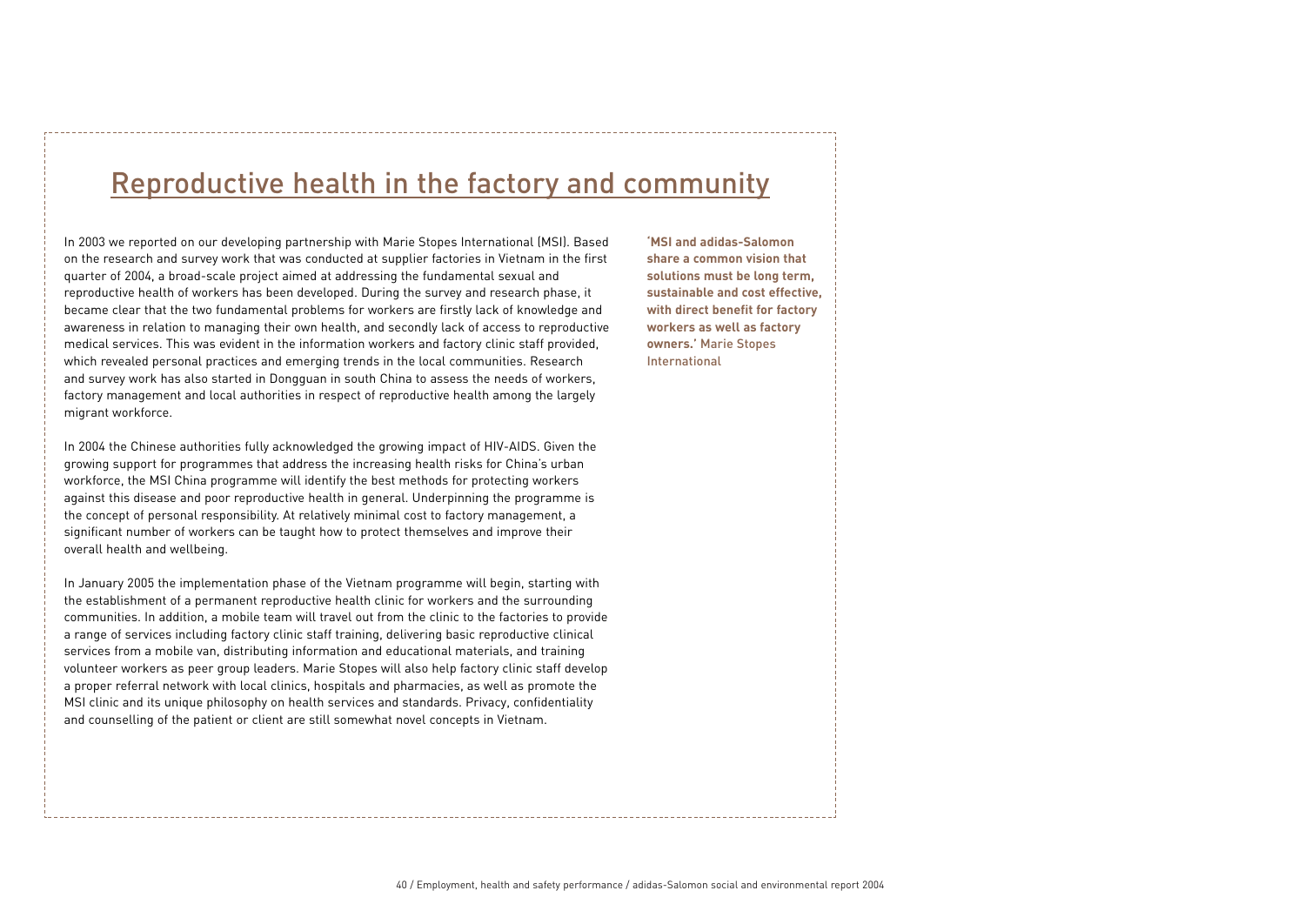# Reproductive health in the factory and community

In 2003 we reported on our developing partnership with Marie Stopes International (MSI). Based on the research and survey work that was conducted at supplier factories in Vietnam in the first quarter of 2004, a broad-scale project aimed at addressing the fundamental sexual and reproductive health of workers has been developed. During the survey and research phase, it became clear that the two fundamental problems for workers are firstly lack of knowledge and awareness in relation to managing their own health, and secondly lack of access to reproductive medical services. This was evident in the information workers and factory clinic staff provided, which revealed personal practices and emerging trends in the local communities. Research and survey work has also started in Dongguan in south China to assess the needs of workers, factory management and local authorities in respect of reproductive health among the largely migrant workforce.

In 2004 the Chinese authorities fully acknowledged the growing impact of HIV-AIDS. Given the growing support for programmes that address the increasing health risks for China's urban workforce, the MSI China programme will identify the best methods for protecting workers against this disease and poor reproductive health in general. Underpinning the programme is the concept of personal responsibility. At relatively minimal cost to factory management, a significant number of workers can be taught how to protect themselves and improve their overall health and wellbeing.

In January 2005 the implementation phase of the Vietnam programme will begin, starting with the establishment of a permanent reproductive health clinic for workers and the surrounding communities. In addition, a mobile team will travel out from the clinic to the factories to provide a range of services including factory clinic staff training, delivering basic reproductive clinical services from a mobile van, distributing information and educational materials, and training volunteer workers as peer group leaders. Marie Stopes will also help factory clinic staff develop a proper referral network with local clinics, hospitals and pharmacies, as well as promote the MSI clinic and its unique philosophy on health services and standards. Privacy, confidentiality and counselling of the patient or client are still somewhat novel concepts in Vietnam.

**'MSI and adidas-Salomon share a common vision that solutions must be long term, sustainable and cost effective, with direct benefit for factory workers as well as factory owners.'** Marie Stopes International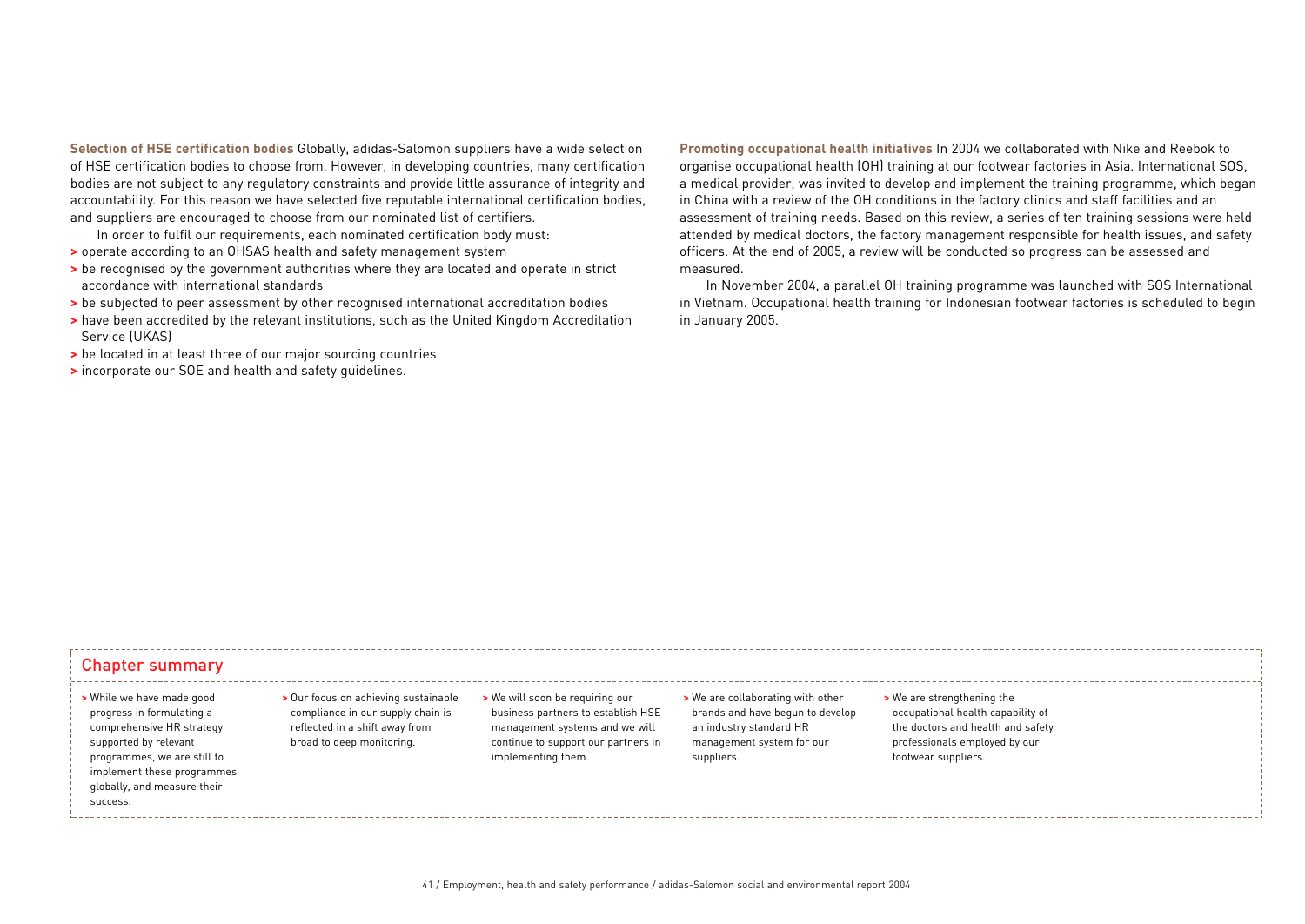**Selection of HSE certification bodies** Globally, adidas-Salomon suppliers have a wide selection of HSE certification bodies to choose from. However, in developing countries, many certification bodies are not subject to any regulatory constraints and provide little assurance of integrity and accountability. For this reason we have selected five reputable international certification bodies, and suppliers are encouraged to choose from our nominated list of certifiers.

In order to fulfil our requirements, each nominated certification body must:

- **>** operate according to an OHSAS health and safety management system
- **>** be recognised by the government authorities where they are located and operate in strict accordance with international standards
- **>** be subjected to peer assessment by other recognised international accreditation bodies
- **>** have been accredited by the relevant institutions, such as the United Kingdom Accreditation Service (UKAS)
- **>** be located in at least three of our major sourcing countries
- **>** incorporate our SOE and health and safety guidelines.

**Promoting occupational health initiatives** In 2004 we collaborated with Nike and Reebok to organise occupational health (OH) training at our footwear factories in Asia. International SOS, a medical provider, was invited to develop and implement the training programme, which began in China with a review of the OH conditions in the factory clinics and staff facilities and an assessment of training needs. Based on this review, a series of ten training sessions were held attended by medical doctors, the factory management responsible for health issues, and safety officers. At the end of 2005, a review will be conducted so progress can be assessed and measured.

In November 2004, a parallel OH training programme was launched with SOS International in Vietnam. Occupational health training for Indonesian footwear factories is scheduled to begin in January 2005.

### Chapter summary

### **>** While we have made good progress in formulating a comprehensive HR strategy supported by relevant programmes, we are still to implement these programmes globally, and measure their success.

- **>** Our focus on achieving sustainable compliance in our supply chain is reflected in a shift away from broad to deep monitoring.
- **>** We will soon be requiring our business partners to establish HSE management systems and we will continue to support our partners in implementing them.
- **>** We are collaborating with other brands and have begun to develop an industry standard HR management system for our suppliers.
- **>** We are strengthening the occupational health capability of the doctors and health and safety professionals employed by our footwear suppliers.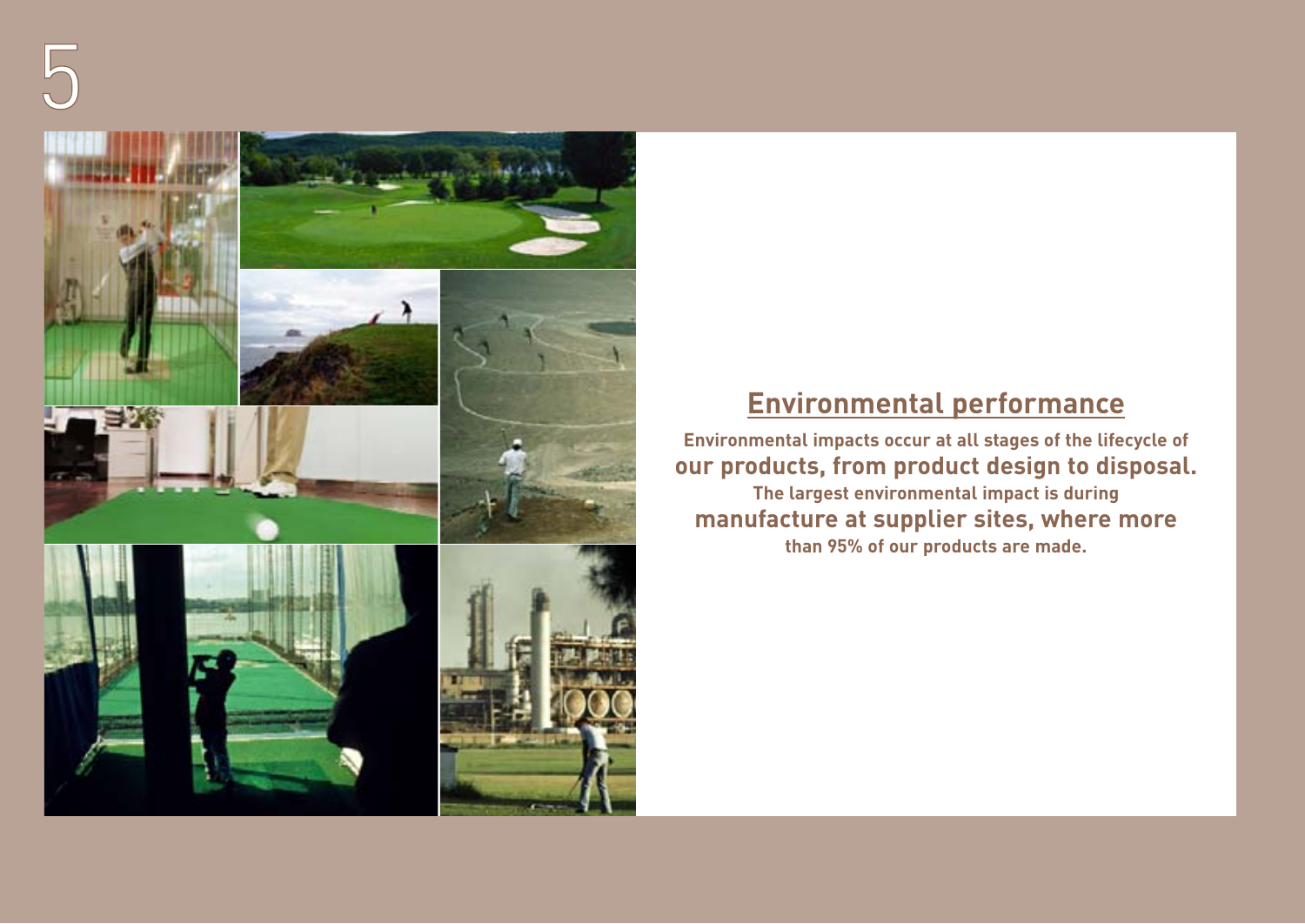

# **Environmental performance**

**Environmental impacts occur at all stages of the lifecycle of our products, from product design to disposal. The largest environmental impact is during manufacture at supplier sites, where more than 95% of our products are made.**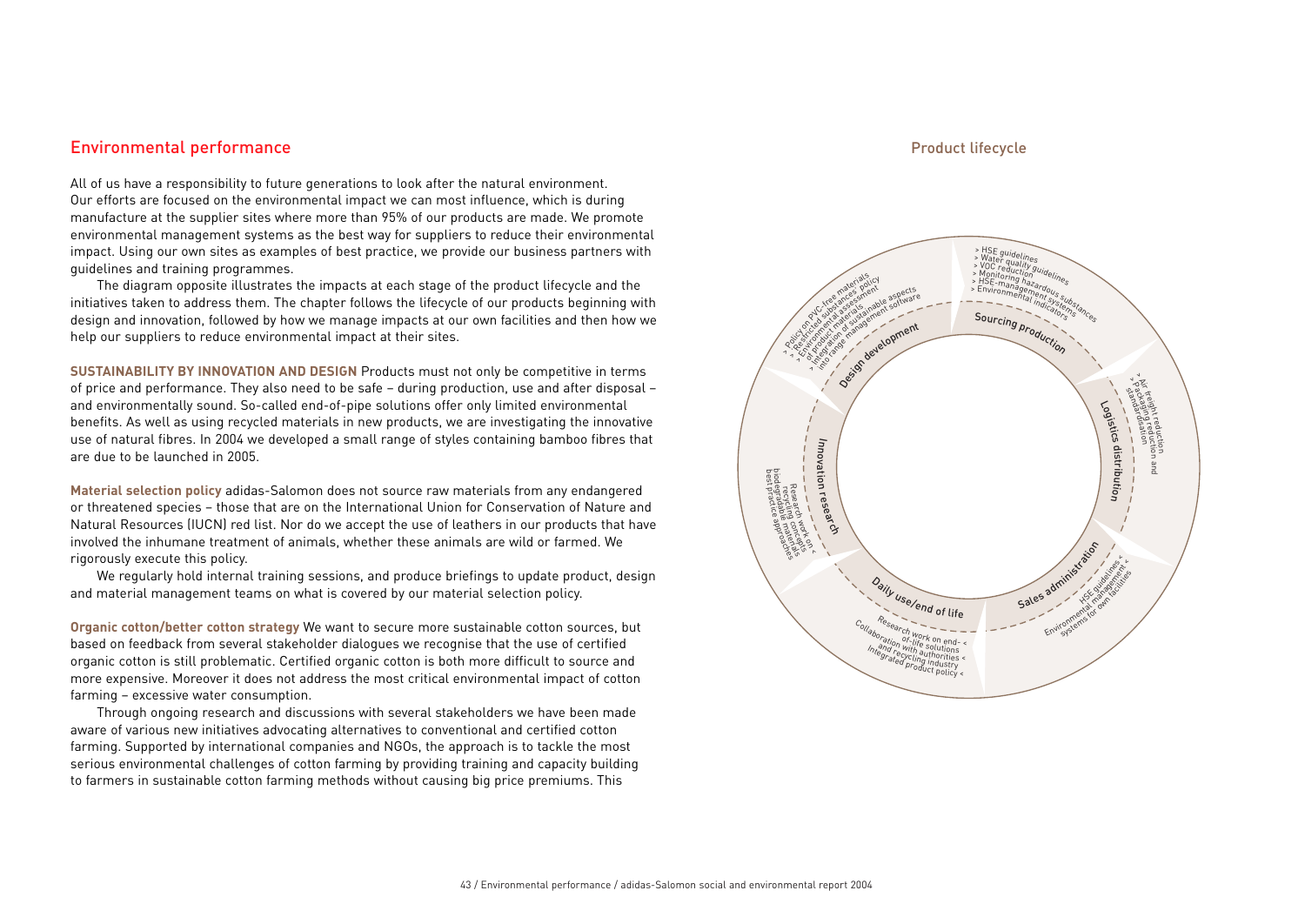## Environmental performance

All of us have a responsibility to future generations to look after the natural environment. Our efforts are focused on the environmental impact we can most influence, which is during manufacture at the supplier sites where more than 95% of our products are made. We promote environmental management systems as the best way for suppliers to reduce their environmental impact. Using our own sites as examples of best practice, we provide our business partners with guidelines and training programmes.

The diagram opposite illustrates the impacts at each stage of the product lifecycle and the initiatives taken to address them. The chapter follows the lifecycle of our products beginning with design and innovation, followed by how we manage impacts at our own facilities and then how we help our suppliers to reduce environmental impact at their sites.

**SUSTAINABILITY BY INNOVATION AND DESIGN** Products must not only be competitive in terms of price and performance. They also need to be safe – during production, use and after disposal – and environmentally sound. So-called end-of-pipe solutions offer only limited environmental benefits. As well as using recycled materials in new products, we are investigating the innovative use of natural fibres. In 2004 we developed a small range of styles containing bamboo fibres that are due to be launched in 2005.

**Material selection policy** adidas-Salomon does not source raw materials from any endangered or threatened species – those that are on the International Union for Conservation of Nature and Natural Resources (IUCN) red list. Nor do we accept the use of leathers in our products that have involved the inhumane treatment of animals, whether these animals are wild or farmed. We rigorously execute this policy.

We regularly hold internal training sessions, and produce briefings to update product, design and material management teams on what is covered by our material selection policy.

**Organic cotton/better cotton strategy** We want to secure more sustainable cotton sources, but based on feedback from several stakeholder dialogues we recognise that the use of certified organic cotton is still problematic. Certified organic cotton is both more difficult to source and more expensive. Moreover it does not address the most critical environmental impact of cotton farming – excessive water consumption.

Through ongoing research and discussions with several stakeholders we have been made aware of various new initiatives advocating alternatives to conventional and certified cotton farming. Supported by international companies and NGOs, the approach is to tackle the most serious environmental challenges of cotton farming by providing training and capacity building to farmers in sustainable cotton farming methods without causing big price premiums. This

### Product lifecycle

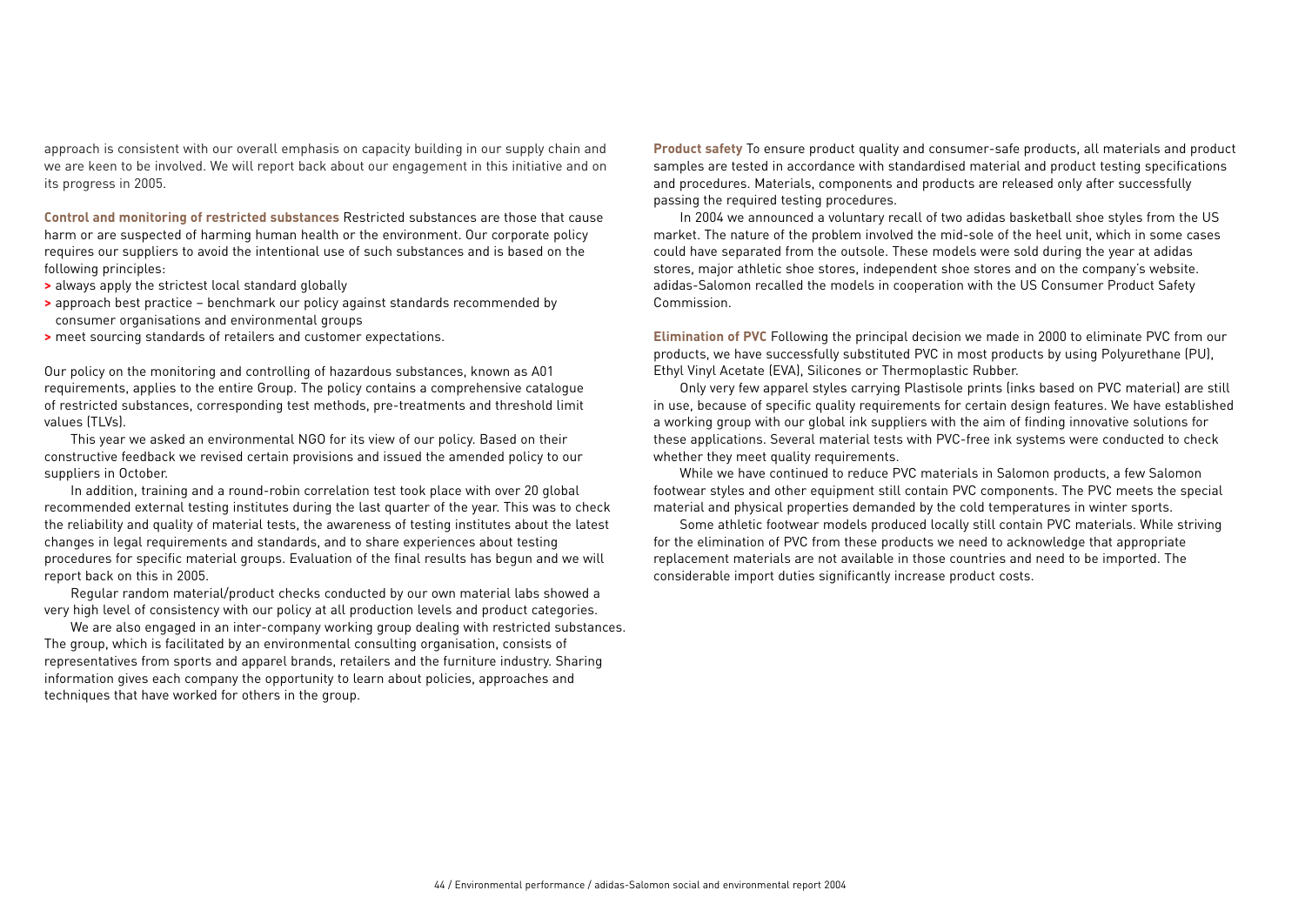approach is consistent with our overall emphasis on capacity building in our supply chain and we are keen to be involved. We will report back about our engagement in this initiative and on its progress in 2005.

**Control and monitoring of restricted substances** Restricted substances are those that cause harm or are suspected of harming human health or the environment. Our corporate policy requires our suppliers to avoid the intentional use of such substances and is based on the following principles:

- **>** always apply the strictest local standard globally
- **>** approach best practice benchmark our policy against standards recommended by consumer organisations and environmental groups
- **>** meet sourcing standards of retailers and customer expectations.

Our policy on the monitoring and controlling of hazardous substances, known as A01 requirements, applies to the entire Group. The policy contains a comprehensive catalogue of restricted substances, corresponding test methods, pre-treatments and threshold limit values (TLVs).

This year we asked an environmental NGO for its view of our policy. Based on their constructive feedback we revised certain provisions and issued the amended policy to our suppliers in October.

In addition, training and a round-robin correlation test took place with over 20 global recommended external testing institutes during the last quarter of the year. This was to check the reliability and quality of material tests, the awareness of testing institutes about the latest changes in legal requirements and standards, and to share experiences about testing procedures for specific material groups. Evaluation of the final results has begun and we will report back on this in 2005.

Regular random material/product checks conducted by our own material labs showed a very high level of consistency with our policy at all production levels and product categories.

We are also engaged in an inter-company working group dealing with restricted substances. The group, which is facilitated by an environmental consulting organisation, consists of representatives from sports and apparel brands, retailers and the furniture industry. Sharing information gives each company the opportunity to learn about policies, approaches and techniques that have worked for others in the group.

**Product safety** To ensure product quality and consumer-safe products, all materials and product samples are tested in accordance with standardised material and product testing specifications and procedures. Materials, components and products are released only after successfully passing the required testing procedures.

In 2004 we announced a voluntary recall of two adidas basketball shoe styles from the US market. The nature of the problem involved the mid-sole of the heel unit, which in some cases could have separated from the outsole. These models were sold during the year at adidas stores, major athletic shoe stores, independent shoe stores and on the company's website. adidas-Salomon recalled the models in cooperation with the US Consumer Product Safety Commission.

**Elimination of PVC** Following the principal decision we made in 2000 to eliminate PVC from our products, we have successfully substituted PVC in most products by using Polyurethane (PU), Ethyl Vinyl Acetate (EVA), Silicones or Thermoplastic Rubber.

Only very few apparel styles carrying Plastisole prints (inks based on PVC material) are still in use, because of specific quality requirements for certain design features. We have established a working group with our global ink suppliers with the aim of finding innovative solutions for these applications. Several material tests with PVC-free ink systems were conducted to check whether they meet quality requirements.

While we have continued to reduce PVC materials in Salomon products, a few Salomon footwear styles and other equipment still contain PVC components. The PVC meets the special material and physical properties demanded by the cold temperatures in winter sports.

Some athletic footwear models produced locally still contain PVC materials. While striving for the elimination of PVC from these products we need to acknowledge that appropriate replacement materials are not available in those countries and need to be imported. The considerable import duties significantly increase product costs.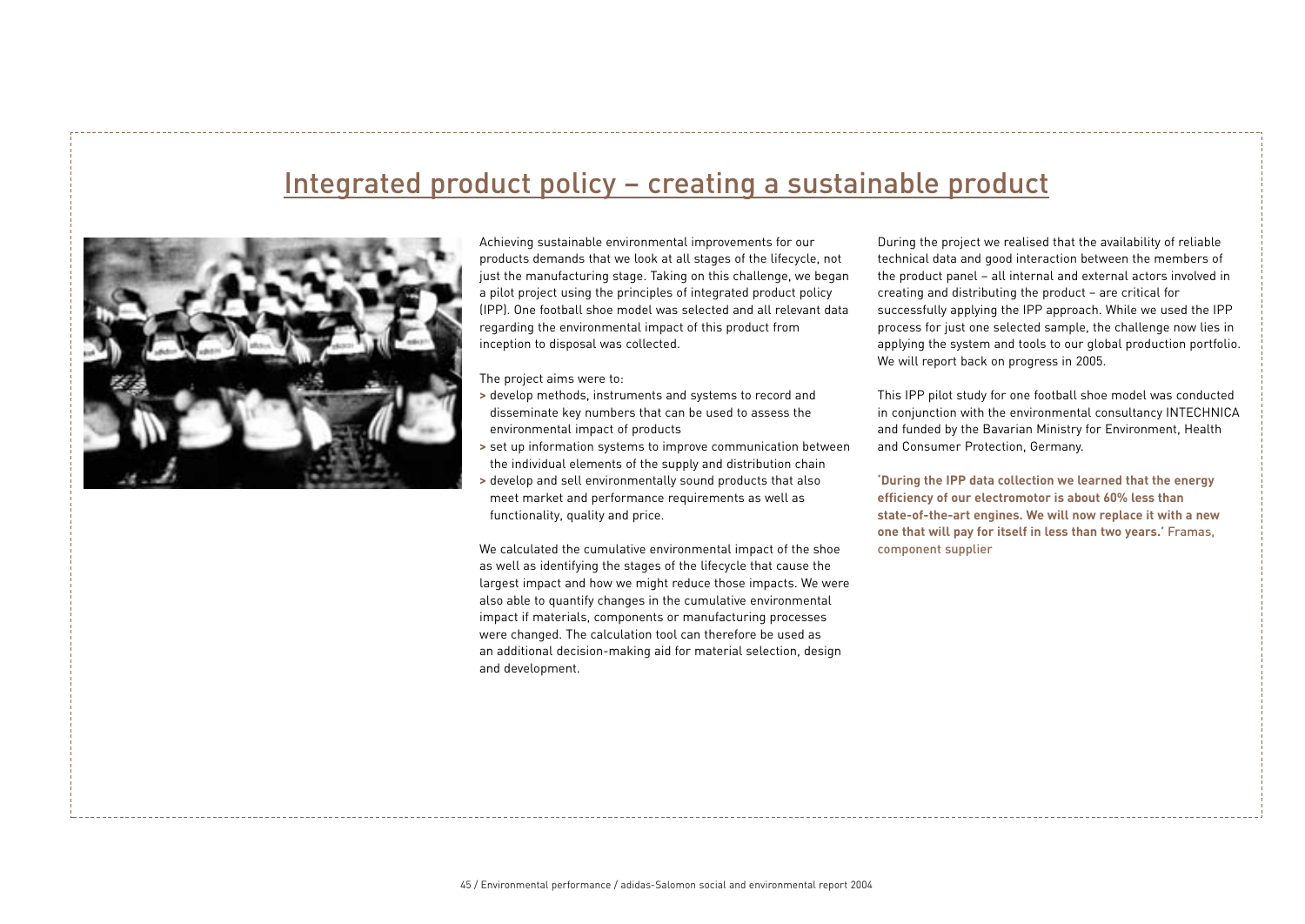# Integrated product policy – creating a sustainable product



Achieving sustainable environmental improvements for our products demands that we look at all stages of the lifecycle, not just the manufacturing stage. Taking on this challenge, we began a pilot project using the principles of integrated product policy (IPP). One football shoe model was selected and all relevant data regarding the environmental impact of this product from inception to disposal was collected.

The project aims were to:

- **>** develop methods, instruments and systems to record and disseminate key numbers that can be used to assess the environmental impact of products
- **>** set up information systems to improve communication between the individual elements of the supply and distribution chain
- **>** develop and sell environmentally sound products that also meet market and performance requirements as well as functionality, quality and price.

We calculated the cumulative environmental impact of the shoe as well as identifying the stages of the lifecycle that cause the largest impact and how we might reduce those impacts. We were also able to quantify changes in the cumulative environmental impact if materials, components or manufacturing processes were changed. The calculation tool can therefore be used as an additional decision-making aid for material selection, design and development.

During the project we realised that the availability of reliable technical data and good interaction between the members of the product panel – all internal and external actors involved in creating and distributing the product – are critical for successfully applying the IPP approach. While we used the IPP process for just one selected sample, the challenge now lies in applying the system and tools to our global production portfolio. We will report back on progress in 2005.

This IPP pilot study for one football shoe model was conducted in conjunction with the environmental consultancy INTECHNICA and funded by the Bavarian Ministry for Environment, Health and Consumer Protection, Germany.

**'During the IPP data collection we learned that the energy efficiency of our electromotor is about 60% less than state-of-the-art engines. We will now replace it with a new one that will pay for itself in less than two years.'** Framas, component supplier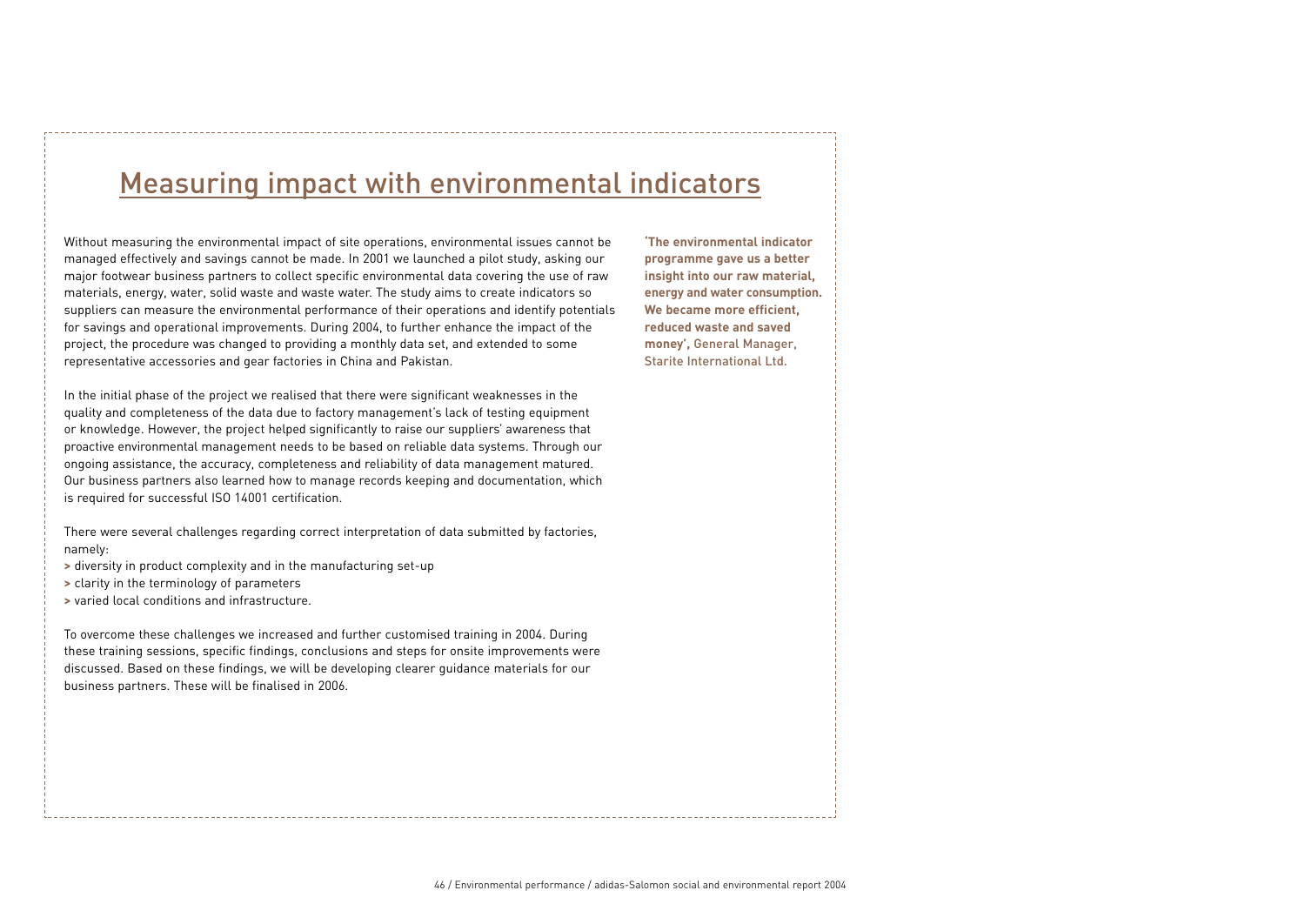# Measuring impact with environmental indicators

Without measuring the environmental impact of site operations, environmental issues cannot be managed effectively and savings cannot be made. In 2001 we launched a pilot study, asking our major footwear business partners to collect specific environmental data covering the use of raw materials, energy, water, solid waste and waste water. The study aims to create indicators so suppliers can measure the environmental performance of their operations and identify potentials for savings and operational improvements. During 2004, to further enhance the impact of the project, the procedure was changed to providing a monthly data set, and extended to some representative accessories and gear factories in China and Pakistan.

In the initial phase of the project we realised that there were significant weaknesses in the quality and completeness of the data due to factory management's lack of testing equipment or knowledge. However, the project helped significantly to raise our suppliers' awareness that proactive environmental management needs to be based on reliable data systems. Through our ongoing assistance, the accuracy, completeness and reliability of data management matured. Our business partners also learned how to manage records keeping and documentation, which is required for successful ISO 14001 certification.

There were several challenges regarding correct interpretation of data submitted by factories, namely:

- **>** diversity in product complexity and in the manufacturing set-up
- **>** clarity in the terminology of parameters
- **>** varied local conditions and infrastructure.

To overcome these challenges we increased and further customised training in 2004. During these training sessions, specific findings, conclusions and steps for onsite improvements were discussed. Based on these findings, we will be developing clearer guidance materials for our business partners. These will be finalised in 2006.

**'The environmental indicator programme gave us a better insight into our raw material, energy and water consumption. We became more efficient, reduced waste and saved money',** General Manager, Starite International Ltd.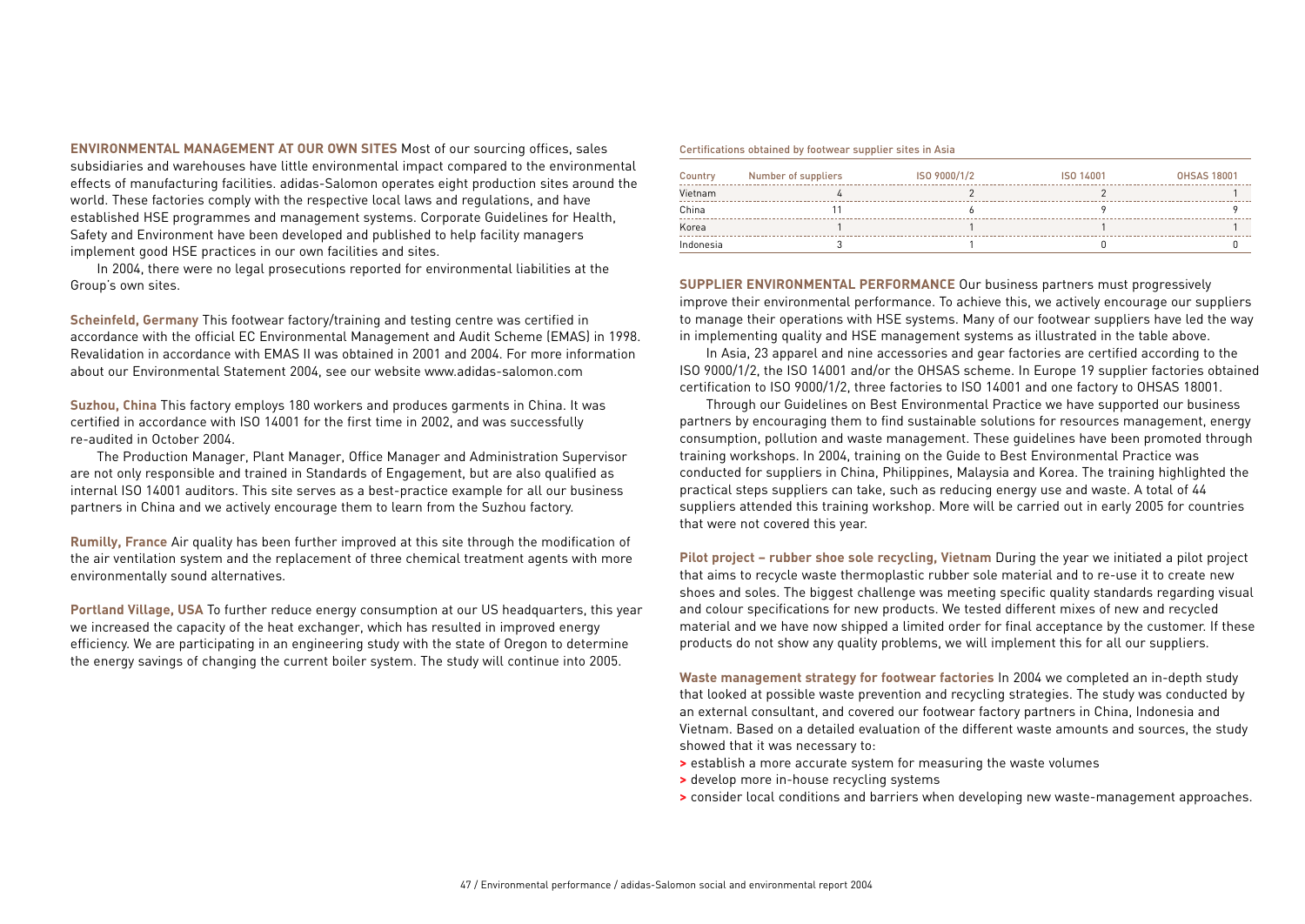**ENVIRONMENTAL MANAGEMENT AT OUR OWN SITES** Most of our sourcing offices, sales subsidiaries and warehouses have little environmental impact compared to the environmental effects of manufacturing facilities. adidas-Salomon operates eight production sites around the world. These factories comply with the respective local laws and regulations, and have established HSE programmes and management systems. Corporate Guidelines for Health, Safety and Environment have been developed and published to help facility managers implement good HSE practices in our own facilities and sites.

In 2004, there were no legal prosecutions reported for environmental liabilities at the Group's own sites.

**Scheinfeld, Germany** This footwear factory/training and testing centre was certified in accordance with the official EC Environmental Management and Audit Scheme (EMAS) in 1998. Revalidation in accordance with EMAS II was obtained in 2001 and 2004. For more information about our Environmental Statement 2004, see our website www.adidas-salomon.com

**Suzhou, China** This factory employs 180 workers and produces garments in China. It was certified in accordance with ISO 14001 for the first time in 2002, and was successfully re-audited in October 2004.

The Production Manager, Plant Manager, Office Manager and Administration Supervisor are not only responsible and trained in Standards of Engagement, but are also qualified as internal ISO 14001 auditors. This site serves as a best-practice example for all our business partners in China and we actively encourage them to learn from the Suzhou factory.

**Rumilly, France** Air quality has been further improved at this site through the modification of the air ventilation system and the replacement of three chemical treatment agents with more environmentally sound alternatives.

**Portland Village, USA** To further reduce energy consumption at our US headquarters, this year we increased the capacity of the heat exchanger, which has resulted in improved energy efficiency. We are participating in an engineering study with the state of Oregon to determine the energy savings of changing the current boiler system. The study will continue into 2005.

### Certifications obtained by footwear supplier sites in Asia

| Country   | Number of suppliers | ISO 9000/1/2 | ISO 14001 | <b>OHSAS 18001</b> |
|-----------|---------------------|--------------|-----------|--------------------|
| Vietnam   |                     |              |           |                    |
| China     |                     |              |           |                    |
| Korea     |                     |              |           |                    |
| Indonesia |                     |              |           |                    |

**SUPPLIER ENVIRONMENTAL PERFORMANCE** Our business partners must progressively improve their environmental performance. To achieve this, we actively encourage our suppliers to manage their operations with HSE systems. Many of our footwear suppliers have led the way in implementing quality and HSE management systems as illustrated in the table above.

In Asia, 23 apparel and nine accessories and gear factories are certified according to the ISO 9000/1/2, the ISO 14001 and/or the OHSAS scheme. In Europe 19 supplier factories obtained certification to ISO 9000/1/2, three factories to ISO 14001 and one factory to OHSAS 18001.

Through our Guidelines on Best Environmental Practice we have supported our business partners by encouraging them to find sustainable solutions for resources management, energy consumption, pollution and waste management. These guidelines have been promoted through training workshops. In 2004, training on the Guide to Best Environmental Practice was conducted for suppliers in China, Philippines, Malaysia and Korea. The training highlighted the practical steps suppliers can take, such as reducing energy use and waste. A total of 44 suppliers attended this training workshop. More will be carried out in early 2005 for countries that were not covered this year.

**Pilot project – rubber shoe sole recycling, Vietnam** During the year we initiated a pilot project that aims to recycle waste thermoplastic rubber sole material and to re-use it to create new shoes and soles. The biggest challenge was meeting specific quality standards regarding visual and colour specifications for new products. We tested different mixes of new and recycled material and we have now shipped a limited order for final acceptance by the customer. If these products do not show any quality problems, we will implement this for all our suppliers.

**Waste management strategy for footwear factories** In 2004 we completed an in-depth study that looked at possible waste prevention and recycling strategies. The study was conducted by an external consultant, and covered our footwear factory partners in China, Indonesia and Vietnam. Based on a detailed evaluation of the different waste amounts and sources, the study showed that it was necessary to:

- **>** establish a more accurate system for measuring the waste volumes
- **>** develop more in-house recycling systems
- **>** consider local conditions and barriers when developing new waste-management approaches.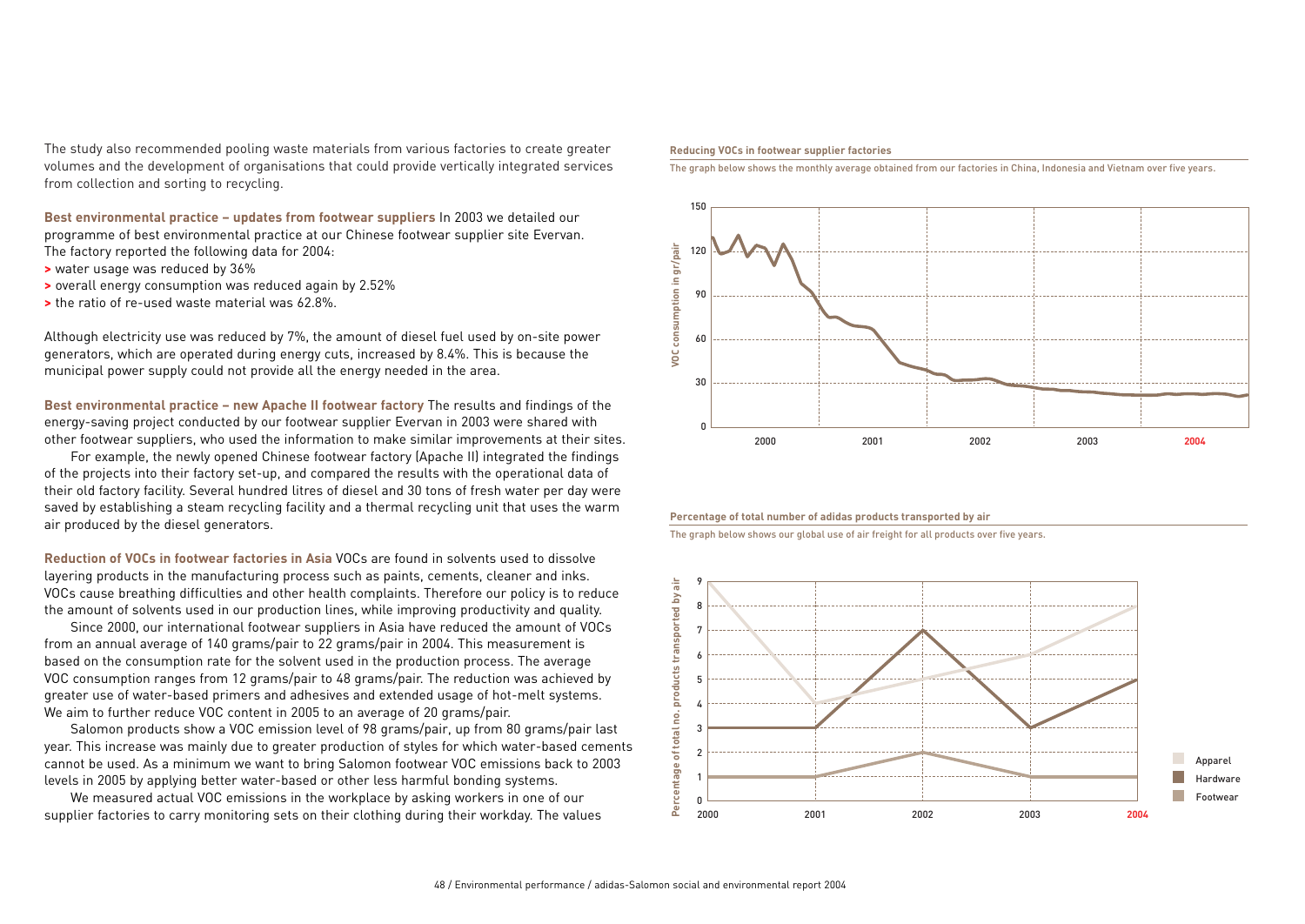The study also recommended pooling waste materials from various factories to create greater volumes and the development of organisations that could provide vertically integrated services from collection and sorting to recycling.

**Best environmental practice – updates from footwear suppliers** In 2003 we detailed our programme of best environmental practice at our Chinese footwear supplier site Evervan. The factory reported the following data for 2004:

- **>** water usage was reduced by 36%
- **>** overall energy consumption was reduced again by 2.52%
- **>** the ratio of re-used waste material was 62.8%.

Although electricity use was reduced by 7%, the amount of diesel fuel used by on-site power generators, which are operated during energy cuts, increased by 8.4%. This is because the municipal power supply could not provide all the energy needed in the area.

**Best environmental practice – new Apache II footwear factory** The results and findings of the energy-saving project conducted by our footwear supplier Evervan in 2003 were shared with other footwear suppliers, who used the information to make similar improvements at their sites.

For example, the newly opened Chinese footwear factory (Apache II) integrated the findings of the projects into their factory set-up, and compared the results with the operational data of their old factory facility. Several hundred litres of diesel and 30 tons of fresh water per day were saved by establishing a steam recycling facility and a thermal recycling unit that uses the warm air produced by the diesel generators.

**Reduction of VOCs in footwear factories in Asia** VOCs are found in solvents used to dissolve layering products in the manufacturing process such as paints, cements, cleaner and inks. VOCs cause breathing difficulties and other health complaints. Therefore our policy is to reduce the amount of solvents used in our production lines, while improving productivity and quality.

Since 2000, our international footwear suppliers in Asia have reduced the amount of VOCs from an annual average of 140 grams/pair to 22 grams/pair in 2004. This measurement is based on the consumption rate for the solvent used in the production process. The average VOC consumption ranges from 12 grams/pair to 48 grams/pair. The reduction was achieved by greater use of water-based primers and adhesives and extended usage of hot-melt systems. We aim to further reduce VOC content in 2005 to an average of 20 grams/pair.

Salomon products show a VOC emission level of 98 grams/pair, up from 80 grams/pair last year. This increase was mainly due to greater production of styles for which water-based cements cannot be used. As a minimum we want to bring Salomon footwear VOC emissions back to 2003 levels in 2005 by applying better water-based or other less harmful bonding systems.

We measured actual VOC emissions in the workplace by asking workers in one of our supplier factories to carry monitoring sets on their clothing during their workday. The values

#### **Reducing VOCs in footwear supplier factories**

The graph below shows the monthly average obtained from our factories in China, Indonesia and Vietnam over five years.



### **Percentage of total number of adidas products transported by air**

The graph below shows our global use of air freight for all products over five years.

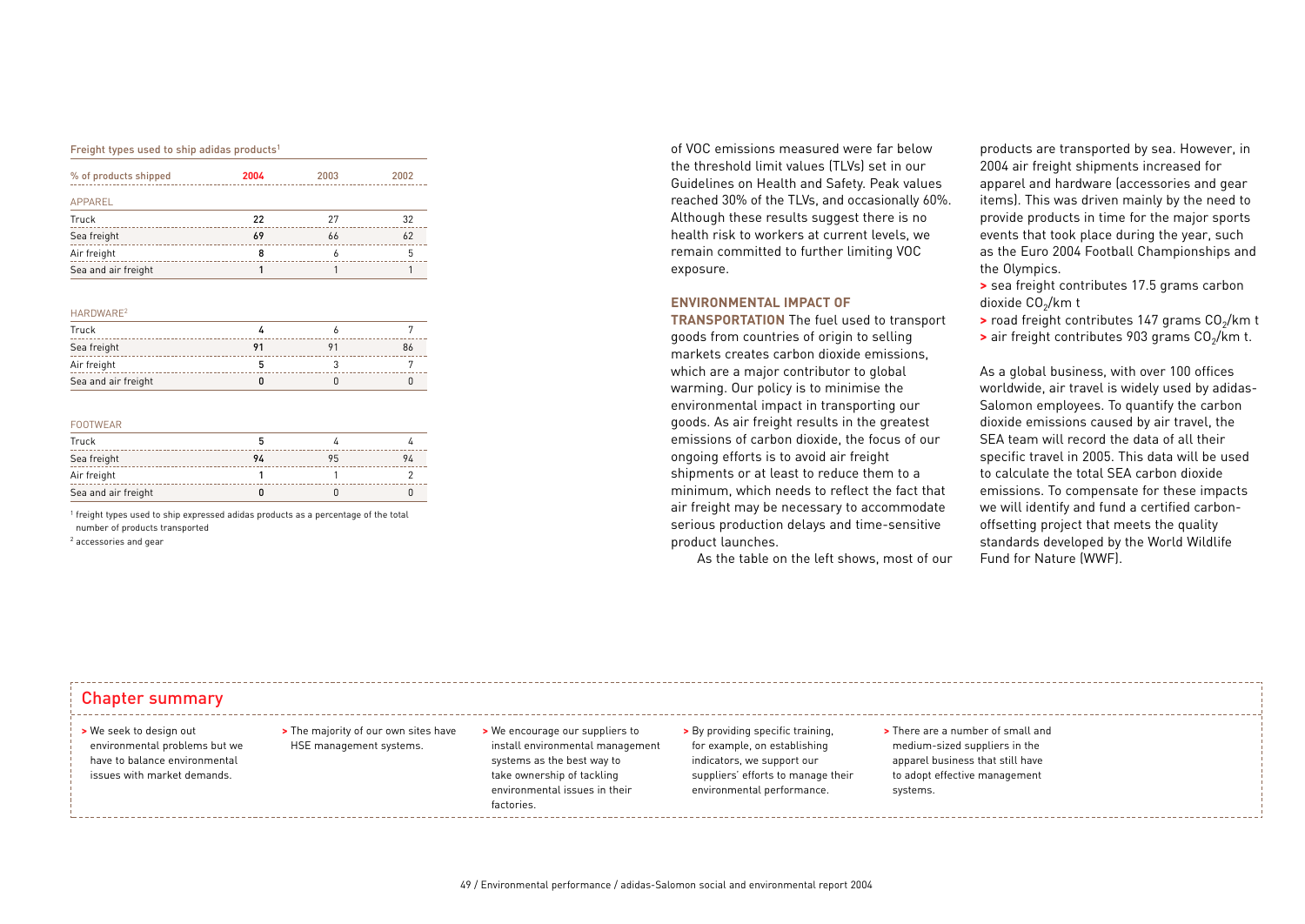#### Freight types used to ship adidas products<sup>1</sup>

| % of products shipped | 2004 | 2003 | 2002 |
|-----------------------|------|------|------|
| APPAREL               |      |      |      |
| Truck                 | 22   | 27   | 32   |
| Sea freight           | 69   | 66   | 62   |
| Air freight           | 8    | 6    |      |
| Sea and air freight   |      |      |      |

#### HARDWARE2

| Truck               |  |  |
|---------------------|--|--|
| Sea freight         |  |  |
| Air freight         |  |  |
| Sea and air freight |  |  |

### FOOTWEAR

| Truck               |    |    |    |
|---------------------|----|----|----|
| Sea freight         | 94 | 95 | 94 |
| Air freight         |    |    |    |
| Sea and air freight |    |    |    |

<sup>1</sup> freight types used to ship expressed adidas products as a percentage of the total number of products transported

<sup>2</sup> accessories and gear

of VOC emissions measured were far below the threshold limit values (TLVs) set in our Guidelines on Health and Safety. Peak values reached 30% of the TLVs, and occasionally 60%. Although these results suggest there is no health risk to workers at current levels, we remain committed to further limiting VOC exposure.

### **ENVIRONMENTAL IMPACT OF**

**TRANSPORTATION** The fuel used to transport goods from countries of origin to selling markets creates carbon dioxide emissions, which are a major contributor to global warming. Our policy is to minimise the environmental impact in transporting our goods. As air freight results in the greatest emissions of carbon dioxide, the focus of our ongoing efforts is to avoid air freight shipments or at least to reduce them to a minimum, which needs to reflect the fact that air freight may be necessary to accommodate serious production delays and time-sensitive product launches.

As the table on the left shows, most of our

products are transported by sea. However, in 2004 air freight shipments increased for apparel and hardware (accessories and gear items). This was driven mainly by the need to provide products in time for the major sports events that took place during the year, such as the Euro 2004 Football Championships and the Olympics.

**>** sea freight contributes 17.5 grams carbon dioxide CO<sub>2</sub>/km t

**>** road freight contributes 147 grams CO<sub>2</sub>/km t

**>** air freight contributes 903 grams  $CO<sub>2</sub>/km$  t.

As a global business, with over 100 offices worldwide, air travel is widely used by adidas-Salomon employees. To quantify the carbon dioxide emissions caused by air travel, the SEA team will record the data of all their specific travel in 2005. This data will be used to calculate the total SEA carbon dioxide emissions. To compensate for these impacts we will identify and fund a certified carbonoffsetting project that meets the quality standards developed by the World Wildlife Fund for Nature (WWF).

# Chapter summary

### **>** We seek to design out environmental problems but we have to balance environmental issues with market demands.

**>** The majority of our own sites have HSE management systems.

Ξ.

**>** We encourage our suppliers to install environmental management systems as the best way to take ownership of tackling environmental issues in their factories.

**>** By providing specific training, for example, on establishing indicators, we support our suppliers' efforts to manage their environmental performance.

**>** There are a number of small and medium-sized suppliers in the apparel business that still have to adopt effective management systems.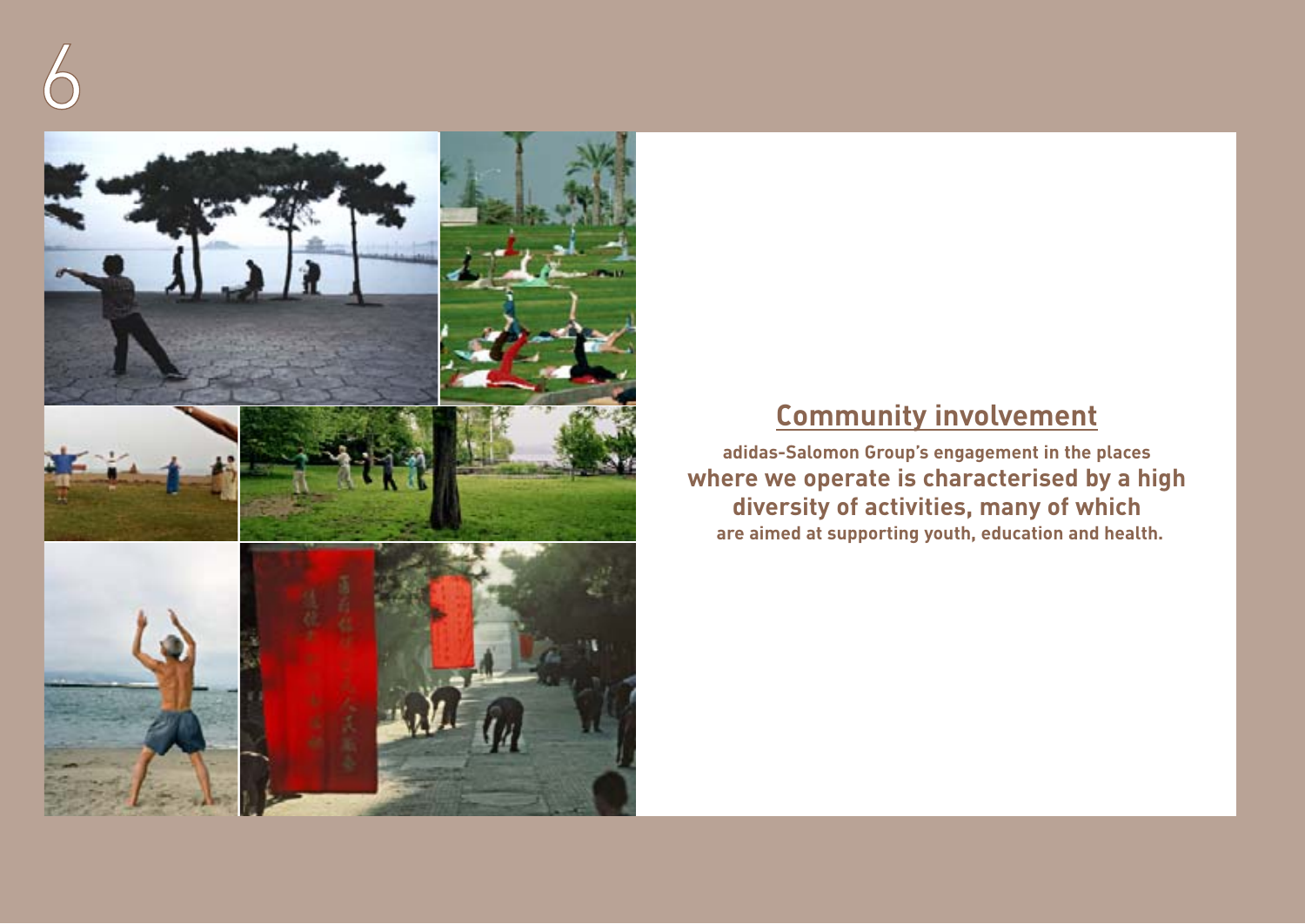

# **Community involvement**

**adidas-Salomon Group's engagement in the places where we operate is characterised by a high diversity of activities, many of which are aimed at supporting youth, education and health.**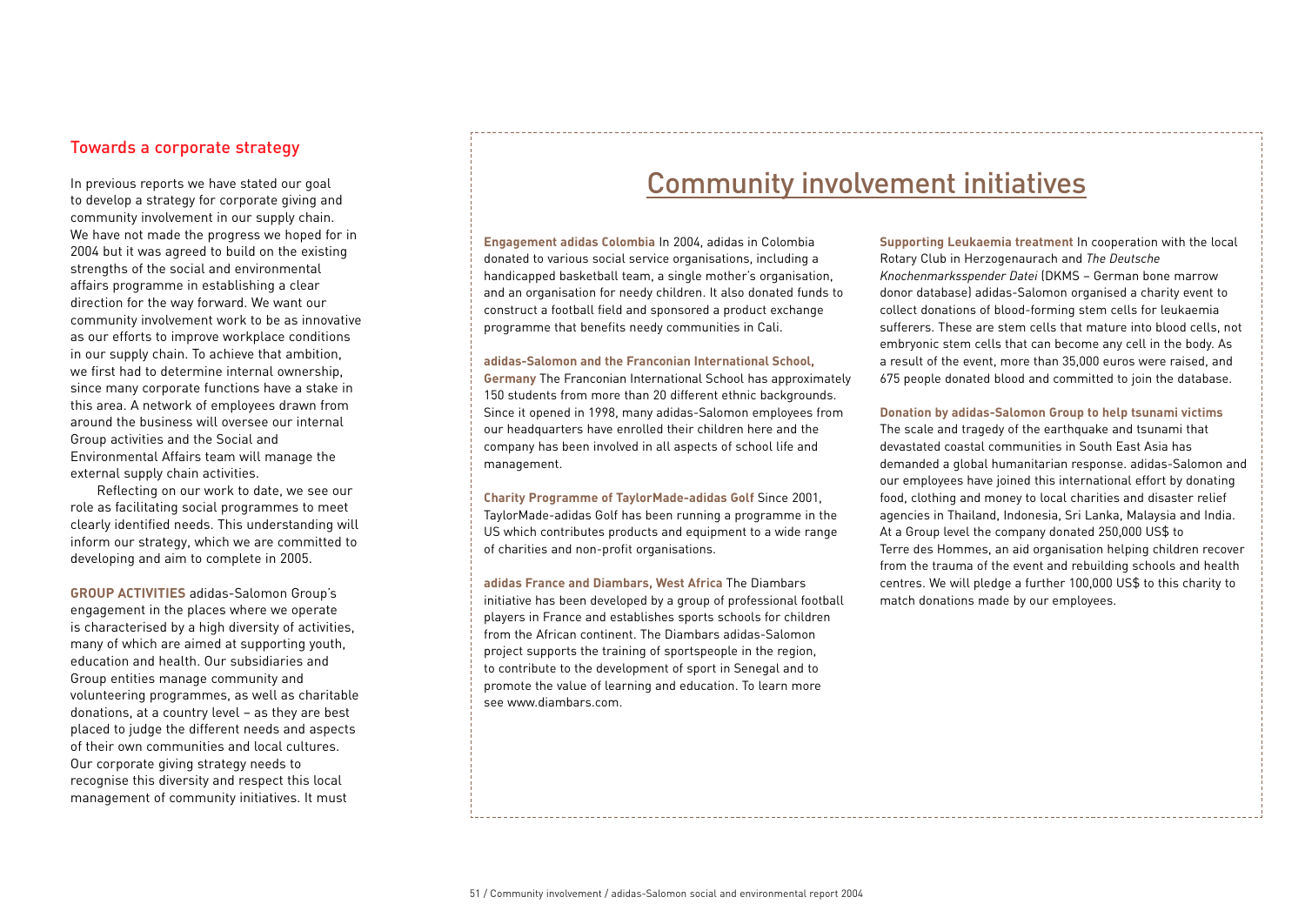# Towards a corporate strategy

In previous reports we have stated our goal to develop a strategy for corporate giving and community involvement in our supply chain. We have not made the progress we hoped for in 2004 but it was agreed to build on the existing strengths of the social and environmental affairs programme in establishing a clear direction for the way forward. We want our community involvement work to be as innovative as our efforts to improve workplace conditions in our supply chain. To achieve that ambition, we first had to determine internal ownership, since many corporate functions have a stake in this area. A network of employees drawn from around the business will oversee our internal Group activities and the Social and Environmental Affairs team will manage the external supply chain activities.

Reflecting on our work to date, we see our role as facilitating social programmes to meet clearly identified needs. This understanding will inform our strategy, which we are committed to developing and aim to complete in 2005.

**GROUP ACTIVITIES** adidas-Salomon Group's engagement in the places where we operate is characterised by a high diversity of activities, many of which are aimed at supporting youth, education and health. Our subsidiaries and Group entities manage community and volunteering programmes, as well as charitable donations, at a country level – as they are best placed to judge the different needs and aspects of their own communities and local cultures. Our corporate giving strategy needs to recognise this diversity and respect this local management of community initiatives. It must

# Community involvement initiatives

**Engagement adidas Colombia** In 2004, adidas in Colombia donated to various social service organisations, including a handicapped basketball team, a single mother's organisation, and an organisation for needy children. It also donated funds to construct a football field and sponsored a product exchange programme that benefits needy communities in Cali.

### **adidas-Salomon and the Franconian International School,**

**Germany** The Franconian International School has approximately 150 students from more than 20 different ethnic backgrounds. Since it opened in 1998, many adidas-Salomon employees from our headquarters have enrolled their children here and the company has been involved in all aspects of school life and management.

**Charity Programme of TaylorMade-adidas Golf** Since 2001, TaylorMade-adidas Golf has been running a programme in the US which contributes products and equipment to a wide range of charities and non-profit organisations.

**adidas France and Diambars, West Africa** The Diambars initiative has been developed by a group of professional football players in France and establishes sports schools for children from the African continent. The Diambars adidas-Salomon project supports the training of sportspeople in the region, to contribute to the development of sport in Senegal and to promote the value of learning and education. To learn more see www.diambars.com.

**Supporting Leukaemia treatment** In cooperation with the local Rotary Club in Herzogenaurach and *The Deutsche Knochenmarksspender Datei* (DKMS – German bone marrow donor database) adidas-Salomon organised a charity event to collect donations of blood-forming stem cells for leukaemia sufferers. These are stem cells that mature into blood cells, not embryonic stem cells that can become any cell in the body. As a result of the event, more than 35,000 euros were raised, and 675 people donated blood and committed to join the database.

**Donation by adidas-Salomon Group to help tsunami victims** The scale and tragedy of the earthquake and tsunami that devastated coastal communities in South East Asia has demanded a global humanitarian response. adidas-Salomon and our employees have joined this international effort by donating food, clothing and money to local charities and disaster relief agencies in Thailand, Indonesia, Sri Lanka, Malaysia and India. At a Group level the company donated 250,000 US\$ to Terre des Hommes, an aid organisation helping children recover from the trauma of the event and rebuilding schools and health centres. We will pledge a further 100,000 US\$ to this charity to match donations made by our employees.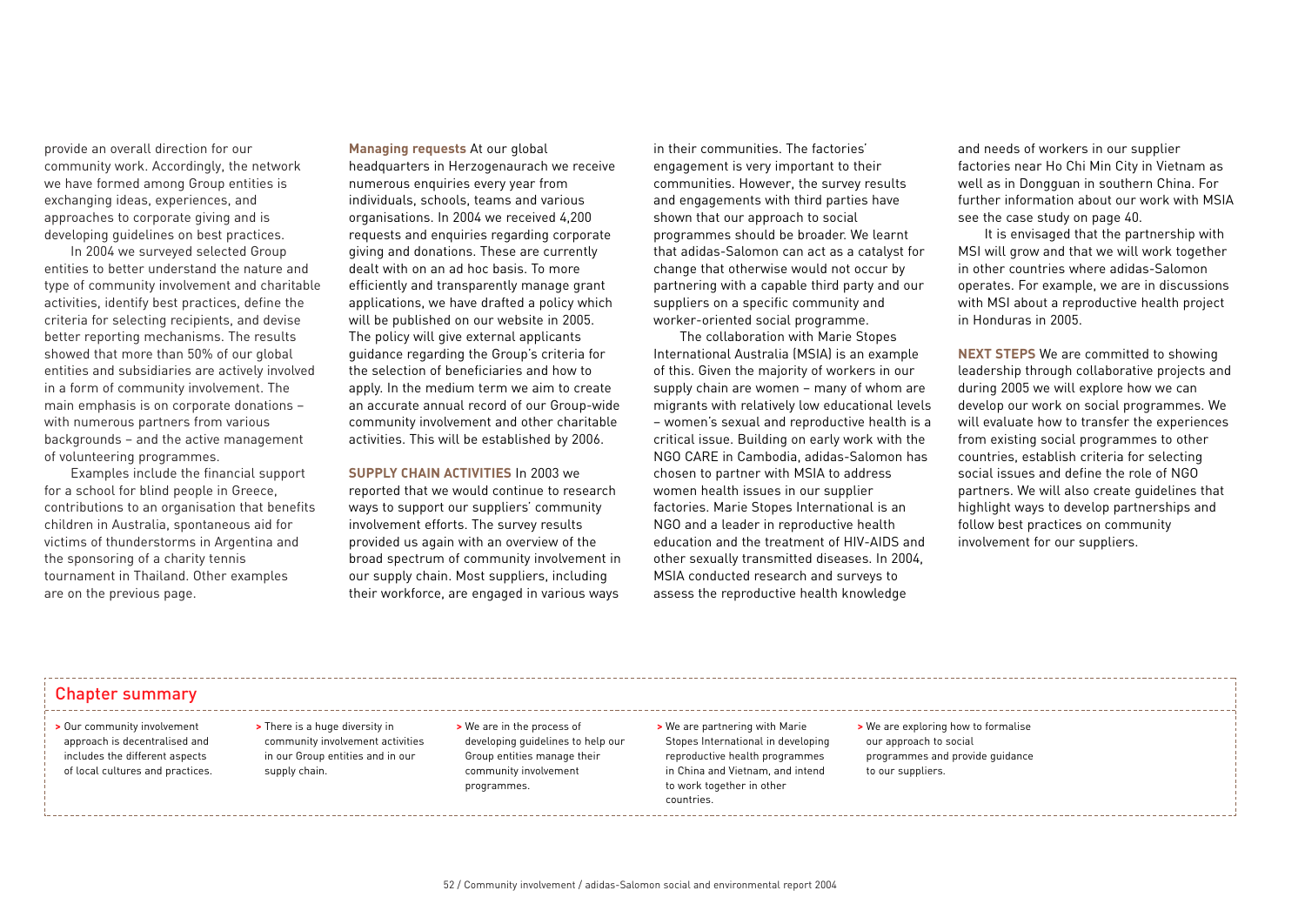provide an overall direction for our community work. Accordingly, the network we have formed among Group entities is exchanging ideas, experiences, and approaches to corporate giving and is developing guidelines on best practices.

In 2004 we surveyed selected Group entities to better understand the nature and type of community involvement and charitable activities, identify best practices, define the criteria for selecting recipients, and devise better reporting mechanisms. The results showed that more than 50% of our global entities and subsidiaries are actively involved in a form of community involvement. The main emphasis is on corporate donations – with numerous partners from various backgrounds – and the active management of volunteering programmes.

Examples include the financial support for a school for blind people in Greece, contributions to an organisation that benefits children in Australia, spontaneous aid for victims of thunderstorms in Argentina and the sponsoring of a charity tennis tournament in Thailand. Other examples are on the previous page.

## **Managing requests** At our global

headquarters in Herzogenaurach we receive numerous enquiries every year from individuals, schools, teams and various organisations. In 2004 we received 4,200 requests and enquiries regarding corporate giving and donations. These are currently dealt with on an ad hoc basis. To more efficiently and transparently manage grant applications, we have drafted a policy which will be published on our website in 2005. The policy will give external applicants guidance regarding the Group's criteria for the selection of beneficiaries and how to apply. In the medium term we aim to create an accurate annual record of our Group-wide community involvement and other charitable activities. This will be established by 2006.

## **SUPPLY CHAIN ACTIVITIES** In 2003 we

reported that we would continue to research ways to support our suppliers' community involvement efforts. The survey results provided us again with an overview of the broad spectrum of community involvement in our supply chain. Most suppliers, including their workforce, are engaged in various ways

in their communities. The factories' engagement is very important to their communities. However, the survey results and engagements with third parties have shown that our approach to social programmes should be broader. We learnt that adidas-Salomon can act as a catalyst for change that otherwise would not occur by partnering with a capable third party and our suppliers on a specific community and worker-oriented social programme.

The collaboration with Marie Stopes International Australia (MSIA) is an example of this. Given the majority of workers in our supply chain are women – many of whom are migrants with relatively low educational levels – women's sexual and reproductive health is a critical issue. Building on early work with the NGO CARE in Cambodia, adidas-Salomon has chosen to partner with MSIA to address women health issues in our supplier factories. Marie Stopes International is an NGO and a leader in reproductive health education and the treatment of HIV-AIDS and other sexually transmitted diseases. In 2004, MSIA conducted research and surveys to assess the reproductive health knowledge

and needs of workers in our supplier factories near Ho Chi Min City in Vietnam as well as in Dongguan in southern China. For further information about our work with MSIA see the case study on page 40.

It is envisaged that the partnership with MSI will grow and that we will work together in other countries where adidas-Salomon operates. For example, we are in discussions with MSI about a reproductive health project in Honduras in 2005.

**NEXT STEPS** We are committed to showing leadership through collaborative projects and during 2005 we will explore how we can develop our work on social programmes. We will evaluate how to transfer the experiences from existing social programmes to other countries, establish criteria for selecting social issues and define the role of NGO partners. We will also create guidelines that highlight ways to develop partnerships and follow best practices on community involvement for our suppliers.

# Chapter summary

- **>** Our community involvement approach is decentralised and includes the different aspects of local cultures and practices.
- **>** There is a huge diversity in community involvement activities in our Group entities and in our supply chain.

**>** We are in the process of developing guidelines to help our Group entities manage their community involvement programmes.

### **>** We are partnering with Marie Stopes International in developing reproductive health programmes in China and Vietnam, and intend to work together in other countries.

**>** We are exploring how to formalise our approach to social programmes and provide guidance to our suppliers.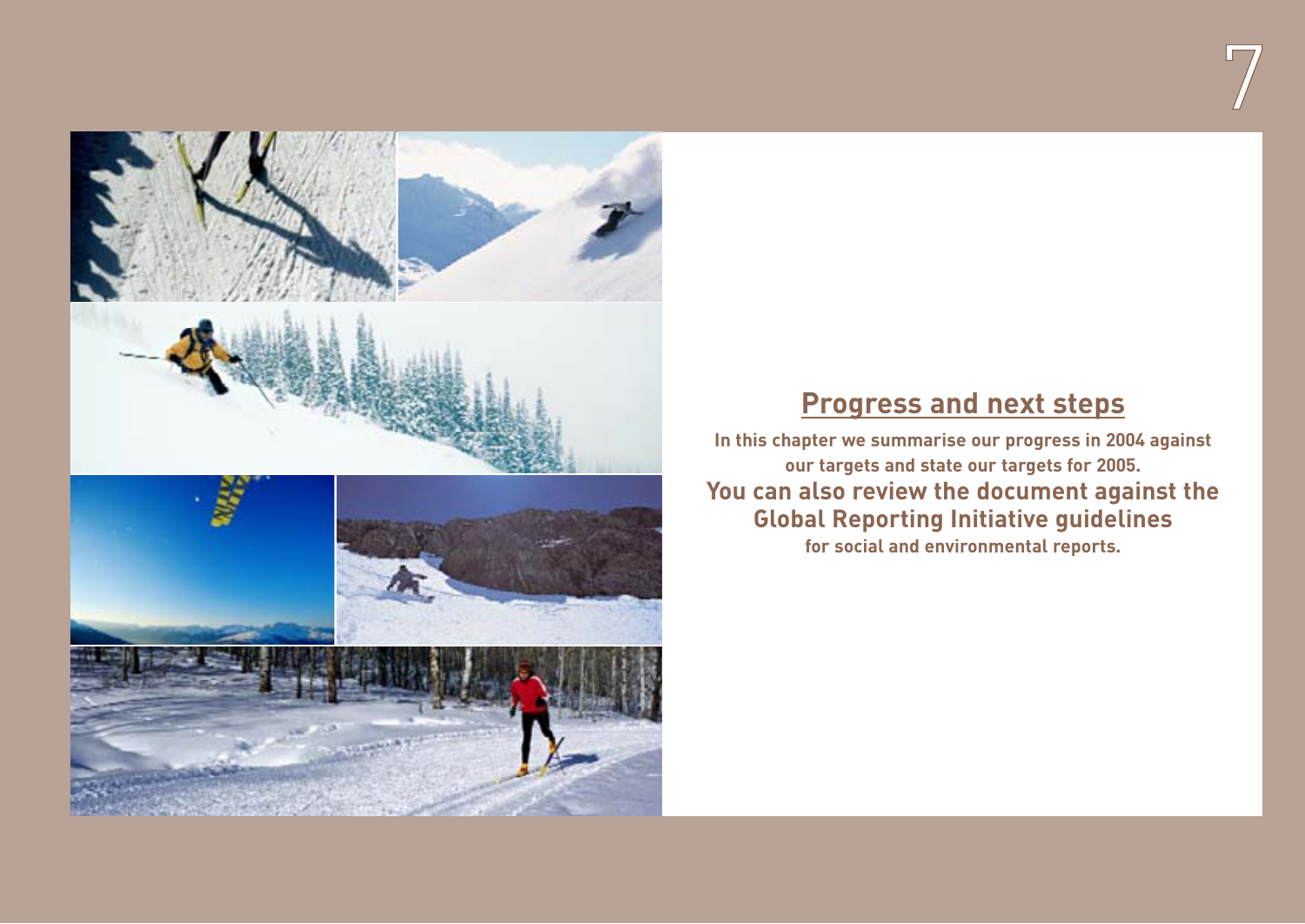

# **Progress and next steps**

7

**In this chapter we summarise our progress in 2004 against our targets and state our targets for 2005. You can also review the document against the Global Reporting Initiative guidelines for social and environmental reports.**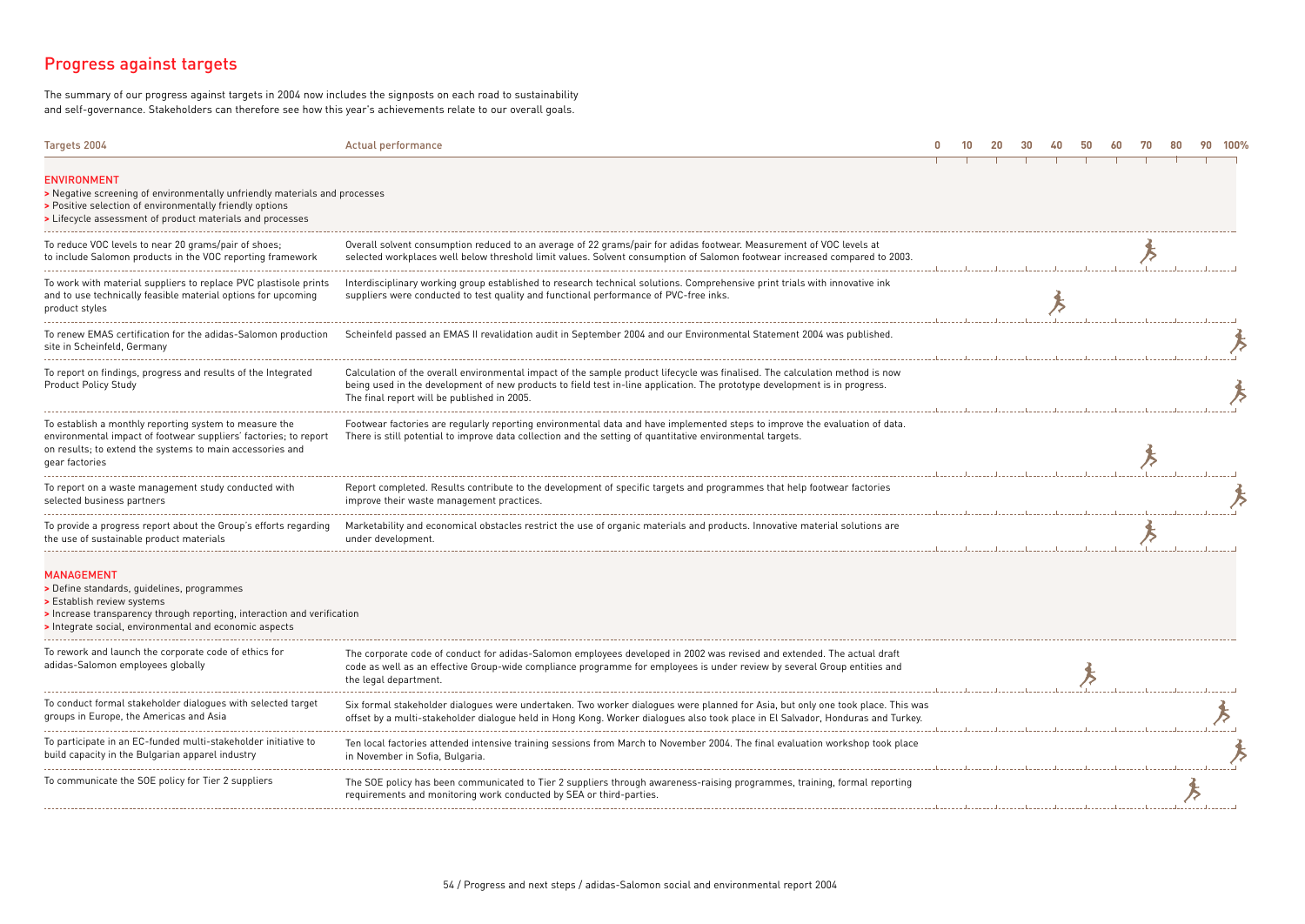# Progress against targets

The summary of our progress against targets in 2004 now includes the signposts on each road to sustainability and self-governance. Stakeholders can therefore see how this year's achievements relate to our overall goals.

| Targets 2004                                                                                                                                                                                                                   | Actual performance                                                                                                                                                                                                                                                                                        |  |  |  |  |  |  |
|--------------------------------------------------------------------------------------------------------------------------------------------------------------------------------------------------------------------------------|-----------------------------------------------------------------------------------------------------------------------------------------------------------------------------------------------------------------------------------------------------------------------------------------------------------|--|--|--|--|--|--|
| <b>ENVIRONMENT</b><br>> Negative screening of environmentally unfriendly materials and processes<br>> Positive selection of environmentally friendly options<br>> Lifecycle assessment of product materials and processes      |                                                                                                                                                                                                                                                                                                           |  |  |  |  |  |  |
| To reduce VOC levels to near 20 grams/pair of shoes;<br>to include Salomon products in the VOC reporting framework                                                                                                             | Overall solvent consumption reduced to an average of 22 grams/pair for adidas footwear. Measurement of VOC levels at<br>selected workplaces well below threshold limit values. Solvent consumption of Salomon footwear increased compared to 2003.                                                        |  |  |  |  |  |  |
| To work with material suppliers to replace PVC plastisole prints<br>and to use technically feasible material options for upcoming<br>product styles                                                                            | Interdisciplinary working group established to research technical solutions. Comprehensive print trials with innovative ink<br>suppliers were conducted to test quality and functional performance of PVC-free inks.                                                                                      |  |  |  |  |  |  |
| To renew EMAS certification for the adidas-Salomon production<br>site in Scheinfeld, Germany                                                                                                                                   | Scheinfeld passed an EMAS II revalidation audit in September 2004 and our Environmental Statement 2004 was published.                                                                                                                                                                                     |  |  |  |  |  |  |
| To report on findings, progress and results of the Integrated<br><b>Product Policy Study</b>                                                                                                                                   | Calculation of the overall environmental impact of the sample product lifecycle was finalised. The calculation method is now<br>being used in the development of new products to field test in-line application. The prototype development is in progress.<br>The final report will be published in 2005. |  |  |  |  |  |  |
| To establish a monthly reporting system to measure the<br>environmental impact of footwear suppliers' factories; to report<br>on results; to extend the systems to main accessories and<br>gear factories                      | Footwear factories are regularly reporting environmental data and have implemented steps to improve the evaluation of data.<br>There is still potential to improve data collection and the setting of quantitative environmental targets.                                                                 |  |  |  |  |  |  |
| To report on a waste management study conducted with<br>selected business partners                                                                                                                                             | Report completed. Results contribute to the development of specific targets and programmes that help footwear factories<br>improve their waste management practices.                                                                                                                                      |  |  |  |  |  |  |
| To provide a progress report about the Group's efforts regarding<br>the use of sustainable product materials                                                                                                                   | Marketability and economical obstacles restrict the use of organic materials and products. Innovative material solutions are<br>under development.                                                                                                                                                        |  |  |  |  |  |  |
| <b>MANAGEMENT</b><br>> Define standards, quidelines, programmes<br>> Establish review systems<br>Increase transparency through reporting, interaction and verification<br>Integrate social, environmental and economic aspects |                                                                                                                                                                                                                                                                                                           |  |  |  |  |  |  |
| To rework and launch the corporate code of ethics for<br>adidas-Salomon employees globally                                                                                                                                     | The corporate code of conduct for adidas-Salomon employees developed in 2002 was revised and extended. The actual draft<br>code as well as an effective Group-wide compliance programme for employees is under review by several Group entities and<br>the legal department.                              |  |  |  |  |  |  |
| To conduct formal stakeholder dialogues with selected target<br>groups in Europe, the Americas and Asia                                                                                                                        | Six formal stakeholder dialogues were undertaken. Two worker dialogues were planned for Asia, but only one took place. This was<br>offset by a multi-stakeholder dialogue held in Hong Kong. Worker dialogues also took place in El Salvador, Honduras and Turkey.                                        |  |  |  |  |  |  |
| To participate in an EC-funded multi-stakeholder initiative to<br>build capacity in the Bulgarian apparel industry                                                                                                             | Ten local factories attended intensive training sessions from March to November 2004. The final evaluation workshop took place<br>in November in Sofia, Bulgaria.                                                                                                                                         |  |  |  |  |  |  |
| To communicate the SOE policy for Tier 2 suppliers                                                                                                                                                                             | The SOE policy has been communicated to Tier 2 suppliers through awareness-raising programmes, training, formal reporting<br>requirements and monitoring work conducted by SEA or third-parties.                                                                                                          |  |  |  |  |  |  |
|                                                                                                                                                                                                                                |                                                                                                                                                                                                                                                                                                           |  |  |  |  |  |  |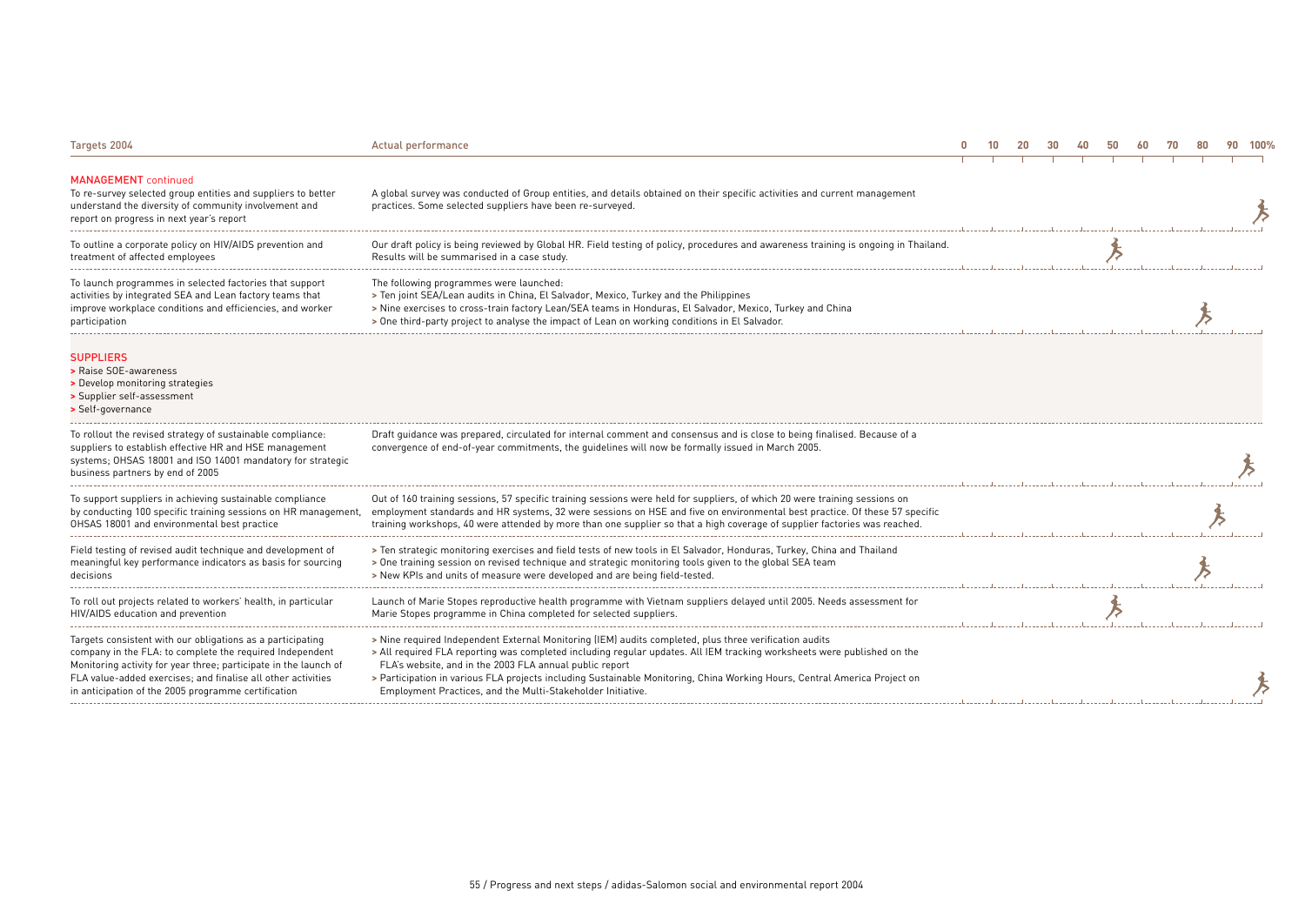| Targets 2004                                                                                                                                                                                                                                                                                                      | Actual performance                                                                                                                                                                                                                                                                                                                                                                                                                                                                       | $\mathbf{0}$ |  | 40 |  | 90. | 100% |
|-------------------------------------------------------------------------------------------------------------------------------------------------------------------------------------------------------------------------------------------------------------------------------------------------------------------|------------------------------------------------------------------------------------------------------------------------------------------------------------------------------------------------------------------------------------------------------------------------------------------------------------------------------------------------------------------------------------------------------------------------------------------------------------------------------------------|--------------|--|----|--|-----|------|
| <b>MANAGEMENT</b> continued<br>To re-survey selected group entities and suppliers to better<br>understand the diversity of community involvement and<br>report on progress in next year's report                                                                                                                  | A global survey was conducted of Group entities, and details obtained on their specific activities and current management<br>practices. Some selected suppliers have been re-surveyed.                                                                                                                                                                                                                                                                                                   |              |  |    |  |     |      |
| To outline a corporate policy on HIV/AIDS prevention and<br>treatment of affected employees                                                                                                                                                                                                                       | Our draft policy is being reviewed by Global HR. Field testing of policy, procedures and awareness training is ongoing in Thailand.<br>Results will be summarised in a case study.                                                                                                                                                                                                                                                                                                       |              |  |    |  |     |      |
| To launch programmes in selected factories that support<br>activities by integrated SEA and Lean factory teams that<br>improve workplace conditions and efficiencies, and worker<br>participation                                                                                                                 | The following programmes were launched:<br>> Ten joint SEA/Lean audits in China, El Salvador, Mexico, Turkey and the Philippines<br>> Nine exercises to cross-train factory Lean/SEA teams in Honduras, El Salvador, Mexico, Turkey and China<br>> One third-party project to analyse the impact of Lean on working conditions in El Salvador.                                                                                                                                           |              |  |    |  |     |      |
| <b>SUPPLIERS</b><br>> Raise SOE-awareness<br>> Develop monitoring strategies<br>> Supplier self-assessment<br>> Self-governance                                                                                                                                                                                   |                                                                                                                                                                                                                                                                                                                                                                                                                                                                                          |              |  |    |  |     |      |
| To rollout the revised strategy of sustainable compliance:<br>suppliers to establish effective HR and HSE management<br>systems; OHSAS 18001 and ISO 14001 mandatory for strategic<br>business partners by end of 2005                                                                                            | Draft quidance was prepared, circulated for internal comment and consensus and is close to being finalised. Because of a<br>convergence of end-of-year commitments, the guidelines will now be formally issued in March 2005.                                                                                                                                                                                                                                                            |              |  |    |  |     |      |
| To support suppliers in achieving sustainable compliance<br>by conducting 100 specific training sessions on HR management,<br>OHSAS 18001 and environmental best practice                                                                                                                                         | Out of 160 training sessions, 57 specific training sessions were held for suppliers, of which 20 were training sessions on<br>employment standards and HR systems, 32 were sessions on HSE and five on environmental best practice. Of these 57 specific<br>training workshops, 40 were attended by more than one supplier so that a high coverage of supplier factories was reached.                                                                                                    |              |  |    |  |     |      |
| Field testing of revised audit technique and development of<br>meaningful key performance indicators as basis for sourcing<br>decisions                                                                                                                                                                           | > Ten strategic monitoring exercises and field tests of new tools in El Salvador, Honduras, Turkey, China and Thailand<br>> One training session on revised technique and strategic monitoring tools given to the global SEA team<br>> New KPIs and units of measure were developed and are being field-tested.                                                                                                                                                                          |              |  |    |  |     |      |
| To roll out projects related to workers' health, in particular<br>HIV/AIDS education and prevention                                                                                                                                                                                                               | Launch of Marie Stopes reproductive health programme with Vietnam suppliers delayed until 2005. Needs assessment for<br>Marie Stopes programme in China completed for selected suppliers.                                                                                                                                                                                                                                                                                                |              |  |    |  |     |      |
| Targets consistent with our obligations as a participating<br>company in the FLA: to complete the required Independent<br>Monitoring activity for year three; participate in the launch of<br>FLA value-added exercises; and finalise all other activities<br>in anticipation of the 2005 programme certification | > Nine required Independent External Monitoring (IEM) audits completed, plus three verification audits<br>> All required FLA reporting was completed including reqular updates. All IEM tracking worksheets were published on the<br>FLA's website, and in the 2003 FLA annual public report<br>> Participation in various FLA projects including Sustainable Monitoring, China Working Hours, Central America Project on<br>Employment Practices, and the Multi-Stakeholder Initiative. |              |  |    |  |     |      |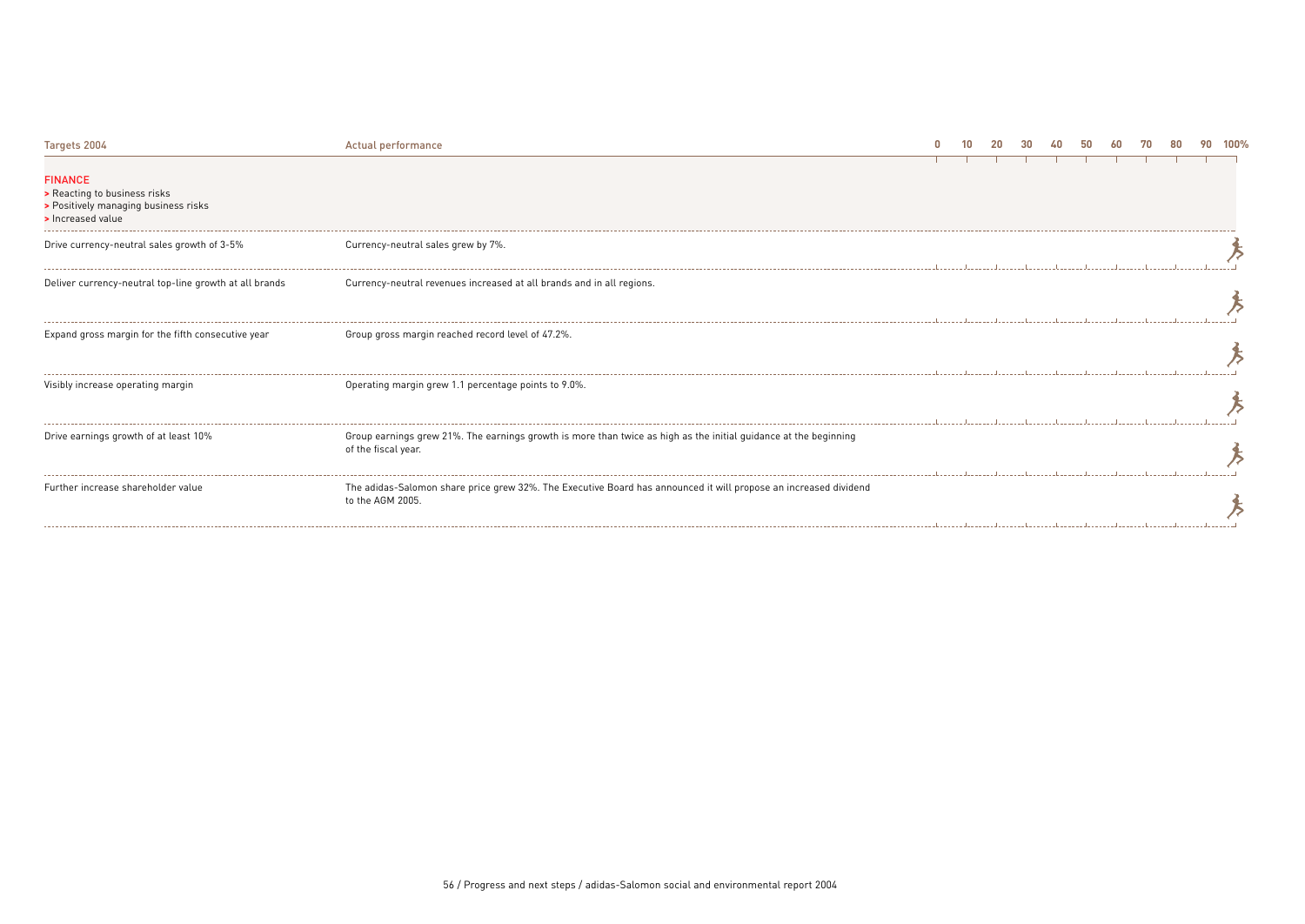| Targets 2004                                                                                                | Actual performance                                                                                                                      |  |  |  |  |  | 100% |
|-------------------------------------------------------------------------------------------------------------|-----------------------------------------------------------------------------------------------------------------------------------------|--|--|--|--|--|------|
| <b>FINANCE</b><br>> Reacting to business risks<br>> Positively managing business risks<br>> Increased value |                                                                                                                                         |  |  |  |  |  |      |
| Drive currency-neutral sales growth of 3-5%                                                                 | Currency-neutral sales grew by 7%.                                                                                                      |  |  |  |  |  |      |
| Deliver currency-neutral top-line growth at all brands                                                      | Currency-neutral revenues increased at all brands and in all regions.                                                                   |  |  |  |  |  |      |
| Expand gross margin for the fifth consecutive year                                                          | Group gross margin reached record level of 47.2%.                                                                                       |  |  |  |  |  |      |
| Visibly increase operating margin                                                                           | Operating margin grew 1.1 percentage points to 9.0%.                                                                                    |  |  |  |  |  |      |
| Drive earnings growth of at least 10%                                                                       | Group earnings grew 21%. The earnings growth is more than twice as high as the initial guidance at the beginning<br>of the fiscal year. |  |  |  |  |  |      |
| Further increase shareholder value                                                                          | The adidas-Salomon share price grew 32%. The Executive Board has announced it will propose an increased dividend<br>to the AGM 2005.    |  |  |  |  |  |      |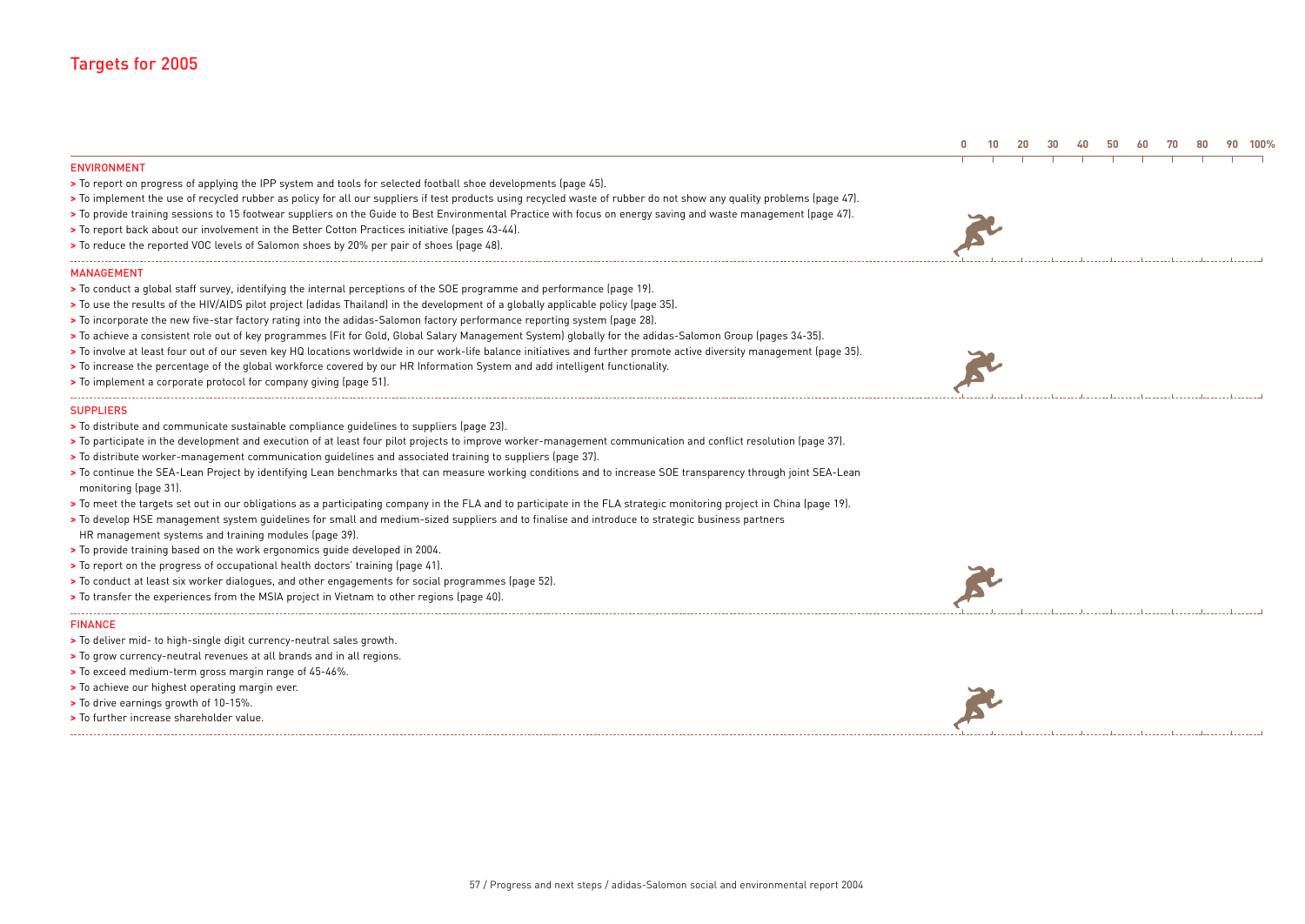| <b>ENVIRONMENT</b>                                                                                                                                                                                                                                                                                                                                                                                                                                                                                                                                                                                                                                                                                                                                                                                                                                                                                                                      |  |  |  |  |  |  |
|-----------------------------------------------------------------------------------------------------------------------------------------------------------------------------------------------------------------------------------------------------------------------------------------------------------------------------------------------------------------------------------------------------------------------------------------------------------------------------------------------------------------------------------------------------------------------------------------------------------------------------------------------------------------------------------------------------------------------------------------------------------------------------------------------------------------------------------------------------------------------------------------------------------------------------------------|--|--|--|--|--|--|
| > To report on progress of applying the IPP system and tools for selected football shoe developments (page 45).<br>> To implement the use of recycled rubber as policy for all our suppliers if test products using recycled waste of rubber do not show any quality problems (page 47).<br>> To provide training sessions to 15 footwear suppliers on the Guide to Best Environmental Practice with focus on energy saving and waste management (page 47).<br>> To report back about our involvement in the Better Cotton Practices initiative (pages 43-44).<br>> To reduce the reported VOC levels of Salomon shoes by 20% per pair of shoes (page 48).                                                                                                                                                                                                                                                                              |  |  |  |  |  |  |
| <b>MANAGEMENT</b>                                                                                                                                                                                                                                                                                                                                                                                                                                                                                                                                                                                                                                                                                                                                                                                                                                                                                                                       |  |  |  |  |  |  |
| > To conduct a global staff survey, identifying the internal perceptions of the SOE programme and performance (page 19).<br>> To use the results of the HIV/AIDS pilot project (adidas Thailand) in the development of a globally applicable policy (page 35).<br>> To incorporate the new five-star factory rating into the adidas-Salomon factory performance reporting system (page 28).<br>> To achieve a consistent role out of key programmes (Fit for Gold, Global Salary Management System) globally for the adidas-Salomon Group (pages 34-35).<br>> To involve at least four out of our seven key HQ locations worldwide in our work-life balance initiatives and further promote active diversity management (page 35).<br>> To increase the percentage of the global workforce covered by our HR Information System and add intelligent functionality.<br>> To implement a corporate protocol for company giving (page 51). |  |  |  |  |  |  |
| <b>SUPPLIERS</b>                                                                                                                                                                                                                                                                                                                                                                                                                                                                                                                                                                                                                                                                                                                                                                                                                                                                                                                        |  |  |  |  |  |  |
| > To distribute and communicate sustainable compliance quidelines to suppliers (page 23).                                                                                                                                                                                                                                                                                                                                                                                                                                                                                                                                                                                                                                                                                                                                                                                                                                               |  |  |  |  |  |  |
| > To participate in the development and execution of at least four pilot projects to improve worker-management communication and conflict resolution (page 37).                                                                                                                                                                                                                                                                                                                                                                                                                                                                                                                                                                                                                                                                                                                                                                         |  |  |  |  |  |  |
| > To distribute worker-management communication quidelines and associated training to suppliers (page 37).                                                                                                                                                                                                                                                                                                                                                                                                                                                                                                                                                                                                                                                                                                                                                                                                                              |  |  |  |  |  |  |
| > To continue the SEA-Lean Project by identifying Lean benchmarks that can measure working conditions and to increase SOE transparency through joint SEA-Lean<br>monitoring (page 31).                                                                                                                                                                                                                                                                                                                                                                                                                                                                                                                                                                                                                                                                                                                                                  |  |  |  |  |  |  |
| > To meet the targets set out in our obligations as a participating company in the FLA and to participate in the FLA strategic monitoring project in China (page 19).                                                                                                                                                                                                                                                                                                                                                                                                                                                                                                                                                                                                                                                                                                                                                                   |  |  |  |  |  |  |
| > To develop HSE management system quidelines for small and medium-sized suppliers and to finalise and introduce to strategic business partners                                                                                                                                                                                                                                                                                                                                                                                                                                                                                                                                                                                                                                                                                                                                                                                         |  |  |  |  |  |  |
| HR management systems and training modules (page 39).                                                                                                                                                                                                                                                                                                                                                                                                                                                                                                                                                                                                                                                                                                                                                                                                                                                                                   |  |  |  |  |  |  |
| > To provide training based on the work ergonomics quide developed in 2004.                                                                                                                                                                                                                                                                                                                                                                                                                                                                                                                                                                                                                                                                                                                                                                                                                                                             |  |  |  |  |  |  |
| > To report on the progress of occupational health doctors' training (page 41).                                                                                                                                                                                                                                                                                                                                                                                                                                                                                                                                                                                                                                                                                                                                                                                                                                                         |  |  |  |  |  |  |
| > To conduct at least six worker dialogues, and other engagements for social programmes (page 52).                                                                                                                                                                                                                                                                                                                                                                                                                                                                                                                                                                                                                                                                                                                                                                                                                                      |  |  |  |  |  |  |
| > To transfer the experiences from the MSIA project in Vietnam to other regions (page 40).                                                                                                                                                                                                                                                                                                                                                                                                                                                                                                                                                                                                                                                                                                                                                                                                                                              |  |  |  |  |  |  |
| <b>FINANCE</b>                                                                                                                                                                                                                                                                                                                                                                                                                                                                                                                                                                                                                                                                                                                                                                                                                                                                                                                          |  |  |  |  |  |  |
| > To deliver mid- to high-single digit currency-neutral sales growth.                                                                                                                                                                                                                                                                                                                                                                                                                                                                                                                                                                                                                                                                                                                                                                                                                                                                   |  |  |  |  |  |  |
| > To grow currency-neutral revenues at all brands and in all regions.                                                                                                                                                                                                                                                                                                                                                                                                                                                                                                                                                                                                                                                                                                                                                                                                                                                                   |  |  |  |  |  |  |
| > To exceed medium-term gross margin range of 45-46%.                                                                                                                                                                                                                                                                                                                                                                                                                                                                                                                                                                                                                                                                                                                                                                                                                                                                                   |  |  |  |  |  |  |
| > To achieve our highest operating margin ever.                                                                                                                                                                                                                                                                                                                                                                                                                                                                                                                                                                                                                                                                                                                                                                                                                                                                                         |  |  |  |  |  |  |
| > To drive earnings growth of 10-15%.                                                                                                                                                                                                                                                                                                                                                                                                                                                                                                                                                                                                                                                                                                                                                                                                                                                                                                   |  |  |  |  |  |  |
| > To further increase shareholder value.                                                                                                                                                                                                                                                                                                                                                                                                                                                                                                                                                                                                                                                                                                                                                                                                                                                                                                |  |  |  |  |  |  |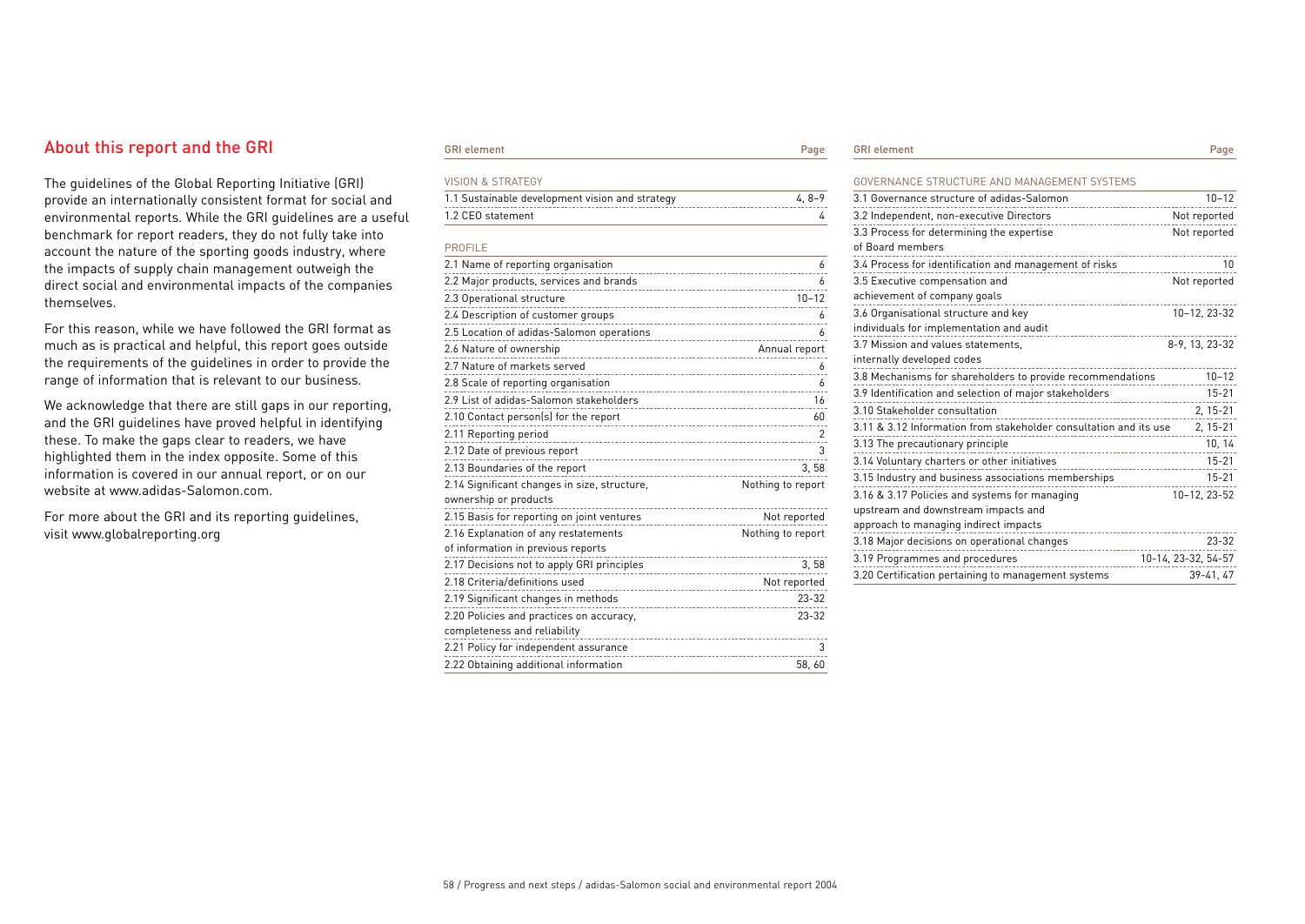## About this report and the GRI

The guidelines of the Global Reporting Initiative (GRI) provide an internationally consistent format for social and environmental reports. While the GRI guidelines are a useful benchmark for report readers, they do not fully take into account the nature of the sporting goods industry, where the impacts of supply chain management outweigh the direct social and environmental impacts of the companies themselves.

For this reason, while we have followed the GRI format as much as is practical and helpful, this report goes outside the requirements of the guidelines in order to provide the range of information that is relevant to our business.

We acknowledge that there are still gaps in our reporting, and the GRI guidelines have proved helpful in identifying these. To make the gaps clear to readers, we have highlighted them in the index opposite. Some of this information is covered in our annual report, or on our website at www.adidas-Salomon.com.

For more about the GRI and its reporting guidelines, visit www.globalreporting.org

### GRI element **Page 1986**

| <b>VISION &amp; STRATEGY</b>                                                   |                   |
|--------------------------------------------------------------------------------|-------------------|
| 1.1 Sustainable development vision and strategy                                | $4, 8-9$          |
| 1.2 CEO statement                                                              | 4                 |
|                                                                                |                   |
| <b>PROFILE</b>                                                                 |                   |
| 2.1 Name of reporting organisation                                             | 6                 |
|                                                                                | 6                 |
| 2.3 Operational structure                                                      | $10 - 12$         |
| 2.4 Description of customer groups                                             | 6                 |
| 2.5 Location of adidas-Salomon operations<br>--------------------------------- | 6                 |
| 2.6 Nature of ownership                                                        | Annual report     |
| 2.7 Nature of markets served                                                   | 6                 |
| 2.8 Scale of reporting organisation                                            | 6                 |
| 2.9 List of adidas-Salomon stakeholders                                        | 16                |
| 2.10 Contact person(s) for the report                                          | 60                |
| 2.11 Reporting period                                                          | 2                 |
| 2.12 Date of previous report                                                   | 3                 |
| 2.13 Boundaries of the report                                                  | 3,58              |
| 2.14 Significant changes in size, structure,                                   | Nothing to report |
| ownership or products<br>--------------------------                            |                   |
| 2.15 Basis for reporting on joint ventures                                     | Not reported      |
| 2.16 Explanation of any restatements                                           | Nothing to report |
| of information in previous reports                                             |                   |
| ----------<br>2.17 Decisions not to apply GRI principles                       | 3.58              |
| 2.18 Criteria/definitions used                                                 | Not reported      |
| 2.19 Significant changes in methods                                            | $23 - 32$         |
| 2.20 Policies and practices on accuracy,                                       | $23 - 32$         |
| completeness and reliability                                                   |                   |
| 2.21 Policy for independent assurance                                          | 3                 |
| 2.22 Obtaining additional information                                          | 58,60             |

| <b>GRI</b> elem |  |
|-----------------|--|
|                 |  |

GRI element Page

| GOVERNANCE STRUCTURE AND MANAGEMENT SYSTEMS                       |                     |
|-------------------------------------------------------------------|---------------------|
| 3.1 Governance structure of adidas-Salomon                        | $10 - 12$           |
| 3.2 Independent, non-executive Directors<br>--------------------- | Not reported        |
| 3.3 Process for determining the expertise                         | Not reported        |
| of Board members                                                  |                     |
| 3.4 Process for identification and management of risks            | 10                  |
| 3.5 Executive compensation and                                    | Not reported        |
| achievement of company goals                                      |                     |
| 3.6 Organisational structure and key                              | 10-12, 23-32        |
| individuals for implementation and audit                          |                     |
| 3.7 Mission and values statements,                                | 8-9, 13, 23-32      |
| internally developed codes                                        |                     |
| 3.8 Mechanisms for shareholders to provide recommendations        | $10 - 12$           |
| 3.9 Identification and selection of major stakeholders            | $15 - 21$           |
| 3.10 Stakeholder consultation                                     | $2, 15 - 21$        |
| 3.11 & 3.12 Information from stakeholder consultation and its use | 2, 15-21            |
| 3.13 The precautionary principle                                  | 10, 14              |
| 3.14 Voluntary charters or other initiatives<br>.                 | $15 - 21$           |
| 3.15 Industry and business associations memberships               | $15 - 21$           |
| 3.16 & 3.17 Policies and systems for managing                     | 10-12, 23-52        |
| upstream and downstream impacts and                               |                     |
| approach to managing indirect impacts                             |                     |
| 3.18 Major decisions on operational changes<br>.                  | $23 - 32$           |
| 3.19 Programmes and procedures                                    | 10-14, 23-32, 54-57 |
| 3.20 Certification pertaining to management systems               | 39-41, 47           |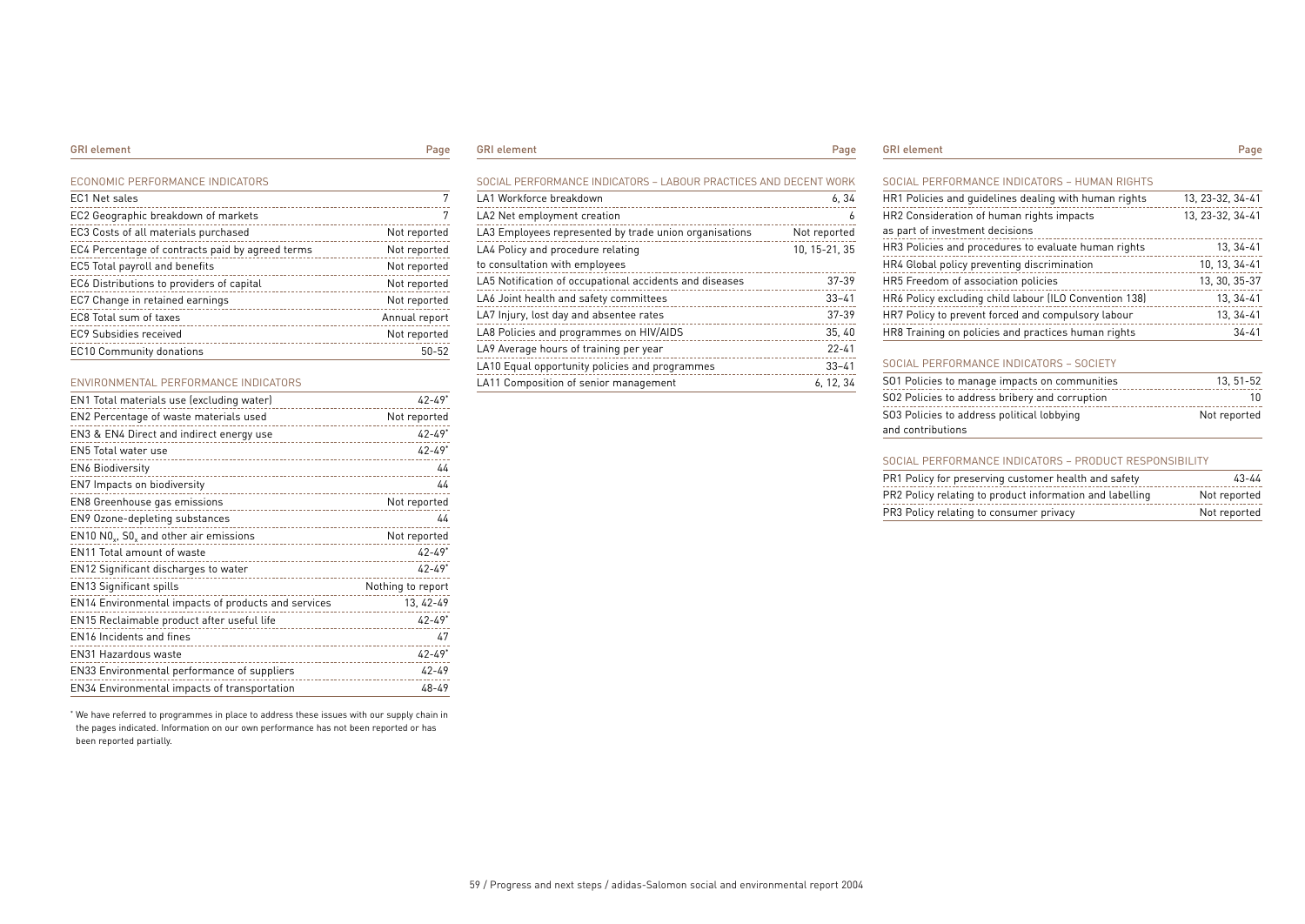ECONOMIC PERFORMANCE INDICATORS

| EC1 Net sales                                    | 7             |
|--------------------------------------------------|---------------|
| EC2 Geographic breakdown of markets              | 7             |
| EC3 Costs of all materials purchased             | Not reported  |
| EC4 Percentage of contracts paid by agreed terms | Not reported  |
| EC5 Total payroll and benefits                   | Not reported  |
| EC6 Distributions to providers of capital        | Not reported  |
| EC7 Change in retained earnings                  | Not reported  |
| EC8 Total sum of taxes                           | Annual report |
| EC9 Subsidies received                           | Not reported  |
| <b>EC10 Community donations</b>                  | $50 - 52$     |

### ENVIRONMENTAL PERFORMANCE INDICATORS

| EN1 Total materials use (excluding water)                               | $42 - 49*$             |
|-------------------------------------------------------------------------|------------------------|
| EN2 Percentage of waste materials used                                  | Not reported           |
| EN3 & EN4 Direct and indirect energy use<br>___________________________ | $42 - 49$ <sup>*</sup> |
| EN5 Total water use                                                     | $42 - 49$ <sup>*</sup> |
| <b>EN6 Biodiversity</b>                                                 | 44                     |
| EN7 Impacts on biodiversity                                             | 44                     |
| EN8 Greenhouse gas emissions                                            | Not reported           |
| EN9 Ozone-depleting substances                                          | 44                     |
| EN10 NO <sub>v</sub> , SO <sub>v</sub> and other air emissions          | Not reported           |
| EN11 Total amount of waste<br>--------------------------------          | $42 - 49*$             |
| EN12 Significant discharges to water                                    | $42 - 49*$             |
| <b>EN13 Significant spills</b>                                          | Nothing to report      |
| EN14 Environmental impacts of products and services                     | 13, 42-49              |
| EN15 Reclaimable product after useful life                              | $42 - 49*$             |
| EN16 Incidents and fines                                                | 47                     |
| <b>EN31 Hazardous waste</b>                                             | $42 - 49*$             |
| EN33 Environmental performance of suppliers                             | $42 - 49$              |
| EN34 Environmental impacts of transportation                            | 48-49                  |

\* We have referred to programmes in place to address these issues with our supply chain in the pages indicated. Information on our own performance has not been reported or has been reported partially.

### GRI element **Page**

| SOCIAL PERFORMANCE INDICATORS - LABOUR PRACTICES AND DECENT WORK |               |
|------------------------------------------------------------------|---------------|
| LA1 Workforce breakdown                                          | 6, 34         |
| LA2 Net employment creation                                      | 6             |
| LA3 Employees represented by trade union organisations           | Not reported  |
| LA4 Policy and procedure relating                                | 10, 15-21, 35 |
| to consultation with employees                                   |               |
| LA5 Notification of occupational accidents and diseases          | $37 - 39$     |
| LA6 Joint health and safety committees                           | $33 - 41$     |
| LA7 Injury, lost day and absentee rates                          | $37 - 39$     |
| LA8 Policies and programmes on HIV/AIDS                          | 35,40         |
| LA9 Average hours of training per year                           | $22 - 41$     |
| LA10 Equal opportunity policies and programmes                   | $33 - 41$     |
| LA11 Composition of senior management                            | 6.12.34       |

GRI element **Page** 

### SOCIAL PERFORMANCE INDICATORS – HUMAN RIGHTS

| HR1 Policies and quidelines dealing with human rights  | 13. 23-32. 34-41 |
|--------------------------------------------------------|------------------|
| HR2 Consideration of human rights impacts              | 13, 23-32, 34-41 |
| as part of investment decisions                        |                  |
| HR3 Policies and procedures to evaluate human rights   | 13.34-41         |
| HR4 Global policy preventing discrimination            | 10, 13, 34-41    |
| HR5 Freedom of association policies                    | 13. 30. 35-37    |
| HR6 Policy excluding child labour (ILO Convention 138) | 13.34-41         |
| HR7 Policy to prevent forced and compulsory labour     | 13, 34-41        |
| HR8 Training on policies and practices human rights    | $34 - 41$        |
|                                                        |                  |

### SOCIAL PERFORMANCE INDICATORS – SOCIETY

| SO1 Policies to manage impacts on communities  | 13.51-52     |
|------------------------------------------------|--------------|
| SO2 Policies to address bribery and corruption | 10           |
| SO3 Policies to address political lobbying     | Not reported |
| and contributions                              |              |

### SOCIAL PERFORMANCE INDICATORS – PRODUCT RESPONSIBILITY

| PR1 Policy for preserving customer health and safety     | $43 - 44$    |
|----------------------------------------------------------|--------------|
| PR2 Policy relating to product information and labelling | Not reported |
| PR3 Policy relating to consumer privacy                  | Not reported |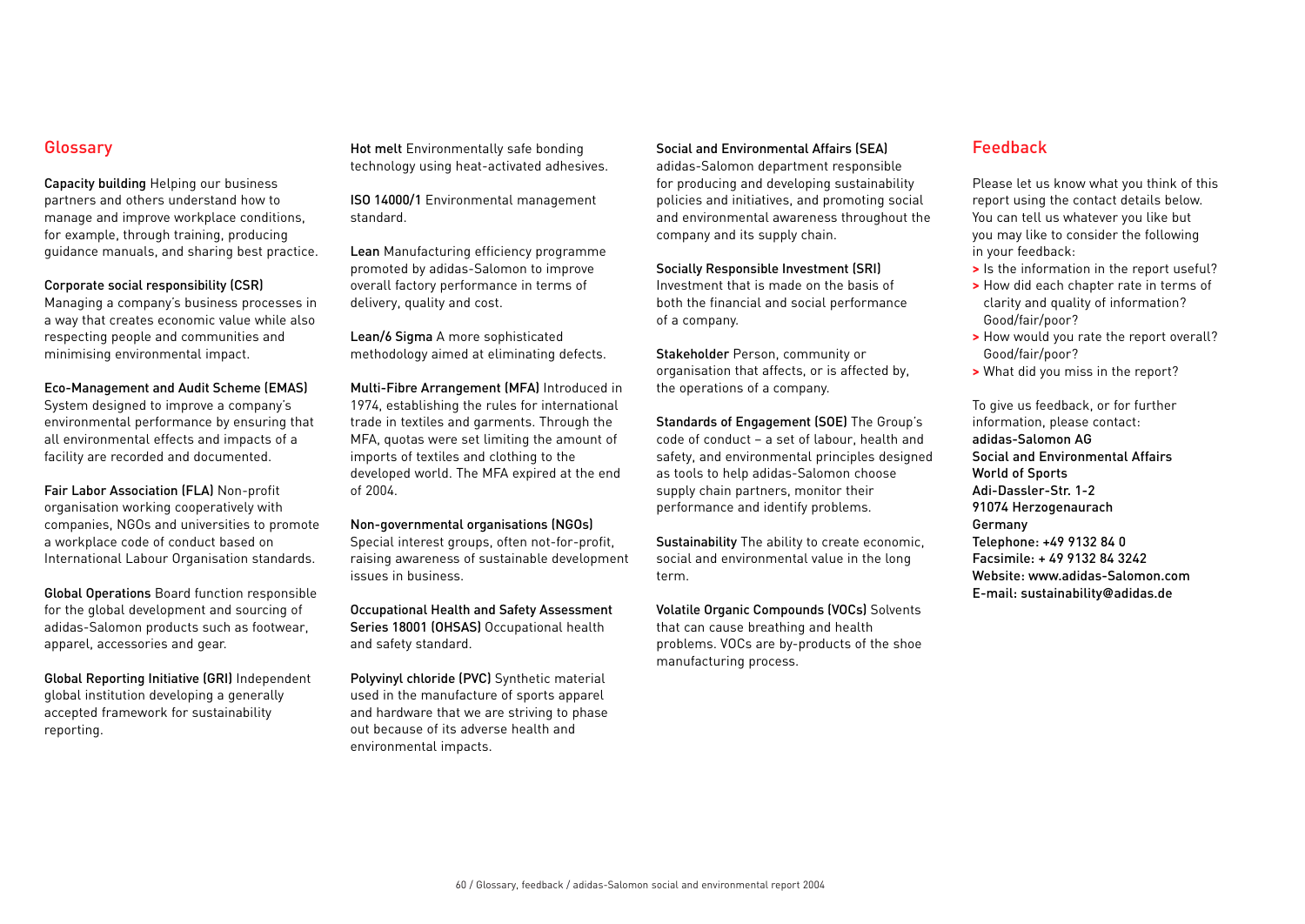## Glossary

Capacity building Helping our business partners and others understand how to manage and improve workplace conditions, for example, through training, producing guidance manuals, and sharing best practice.

## Corporate social responsibility (CSR)

Managing a company's business processes in a way that creates economic value while also respecting people and communities and minimising environmental impact.

Eco-Management and Audit Scheme (EMAS) System designed to improve a company's environmental performance by ensuring that all environmental effects and impacts of a facility are recorded and documented.

Fair Labor Association (FLA) Non-profit organisation working cooperatively with companies, NGOs and universities to promote a workplace code of conduct based on International Labour Organisation standards.

Global Operations Board function responsible for the global development and sourcing of adidas-Salomon products such as footwear, apparel, accessories and gear.

Global Reporting Initiative (GRI) Independent global institution developing a generally accepted framework for sustainability reporting.

Hot melt Environmentally safe bonding technology using heat-activated adhesives.

ISO 14000/1 Environmental management standard.

Lean Manufacturing efficiency programme promoted by adidas-Salomon to improve overall factory performance in terms of delivery, quality and cost.

Lean/6 Sigma A more sophisticated methodology aimed at eliminating defects.

Multi-Fibre Arrangement (MFA) Introduced in 1974, establishing the rules for international trade in textiles and garments. Through the MFA, quotas were set limiting the amount of imports of textiles and clothing to the developed world. The MFA expired at the end of 2004.

Non-governmental organisations (NGOs)

Special interest groups, often not-for-profit, raising awareness of sustainable development issues in business.

Occupational Health and Safety Assessment Series 18001 (OHSAS) Occupational health and safety standard.

Polyvinyl chloride (PVC) Synthetic material used in the manufacture of sports apparel and hardware that we are striving to phase out because of its adverse health and environmental impacts.

## Social and Environmental Affairs (SEA)

adidas-Salomon department responsible for producing and developing sustainability policies and initiatives, and promoting social and environmental awareness throughout the company and its supply chain.

Socially Responsible Investment (SRI)

Investment that is made on the basis of both the financial and social performance of a company.

Stakeholder Person, community or organisation that affects, or is affected by, the operations of a company.

Standards of Engagement (SOE) The Group's code of conduct – a set of labour, health and safety, and environmental principles designed as tools to help adidas-Salomon choose supply chain partners, monitor their performance and identify problems.

Sustainability The ability to create economic, social and environmental value in the long term.

Volatile Organic Compounds (VOCs) Solvents that can cause breathing and health problems. VOCs are by-products of the shoe manufacturing process.

# Feedback

Please let us know what you think of this report using the contact details below. You can tell us whatever you like but you may like to consider the following in your feedback:

- **>** Is the information in the report useful?
- **>** How did each chapter rate in terms of clarity and quality of information? Good/fair/poor?
- **>** How would you rate the report overall? Good/fair/poor?
- **>** What did you miss in the report?

To give us feedback, or for further information, please contact: adidas-Salomon AG Social and Environmental Affairs World of Sports Adi-Dassler-Str. 1-2 91074 Herzogenaurach Germany Telephone: +49 9132 84 0 Facsimile: + 49 9132 84 3242 Website: www.adidas-Salomon.com E-mail: sustainability@adidas.de